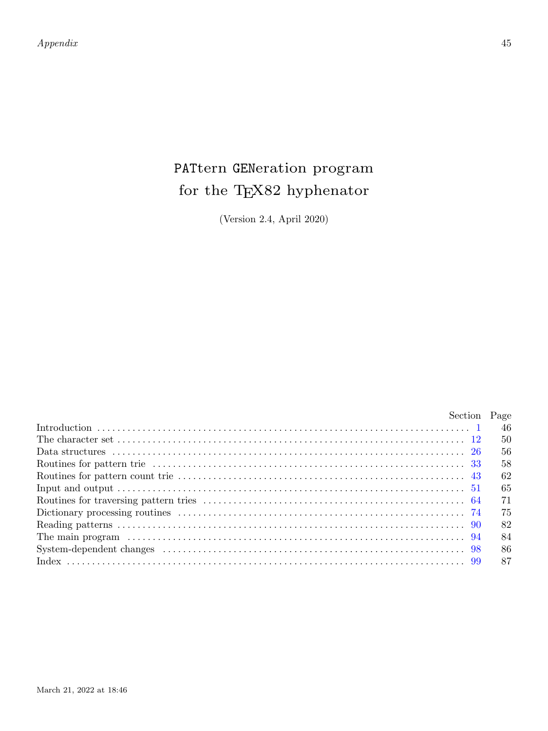# PATtern GENeration program for the TEX82 hyphenator

(Version 2.4, April 2020)

|  | Section Page |
|--|--------------|
|  | 46           |
|  | 50           |
|  | 56           |
|  | 58           |
|  | 62           |
|  | 65           |
|  | 71           |
|  | 75           |
|  | 82           |
|  | 84           |
|  | 86           |
|  | 87           |
|  |              |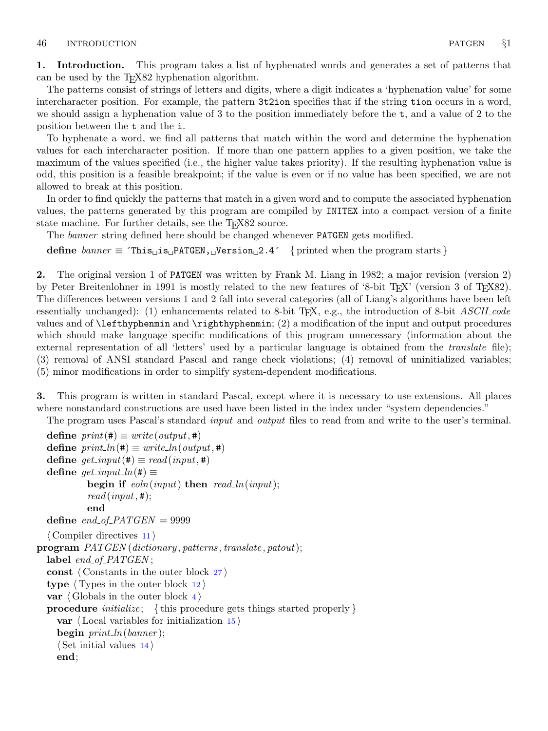<span id="page-1-0"></span>1. Introduction. This program takes a list of hyphenated words and generates a set of patterns that can be used by the T<sub>E</sub>X82 hyphenation algorithm.

The patterns consist of strings of letters and digits, where a digit indicates a 'hyphenation value' for some intercharacter position. For example, the pattern 3t2ion specifies that if the string tion occurs in a word, we should assign a hyphenation value of 3 to the position immediately before the t, and a value of 2 to the position between the t and the i.

To hyphenate a word, we find all patterns that match within the word and determine the hyphenation values for each intercharacter position. If more than one pattern applies to a given position, we take the maximum of the values specified (i.e., the higher value takes priority). If the resulting hyphenation value is odd, this position is a feasible breakpoint; if the value is even or if no value has been specified, we are not allowed to break at this position.

In order to find quickly the patterns that match in a given word and to compute the associated hyphenation values, the patterns generated by this program are compiled by INITEX into a compact version of a finite state machine. For further details, see the T<sub>F</sub>X82 source.

The banner string defined here should be changed whenever PATGEN gets modified.

define  $\text{banner} \equiv \text{This} \text{is} \text{if } \text{PATGEN} \text{ is } \text{if } \text{PATEN} \text{ is } \text{if } \text{if } \text{PATEN} \text{ is } \text{if } \text{PATEN} \text{ is } \text{if } \text{PATEN} \text{ is } \text{if } \text{PATEN} \text{ is } \text{if } \text{PATEN} \text{ is } \text{if } \text{PATEN} \text{ is } \text{if } \text{PATEN} \text{ is } \text{if } \text{PATEN} \text{ is } \text{if } \text{PATEN} \text{ is } \text{$ 

2. The original version 1 of PATGEN was written by Frank M. Liang in 1982; a major revision (version 2) by Peter Breitenlohner in 1991 is mostly related to the new features of '8-bit T<sub>E</sub>X' (version 3 of T<sub>E</sub>X82). The differences between versions 1 and 2 fall into several categories (all of Liang's algorithms have been left essentially unchanged): (1) enhancements related to 8-bit T<sub>E</sub>X, e.g., the introduction of 8-bit *ASCII code* values and of \lefthyphenmin and \righthyphenmin; (2) a modification of the input and output procedures which should make language specific modifications of this program unnecessary (information about the external representation of all 'letters' used by a particular language is obtained from the *translate* file); (3) removal of ANSI standard Pascal and range check violations; (4) removal of uninitialized variables; (5) minor modifications in order to simplify system-dependent modifications.

3. This program is written in standard Pascal, except where it is necessary to use extensions. All places where nonstandard constructions are used have been listed in the index under "system dependencies."

The program uses Pascal's standard *input* and *output* files to read from and write to the user's terminal.

```
define print(\texttt{\#}) \equiv write(output, \texttt{\#})define print\_ln(F) \equiv write\_ln(output, \#)define qet\_input(\textbf{\#}) \equiv read(input, \textbf{\#})define get\_input\_ln(F) \equivbegin if \epsilonoln(input) then \epsilonread_ln(input);
           read(input, #);end
  define end of PATGEN = 9999\langle11 \rangleprogram PATGEN (dictionary, patterns, translate, patout);
 label end_of_PATGEN;
  const \langle27\rangletype \langle12 \ranglevar \langle4\rangleprocedure initialize; {this procedure gets things started properly}
    var \langle15\ranglebegin print\_ln(banner);
    \langle14\rangleend;
```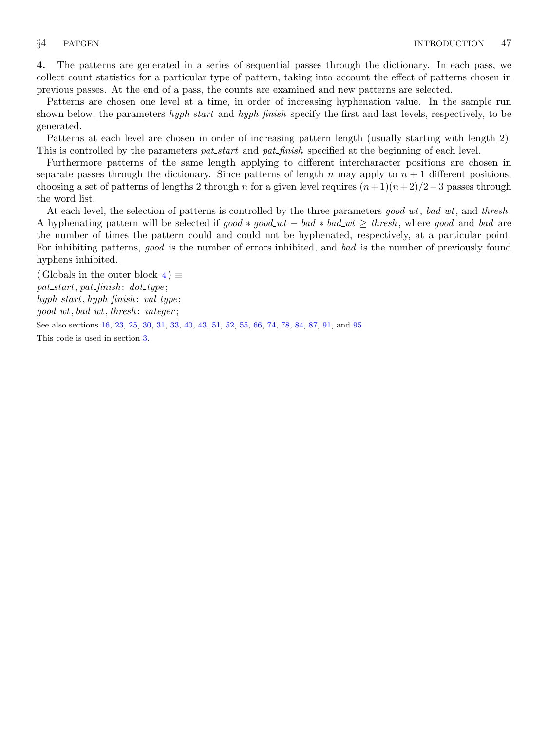<span id="page-2-0"></span>4. The patterns are generated in a series of sequential passes through the dictionary. In each pass, we collect count statistics for a particular type of pattern, taking into account the effect of patterns chosen in previous passes. At the end of a pass, the counts are examined and new patterns are selected.

Patterns are chosen one level at a time, in order of increasing hyphenation value. In the sample run shown below, the parameters *hyph\_start* and *hyph\_finish* specify the first and last levels, respectively, to be generated.

Patterns at each level are chosen in order of increasing pattern length (usually starting with length 2). This is controlled by the parameters *pat\_start* and *pat\_finish* specified at the beginning of each level.

Furthermore patterns of the same length applying to different intercharacter positions are chosen in separate passes through the dictionary. Since patterns of length n may apply to  $n + 1$  different positions, choosing a set of patterns of lengths 2 through n for a given level requires  $(n+1)(n+2)/2-3$  passes through the word list.

At each level, the selection of patterns is controlled by the three parameters  $good\_wt$ ,  $bad\_wt$ , and thresh. A hyphenating pattern will be selected if good \* good\_wt – bad \* bad\_wt  $\geq$  thresh, where good and bad are the number of times the pattern could and could not be hyphenated, respectively, at a particular point. For inhibiting patterns, good is the number of errors inhibited, and bad is the number of previously found hyphens inhibited.

 $\langle$  Globals in the outer block  $4 \rangle \equiv$  $pat\_start$ ,  $pat\_finish: dot\_type$ ;  $h y p h<sub>st</sub> art, h y p h<sub>th</sub> finish: val<sub>th</sub> y p e;$  $good\_wt$ ,  $bad\_wt$ , thresh: integer; See also sections [16](#page-6-0), [23,](#page-9-0) [25](#page-10-0), [30](#page-12-0), [31,](#page-12-0) [33](#page-13-0), [40,](#page-15-0) [43,](#page-17-0) [51](#page-20-0), [52,](#page-20-0) [55,](#page-21-0) [66](#page-26-0), [74,](#page-30-0) [78](#page-32-0), [84](#page-34-0), [87,](#page-35-0) [91](#page-37-0), and [95.](#page-39-0) This code is used in section [3](#page-1-0).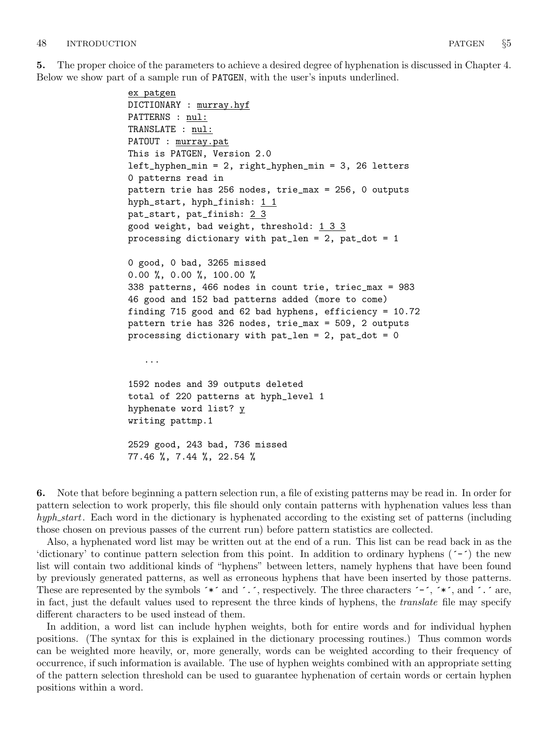<span id="page-3-0"></span>5. The proper choice of the parameters to achieve a desired degree of hyphenation is discussed in Chapter 4. Below we show part of a sample run of PATGEN, with the user's inputs underlined.

```
ex patgen
DICTIONARY : murray.hyf
PATTERNS : nul:
TRANSLATE : nul:
PATOUT : murray.pat
This is PATGEN, Version 2.0
left_hyphen_min = 2, right_hyphen_min = 3, 26 letters
0 patterns read in
pattern trie has 256 nodes, trie_max = 256, 0 outputs
hyph_start, hyph_finish: 11pat_start, pat_finish: 2 3
good weight, bad weight, threshold: 1 3 3
processing dictionary with pat_len = 2, pat\_dot = 10 good, 0 bad, 3265 missed
0.00 %, 0.00 %, 100.00 %
338 patterns, 466 nodes in count trie, triec_max = 983
46 good and 152 bad patterns added (more to come)
finding 715 good and 62 bad hyphens, efficiency = 10.72
pattern trie has 326 nodes, trie_max = 509, 2 outputs
processing dictionary with pat_len = 2, pat_dot = 0...
1592 nodes and 39 outputs deleted
total of 220 patterns at hyph_level 1
hyphenate word list? y
writing pattmp.1
2529 good, 243 bad, 736 missed
77.46 %, 7.44 %, 22.54 %
```
6. Note that before beginning a pattern selection run, a file of existing patterns may be read in. In order for pattern selection to work properly, this file should only contain patterns with hyphenation values less than hyph-start. Each word in the dictionary is hyphenated according to the existing set of patterns (including those chosen on previous passes of the current run) before pattern statistics are collected.

Also, a hyphenated word list may be written out at the end of a run. This list can be read back in as the 'dictionary' to continue pattern selection from this point. In addition to ordinary hyphens (´−´) the new list will contain two additional kinds of "hyphens" between letters, namely hyphens that have been found by previously generated patterns, as well as erroneous hyphens that have been inserted by those patterns. These are represented by the symbols ´\*´ and ´.´, respectively. The three characters ´−´, ´\*´, and ´.´ are, in fact, just the default values used to represent the three kinds of hyphens, the translate file may specify different characters to be used instead of them.

In addition, a word list can include hyphen weights, both for entire words and for individual hyphen positions. (The syntax for this is explained in the dictionary processing routines.) Thus common words can be weighted more heavily, or, more generally, words can be weighted according to their frequency of occurrence, if such information is available. The use of hyphen weights combined with an appropriate setting of the pattern selection threshold can be used to guarantee hyphenation of certain words or certain hyphen positions within a word.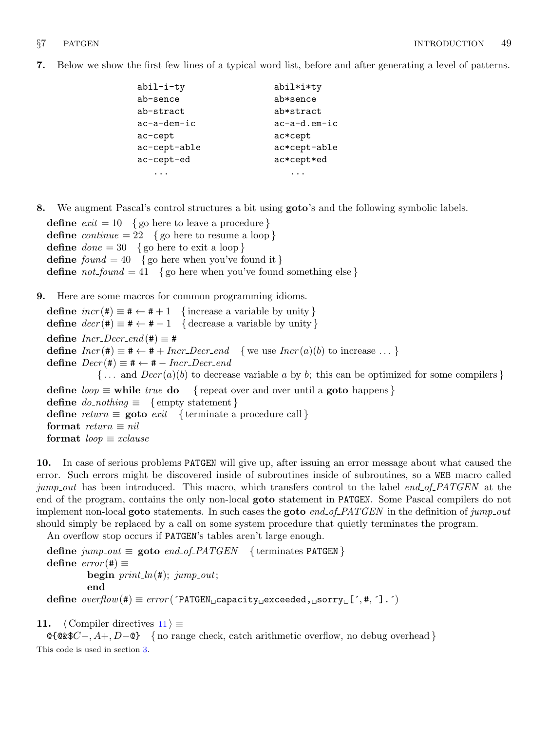#### <span id="page-4-0"></span>§7 PATGEN INTRODUCTION 49

7. Below we show the first few lines of a typical word list, before and after generating a level of patterns.

```
abil−i−ty abil*i*ty
ab−sence ab*sence
ab−stract ab*stract
ac−a−dem−ic ac−a−d.em−ic
ac−cept ac*cept
ac−cept−able ac*cept−able
ac−cept−ed ac*cept*ed
 ... ...
```
8. We augment Pascal's control structures a bit using **goto**'s and the following symbolic labels.

define  $exit = 10$  { go here to leave a procedure } define *continue* = 22 { go here to resume a loop } define  $done = 30 \{$ go here to exit a loop } **define**  $found = 40$  { go here when you've found it } **define**  $not\_found = 41$  { go here when you've found something else }

#### 9. Here are some macros for common programming idioms.

define  $incr(\#) \equiv # \leftarrow # + 1$  {increase a variable by unity } define  $decr(\texttt{\#}) \equiv \texttt{\#} \leftarrow \texttt{\#} - 1$  { decrease a variable by unity } define  $Incr\_Decr\_end (\#) \equiv #$ define  $Incr(\texttt{\#}) \equiv \texttt{\#} \leftarrow \texttt{\#} + Incr\_Decr\_end$  {we use  $Incr(a)(b)$  to increase ...} define  $Decr(\texttt{\#}) \equiv \texttt{\#} \leftarrow \texttt{\#} - Incr\_Decr\_end$  $\{\ldots \text{ and } Decr(a)(b) \text{ to decrease variable } a \text{ by } b; \text{ this can be optimized for some compilers }\}$ define  $loop \equiv$  while true do { repeat over and over until a goto happens} define  $do\_nothing \equiv \{$  empty statement  $\}$ define return  $\equiv$  goto exit { terminate a procedure call } format return  $\equiv$  nil format  $loop \equiv x clause$ 

10. In case of serious problems PATGEN will give up, after issuing an error message about what caused the error. Such errors might be discovered inside of subroutines inside of subroutines, so a WEB macro called jump out has been introduced. This macro, which transfers control to the label end of PATGEN at the end of the program, contains the only non-local goto statement in PATGEN. Some Pascal compilers do not implement non-local **goto** statements. In such cases the **goto** end of PATGEN in the definition of jump out should simply be replaced by a call on some system procedure that quietly terminates the program.

An overflow stop occurs if PATGEN's tables aren't large enough.

```
define jump\_out \equiv goto end_of_PATGEN { terminates PATGEN }
define error(\#) \equivbegin print\_ln(\texttt{#}); jump\_out;end
define overflow(\texttt{\#}) \equiv error('PATGEN\text{G} capacity\text{G}x) exceeded, sorry [\cdot, \texttt{\#}, \cdot].
```
11.  $\langle$  Compiler directives 11  $\rangle \equiv$ 

 $\mathcal{Q}\{\otimes\mathcal{Z}^{\mathcal{C}}-\mathcal{A}+$ , D– $\mathcal{Q}\}$  { no range check, catch arithmetic overflow, no debug overhead } This code is used in section [3](#page-1-0).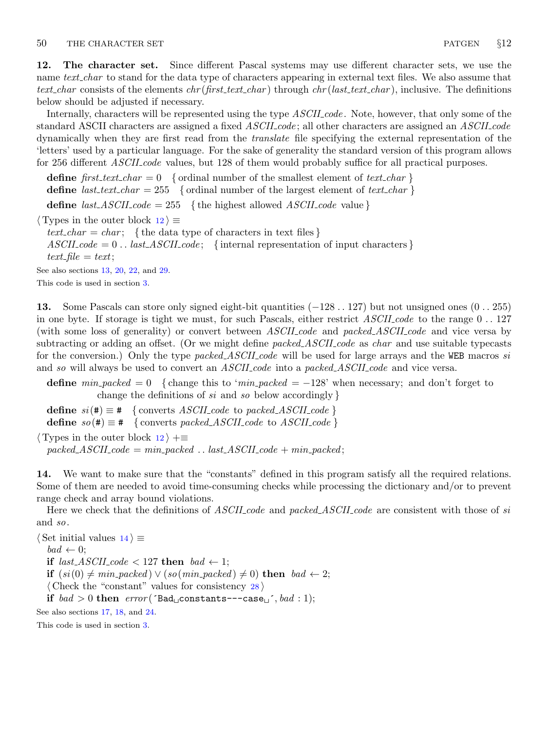<span id="page-5-0"></span>12. The character set. Since different Pascal systems may use different character sets, we use the name *text\_char* to stand for the data type of characters appearing in external text files. We also assume that text char consists of the elements  $chr(first.text\_char)$  through  $chr(last.text\_char)$ , inclusive. The definitions below should be adjusted if necessary.

Internally, characters will be represented using the type ASCII code. Note, however, that only some of the standard ASCII characters are assigned a fixed ASCII code ; all other characters are assigned an ASCII code dynamically when they are first read from the translate file specifying the external representation of the 'letters' used by a particular language. For the sake of generality the standard version of this program allows for 256 different *ASCII code* values, but 128 of them would probably suffice for all practical purposes.

define first text char = 0 { ordinal number of the smallest element of text char } define *last\_text\_char* = 255 { ordinal number of the largest element of *text\_char* }

define  $last\_ASCII\_code = 255$  {the highest allowed  $ASCII\_code$  value}

 $\langle$  Types in the outer block 12 $\rangle \equiv$ 

text char = char; { the data type of characters in text files }  $ASCII\_code = 0$ .. last\_ASCII\_code; {internal representation of input characters}  $text_{\mathit{f}}$ ile = text;

See also sections 13, [20,](#page-7-0) [22](#page-9-0), and [29.](#page-11-0)

This code is used in section [3](#page-1-0).

13. Some Pascals can store only signed eight-bit quantities (−128 . . 127) but not unsigned ones (0 . . 255) in one byte. If storage is tight we must, for such Pascals, either restrict  $ASCH\_{code}$  to the range  $0 \ldots 127$ (with some loss of generality) or convert between ASCII code and packed ASCII code and vice versa by subtracting or adding an offset. (Or we might define *packed ASCII code* as *char* and use suitable typecasts for the conversion.) Only the type packed  $ASCI \text{1-code}$  will be used for large arrays and the WEB macros si and so will always be used to convert an *ASCII-code* into a packed *ASCII-code* and vice versa.

define  $min\_ packed = 0$  { change this to 'min\_packed = -128' when necessary; and don't forget to change the definitions of si and so below accordingly  $\}$ 

define  $si(\texttt{\#}) \equiv \texttt{\#}$  { converts *ASCII\_code* to packed\_*ASCII\_code* } define  $so(\#) \equiv #$  { converts packed ASCII code to ASCII code }

 $\langle$  Types in the outer block 12  $\rangle$  +≡  $packed\_ASCII\_code = min\_packet$ .  $last\_ASCII\_code + min\_packet$ ;

14. We want to make sure that the "constants" defined in this program satisfy all the required relations. Some of them are needed to avoid time-consuming checks while processing the dictionary and/or to prevent range check and array bound violations.

Here we check that the definitions of ASCII code and packed ASCII code are consistent with those of si and so.

 $\langle$  Set initial values 14  $\rangle \equiv$  $bad \leftarrow 0;$ if last\_ASCII\_code < 127 then bad  $\leftarrow$  1; if  $(s_i(0) \neq min\_ packed) \vee (so(min\_ packed) \neq 0)$  then  $bad \leftarrow 2;$  $\langle$  Check the "constant" values for consistency [28](#page-11-0)  $\rangle$ if bad > 0 then error ( $\text{Bad}_\sqcup$ constants---case $\sqcup$ , bad : 1); See also sections [17](#page-6-0), [18,](#page-6-0) and [24.](#page-9-0)

This code is used in section [3](#page-1-0).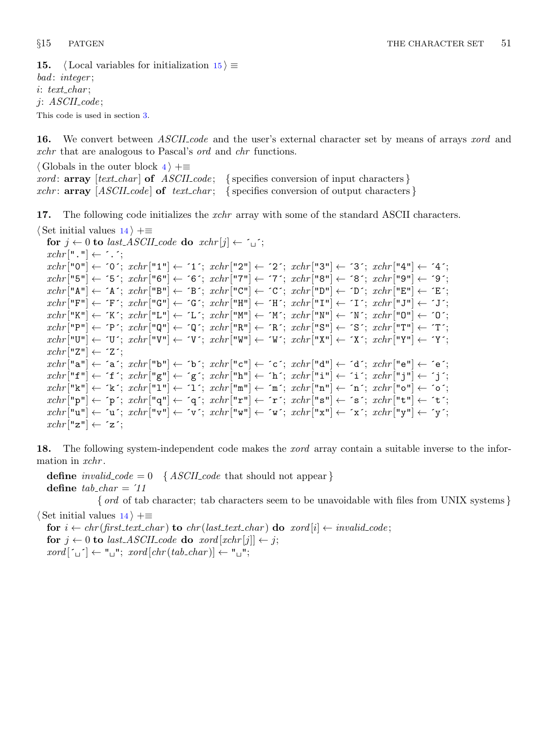<span id="page-6-0"></span>15.  $\langle$  Local variables for initialization 15  $\rangle \equiv$ bad: integer;  $i: \text{text\_char};$  $i: ASCII\_code;$ This code is used in section [3](#page-1-0).

16. We convert between *ASCII code* and the user's external character set by means of arrays xord and xchr that are analogous to Pascal's ord and chr functions.

 $\langle$  Globals in the outer block [4](#page-2-0)  $\rangle$  +≡ xord:  $array [text{\thinspace} c]$  for  $ASCII_code;$  { specifies conversion of input characters } xchr:  $array [ASCI].code]$  of text char; { specifies conversion of output characters }

17. The following code initializes the *xchr* array with some of the standard ASCII characters.

```
\langle14 \rangle +≡
```
for  $j \leftarrow 0$  to last ASCII code do  $xchr[j] \leftarrow \gamma$ ;  $xchr[$ ". "]  $\leftarrow$  '. ';  $xchr["0"] \leftarrow '0$ ';  $xchr["1"] \leftarrow '1$ ';  $xchr["2"] \leftarrow '2$ ';  $xchr["3"] \leftarrow '3$ ';  $xchr["4"] \leftarrow '4'$ ;  $xchr[$ "5" $] \leftarrow$  ´5';  $xchr[$ "6" $] \leftarrow$  ´6';  $xchr[$ "7" $] \leftarrow$  ´7';  $xchr[$ "8" $] \leftarrow$  ´8';  $xchr[$ "9" $] \leftarrow$  ´9';  $xchr\lceil"\mathbf{A}"\rceil \leftarrow \ulcorner \mathbf{A} \urcorner; xchr\lceil"\mathbf{B}"\rceil \leftarrow \ulcorner \mathbf{B} \urcorner; xchr\lceil"\mathbf{C}"\rceil \leftarrow \ulcorner \mathbf{C} \urcorner; xchr\lceil"\mathbf{D}"\rceil \leftarrow \ulcorner \mathbf{D} \urcorner; xchr\lceil"\mathbf{E}"\rceil \leftarrow \ulcorner \mathbf{E} \urcorner;$  $xchr\lceil \mathbf{F}^{\mathsf{m}} \rceil \leftarrow \lceil \mathbf{F}^{\star} \rceil$ ;  $xchr\lceil \mathbf{H}^{\mathsf{m}} \rceil \leftarrow \lceil \mathbf{G}^{\star} \rceil$ ;  $xchr\lceil \mathbf{H}^{\mathsf{m}} \rceil \leftarrow \lceil \mathbf{H}^{\star} \rceil$ ;  $xchr\lceil \mathbf{H}^{\mathsf{m}} \rceil \leftarrow \lceil \mathbf{I}^{\star} \rceil$ ;  $xchr\lceil \mathbf{H}^{\mathsf{m}} \rceil \leftarrow \lceil \mathbf{J}^{\star} \rceil$ ;  $xchr[{}^{\prime\prime}K^{\prime\prime}] \leftarrow \tilde{K}^*; xchr[{}^{\prime\prime}L^{\prime\prime}] \leftarrow \tilde{L}^*; xchr[{}^{\prime\prime}M^{\prime\prime}] \leftarrow \tilde{N}^*; xchr[{}^{\prime\prime}N^{\prime\prime}] \leftarrow \tilde{N}^*; xchr[{}^{\prime\prime}O^{\prime\prime}] \leftarrow \tilde{O}^*;$  $xchr[{}^{\prime\prime}P^{\prime\prime}] \leftarrow {}^{\prime}P^{\prime}; xchr[{}^{\prime\prime}Q^{\prime\prime}] \leftarrow {}^{\prime}Q^{\prime}; xchr[{}^{\prime\prime}R^{\prime\prime}] \leftarrow {}^{\prime}R^{\prime}; xchr[{}^{\prime\prime}S^{\prime\prime}] \leftarrow {}^{\prime}S^{\prime}; xchr[{}^{\prime\prime}T^{\prime\prime}] \leftarrow {}^{\prime}T^{\prime};$  $xchr["U"] \leftarrow \ulcorner U'$ ;  $xchr["V"] \leftarrow \ulcorner V'$ ;  $xchr["W"] \leftarrow \ulcorner W'$ ;  $xchr["X"] \leftarrow \ulcorner X'$ ;  $xchr["Y"] \leftarrow \ulcorner Y'$ ;  $xchr['Z"] \leftarrow 'Z';$  $xchr[$ "a" $] \leftarrow \text{`a'}$ ;  $xchr[$ "b" $] \leftarrow \text{`b'}$ ;  $xchr[$ "c" $] \leftarrow \text{`c'}$ ;  $xchr[$ "d" $] \leftarrow \text{`d'}$ ;  $xchr[$ "e" $] \leftarrow \text{`e'}$ ;  $xchr[$ " $f$ " $] \leftarrow$  ´ $f'$ ;  $xchr[$ " $g$ " $] \leftarrow$  ´ $g'$ ;  $xchr[$ " $h$ " $] \leftarrow$  ´h';  $xchr[$ " $i$ " $] \leftarrow$  ´ $i'$ ;  $xchr[$ " $j$ " $] \leftarrow$  ´j';  $xchr["\mathbf{k}"] \leftarrow \mathbf{k}$ ;  $xchr["\mathbf{l}"] \leftarrow \mathbf{1}$ ;  $xchr["\mathbf{m}"] \leftarrow \mathbf{m}$ ;  $xchr["\mathbf{n}"] \leftarrow \mathbf{1}$ ;  $xchr["\mathbf{n}"] \leftarrow \mathbf{1}$ ;  $xchr["\mathbf{n}"] \leftarrow \mathbf{1}$  $\label{eq:2.1} xchr["{\bf p}"] \leftarrow \lceil {\bf p} \lceil ; \ xchr["{\bf q}"] \leftarrow \lceil {\bf q} \lceil ; \ xchr["{\bf r}"] \leftarrow \lceil {\bf r} \lceil ; \ xchr["{\bf s}"] \leftarrow \lceil {\bf s} \lceil ; \ xchr["{\bf t}"] \leftarrow \lceil {\bf t} \lceil ; \ xchr["{\bf t}"] \leftarrow \lceil {\bf t} \lceil ; \ xchr["{\bf t}"] \leftarrow \lceil {\bf t} \lceil ; \ xchr["{\bf t}"] \leftarrow \lceil {\bf t} \lceil ; \ xchr["{\bf t}"] \leftarrow \lceil {\bf t}$  $xchr["u"] \leftarrow \ulcorner u^* \urcorner$ ;  $xchr["v"] \leftarrow \ulcorner v^* \urcorner$ ;  $xchr["w"] \leftarrow \ulcorner w^* \urcorner$ ;  $xchr["x"] \leftarrow \ulcorner x^* \urcorner$ ;  $xchr["y"] \leftarrow \ulcorner y^* \urcorner$  $xchr["z"] \leftarrow z$ ;

18. The following system-independent code makes the *xord* array contain a suitable inverse to the information in *xchr*.

define *invalid\_code* = 0 {  $ASCH\_{code}$  that should not appear } define  $tab\_char = '11$ 

{ ord of tab character; tab characters seem to be unavoidable with files from UNIX systems }  $\langle$  Set initial values [14](#page-5-0)  $\rangle$  +≡

for  $i \leftarrow chr(first\_text\_char)$  to  $chr(last\_text\_char)$  do  $xord[i] \leftarrow invalid\_code;$ for  $j \leftarrow 0$  to last\_ASCII\_code do xord  $[xchr[j]] \leftarrow j;$  $xord[\ulcorner\Box\urcorner] \leftarrow "\ulcorner; xord[chr(tab\_char)] \leftarrow "\ulcorner;$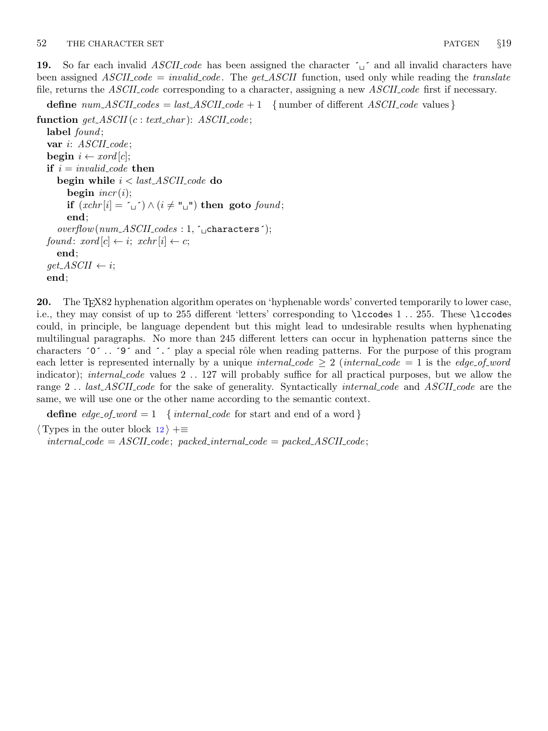<span id="page-7-0"></span>19. So far each invalid ASCII code has been assigned the character  $\sim$   $\sim$  and all invalid characters have been assigned  $ASCIL code = invalidcode$ . The get ASCII function, used only while reading the translate file, returns the *ASCII code* corresponding to a character, assigning a new *ASCII code* first if necessary.

define  $num\_ASCII\_codes = last\_ASCII\_code + 1$  { number of different  $ASCII\_code$  values }

```
function get\_ASCII(c: text\_char): ASCII\_code;label found;
  var i: ASCII\_code;begin i \leftarrow x \text{ord}[c];
  if i = invalid\_code then
     begin while i < last ASCII code do
        begin \text{incr}(i);
        if (xchr[i] = \ulcorner u \urcorner) \wedge (i \neq \ulcorner u \urcorner) then goto found;
        end;
     overflow(num\_ASCII\_codes:1, \neg_{\Box} characters;
  found: xord[c] \leftarrow i; xchr[i] \leftarrow c;end;
  get\_ASCII \leftarrow i;end;
```
20. The T<sub>E</sub>X82 hyphenation algorithm operates on 'hyphenable words' converted temporarily to lower case, i.e., they may consist of up to 255 different 'letters' corresponding to \lccodes 1 . . 255. These \lccodes could, in principle, be language dependent but this might lead to undesirable results when hyphenating multilingual paragraphs. No more than 245 different letters can occur in hyphenation patterns since the characters  $\circ \circ \cdot$  .  $\circ \circ$  and  $\circ$  in play a special rôle when reading patterns. For the purpose of this program each letter is represented internally by a unique *internal code*  $\geq 2$  (*internal code*  $= 1$  is the *edge-of-word* indicator); *internal\_code* values 2 . . 127 will probably suffice for all practical purposes, but we allow the range 2. *last\_ASCII\_code* for the sake of generality. Syntactically *internal\_code* and ASCII\_code are the same, we will use one or the other name according to the semantic context.

**define**  $edge\_of\_word = 1$  { internal code for start and end of a word }

 $\langle$  Types in the outer block [12](#page-5-0)  $\rangle$  +≡

 $internal\_code = ASCII\_code; packed\_internal\_code = packet\_ASCII\_code;$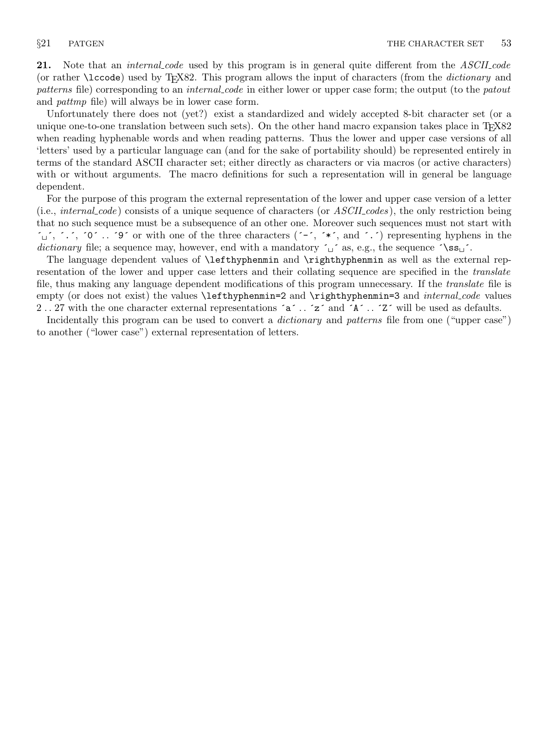<span id="page-8-0"></span>21. Note that an *internal code* used by this program is in general quite different from the ASCII code (or rather \lexode) used by T<sub>E</sub>X82. This program allows the input of characters (from the *dictionary* and patterns file) corresponding to an internal code in either lower or upper case form; the output (to the patout and pattmp file) will always be in lower case form.

Unfortunately there does not (yet?) exist a standardized and widely accepted 8-bit character set (or a unique one-to-one translation between such sets). On the other hand macro expansion takes place in T<sub>E</sub>X82 when reading hyphenable words and when reading patterns. Thus the lower and upper case versions of all 'letters' used by a particular language can (and for the sake of portability should) be represented entirely in terms of the standard ASCII character set; either directly as characters or via macros (or active characters) with or without arguments. The macro definitions for such a representation will in general be language dependent.

For the purpose of this program the external representation of the lower and upper case version of a letter (i.e., *internal code*) consists of a unique sequence of characters (or  $ASCIL codes$ ), the only restriction being that no such sequence must be a subsequence of an other one. Moreover such sequences must not start with  $\gamma_{\perp}$ ,  $\gamma_{\perp}$ ,  $\gamma_{\perp}$ ,  $\gamma_{\perp}$  or with one of the three characters ( $\gamma_{\perp}$ ,  $\gamma_{\perp}$ , and  $\gamma_{\perp}$ ) representing hyphens in the dictionary file; a sequence may, however, end with a mandatory  $\omega^*$  as, e.g., the sequence  $\text{ss}_\omega$ .

The language dependent values of \lefthyphenmin and \righthyphenmin as well as the external representation of the lower and upper case letters and their collating sequence are specified in the *translate* file, thus making any language dependent modifications of this program unnecessary. If the *translate* file is empty (or does not exist) the values \lefthyphenmin=2 and \righthyphenmin=3 and *internal code* values 2. 27 with the one character external representations  $\mathbf{a}^{\cdot}$ .  $\mathbf{z}^{\cdot}$  and  $\mathbf{A}^{\cdot}$ .  $\mathbf{z}^{\cdot}$  will be used as defaults.

Incidentally this program can be used to convert a *dictionary* and *patterns* file from one ("upper case") to another ("lower case") external representation of letters.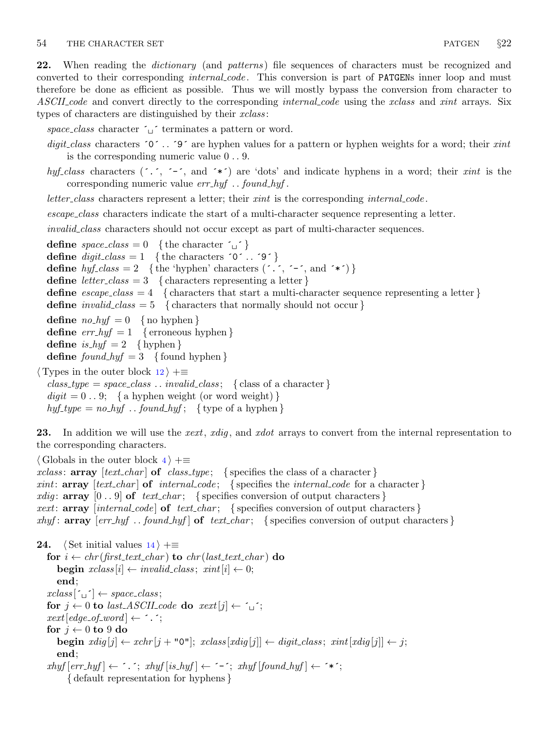<span id="page-9-0"></span>22. When reading the *dictionary* (and *patterns*) file sequences of characters must be recognized and converted to their corresponding *internal code*. This conversion is part of **PATGENs** inner loop and must therefore be done as efficient as possible. Thus we will mostly bypass the conversion from character to ASCII code and convert directly to the corresponding *internal code* using the xclass and xint arrays. Six types of characters are distinguished by their *xclass*:

space class character  $\sim$   $\sim$  terminates a pattern or word.

- digit class characters  $\circ \circ \cdot$ .  $\circ \circ \circ$  are hyphen values for a pattern or hyphen weights for a word; their xint is the corresponding numeric value 0 . . 9.
- hyf\_class characters (´.´, ´-´, and ´\*´) are 'dots' and indicate hyphens in a word; their xint is the corresponding numeric value  $err\_hyf$ ...  $found\_hyf$ .

letter-class characters represent a letter; their *xint* is the corresponding *internal-code*.

escape class characters indicate the start of a multi-character sequence representing a letter.

invalid class characters should not occur except as part of multi-character sequences.

define  $space\_class = 0 \{$  the character  $\sim \sim$ define  $digit\_class = 1$  {the characters  $0^{\circ}$ ..  $9^{\circ}$ } define  $\textit{hyf-class} = 2$  {the 'hyphen' characters (´.´, ´-´, and ´\*´)} define *letter\_class* = 3 { characters representing a letter } define  $\ell$  *escape\_class* = 4 { characters that start a multi-character sequence representing a letter } define *invalid\_class* = 5 { characters that normally should not occur } **define**  $no\_{hyf} = 0$  { no hyphen } define  $err\text{-}hyf = 1$  { erroneous hyphen } define  $is_{\text{f}} = 2 \quad \{\text{hyphen}\}\$ define  $found\_hyf = 3$  { found hyphen }  $\langle$  Types in the outer block [12](#page-5-0)  $\rangle$  +≡

 $class\_type = space\_class \dots invalid\_class;$  { class of a character }  $digit = 0$ ...9; { a hyphen weight (or word weight) }  $h y f_{\text{t}} y p e = n o_{\text{t}} h y f$ ...  $f v p e$  of a hyphen }

23. In addition we will use the xext,  $x\,diq$ , and  $xdot$  arrays to convert from the internal representation to the corresponding characters.

```
\langle Globals in the outer block 4 \rangle + \equivxclass: \text{array} [text_char] of class_type; { specifies the class of a character }
xint: array [text{\thinspace} c] fext_char ] of internal_code; { specifies the internal_code for a character }
xdig: array [0 \tcdot . 9] of text_char; { specifies conversion of output characters }
xext: array [internal code] of text char; { specifies conversion of output characters }
xhyf: \textbf{array} [err_hyf ... found_hyf] of text_char; {specifies conversion of output characters}
24. (Set initial values 14) +≡
   for i \leftarrow chr(first\_text\_char) to chr(last\_text\_char) do
      begin xclass[i] \leftarrow invalid\_class; xint[i] \leftarrow 0;end;
   xclass[\underline{\ } \cdot \underline{\ } \cdot] \leftarrow space\_class;for j \leftarrow 0 to last ASCII code do xext[j] \leftarrow \gamma;
   xext[edge_of_world] \leftarrow \thereforefor i \leftarrow 0 to 9 do
      begin xdig[j] \leftarrow xchr[j + "0"]; xclass[xdig[j]] \leftarrow digit\_class; xint[xdig[j]] \leftarrow j;end;
   xhyf[err_hyf] \leftarrow \check{\cdot} \check{\cdot}; xhyf[is_hyf] \leftarrow \check{\cdot} \check{\cdot}; xhyf[found_hyf] \leftarrow \check{\cdot} \check{\cdot};
         { default representation for hyphens }
```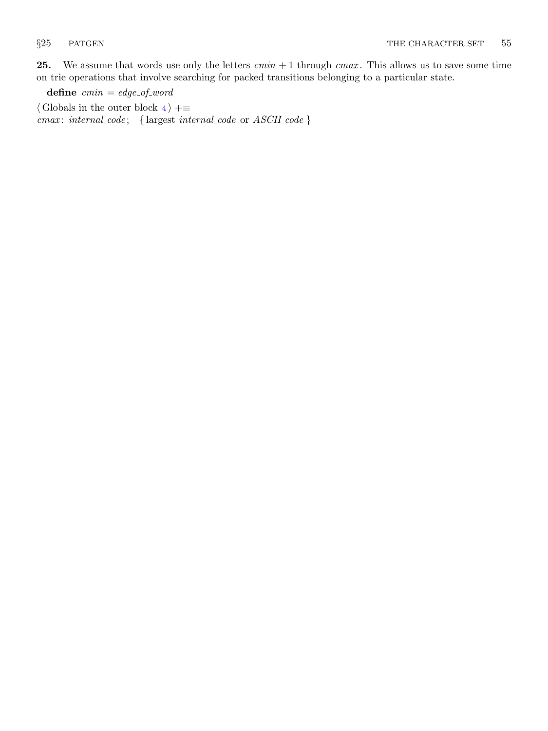<span id="page-10-0"></span>25. We assume that words use only the letters  $cmin + 1$  through  $cmax$ . This allows us to save some time on trie operations that involve searching for packed transitions belonging to a particular state.

define  $\textit{cmin} = \textit{edge\_of\_word}$ 

 $\langle$  Globals in the outer block [4](#page-2-0)  $\rangle$  +≡  $cmax: internal\_code;$  { largest internal code or  $ASCII\_code$  }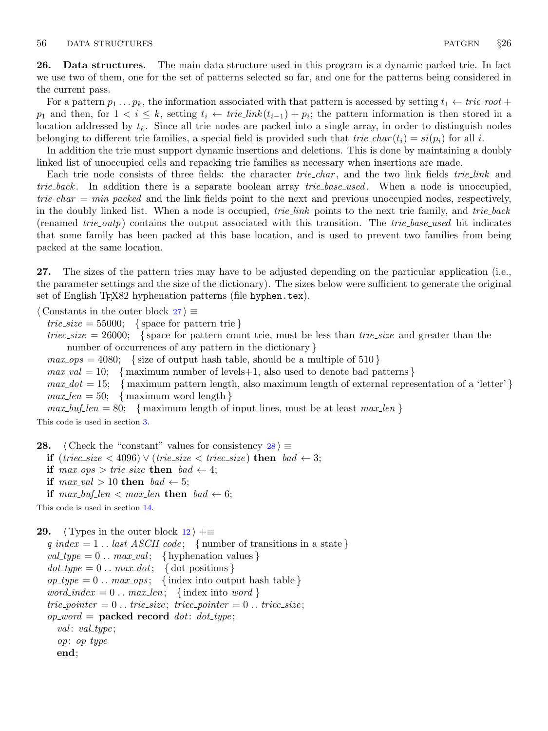<span id="page-11-0"></span>26. Data structures. The main data structure used in this program is a dynamic packed trie. In fact we use two of them, one for the set of patterns selected so far, and one for the patterns being considered in the current pass.

For a pattern  $p_1 \nldots p_k$ , the information associated with that pattern is accessed by setting  $t_1 \leftarrow trie\text{-}root$  $p_1$  and then, for  $1 < i \leq k$ , setting  $t_i \leftarrow \text{trie\_link}(t_{i-1}) + p_i$ ; the pattern information is then stored in a location addressed by  $t_k$ . Since all trie nodes are packed into a single array, in order to distinguish nodes belonging to different trie families, a special field is provided such that  $trie\_char(t_i) = si(p_i)$  for all i.

In addition the trie must support dynamic insertions and deletions. This is done by maintaining a doubly linked list of unoccupied cells and repacking trie families as necessary when insertions are made.

Each trie node consists of three fields: the character *trie\_char*, and the two link fields *trie\_link* and trie\_back. In addition there is a separate boolean array trie\_base\_used. When a node is unoccupied,  $trie\_char = min\_packet$  and the link fields point to the next and previous unoccupied nodes, respectively, in the doubly linked list. When a node is occupied, *trie\_link* points to the next trie family, and *trie\_back* (renamed trie-outp) contains the output associated with this transition. The trie-base-used bit indicates that some family has been packed at this base location, and is used to prevent two families from being packed at the same location.

27. The sizes of the pattern tries may have to be adjusted depending on the particular application (i.e., the parameter settings and the size of the dictionary). The sizes below were sufficient to generate the original set of English T<sub>E</sub>X82 hyphenation patterns (file hyphen.tex).

 $\langle$  Constants in the outer block  $27 \rangle \equiv$ 

trie size = 55000; { space for pattern trie }

 $triec_size = 26000;$  {space for pattern count trie, must be less than  $trie_size$  and greater than the number of occurrences of any pattern in the dictionary  $\}$ 

 $max_{\theta}$  = 4080; { size of output hash table, should be a multiple of 510 }

 $max_val = 10;$  { maximum number of levels+1, also used to denote bad patterns }

 $max\_dot = 15;$  { maximum pattern length, also maximum length of external representation of a 'letter' }  $max_{i}len = 50;$  {maximum word length }

 $max_buf_-len = 80;$  { maximum length of input lines, must be at least  $max_clen$ }

This code is used in section [3](#page-1-0).

28.  $\langle$  Check the "constant" values for consistency 28  $\rangle \equiv$ 

- if (triec\_size < 4096)  $\vee$  (trie\_size < triec\_size) then bad  $\leftarrow$  3;
- if  $max_{\text{op}}$  > trie size then bad  $\leftarrow$  4;
- if  $max_val > 10$  then  $bad \leftarrow 5$ ;
- if  $max_buf_{\text{-}}len < max_{\text{-}}len$  then  $bad \leftarrow 6$ ;

This code is used in section [14](#page-5-0).

29.  $\langle$  Types in the outer block [12](#page-5-0)  $\rangle$  +≡  $q\_index = 1$ .. last\_ASCII\_code; { number of transitions in a state} val type =  $0$ .. max val; { hyphenation values }  $dot_type = 0 \dots max\_dot; \{ dot positions \}$  $op_type = 0$ ..  $max\_ops;$  {index into output hash table}  $word\_index = 0$ ..  $max\_len$ ; {index into word}  $trie\_ pointer = 0$ .. trie\_size; triec\_pointer = 0.. triec\_size;  $op_{\sim} word =$  packed record dot: dot\_type;  $val: val\_type;$ op: op\_type end;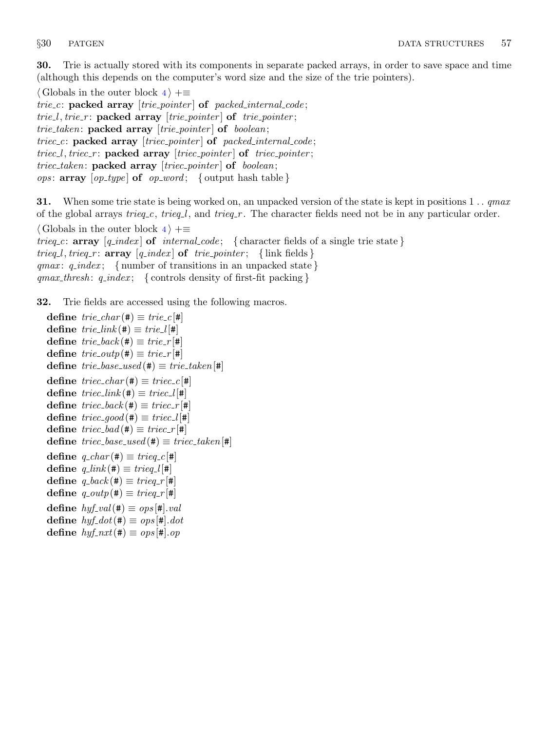<span id="page-12-0"></span>30. Trie is actually stored with its components in separate packed arrays, in order to save space and time (although this depends on the computer's word size and the size of the trie pointers).

 $\langle$  Globals in the outer block [4](#page-2-0)  $\rangle$  +≡  $trie\_c$ : packed array  $[trie\_pointer]$  of packed internal code;  $trie\_l, trie\_r:$  packed array  $[trie\_pointer]$  of  $trie\_pointer$ ; trie\_taken: packed array  $[trie\_pointer]$  of boolean;  $triec_c$ : packed array  $[triec\_pointer]$  of packed internal code;  $triec_l, triec_r:$  packed array  $[triec\_pointer]$  of  $triec\_pointer;$  $triec\_taken:$  packed array  $[triec\_pointer]$  of boolean; *ops*: **array** [*op\_type*] **of** *op\_word*; { output hash table }

**31.** When some trie state is being worked on, an unpacked version of the state is kept in positions 1 . .  $qmax$ of the global arrays *trieq.c, trieq.l,* and *trieq.r*. The character fields need not be in any particular order.

```
\langle4 \rangle +≡
```
trieq c: array  $[q\_index]$  of internal code; {character fields of a single trie state} trieq\_l, trieq\_r:  $array [q\_index]$  of trie\_pointer; {link fields}  $qmax: q\_index; \{ number of transitions in an unpacked state \}$  $qmax\_thresh: q_index; \{ controls density of first-fit packing\}$ 

32. Trie fields are accessed using the following macros.

define  $\text{tric\_char}(\#) \equiv \text{tric\_c}[\#]$ define  $trie\_link$  (#)  $\equiv trie\_l$  [#] define  $\text{trie}\_\text{back}(\#) \equiv \text{trie}\_\text{r}[\#]$ define  $\text{trie\_}outp(\texttt{\#}) \equiv \text{trie\_}r[\texttt{\#}]$ define  $trie\_base\_used$  (#)  $\equiv trie\_taken$  [#] define  $\text{tree\_char}(\#) \equiv \text{tree\_c}[\#]$ define  $\text{tree\_link}(\#) \equiv \text{tree\_l}[\#]$ define  $\text{tree}\_\text{back}(\texttt{\#}) \equiv \text{tree}\_\texttt{r}[\texttt{\#}]$ define  $\text{trace\_good}(\#) \equiv \text{trace\_l}[\#]$ define  $\text{tree}\_\text{bad}(\#) \equiv \text{tree}\_\text{r}[\#]$ define  $\text{tree\_base\_used}(\#) \equiv \text{tree\_taken}[\#]$ define  $q_{\text{c}}char(\#) \equiv \text{trieg}_{\text{c}}[\#]$ define  $q$ <sub>-</sub> $link$  (#)  $\equiv \text{trieg}$ <sub>-</sub> $l$  [#] define  $q\_back(\#) \equiv \text{trieg\_r}[\#]$ define  $q\_output(\#) \equiv \text{trieg\_r}[\#]$ define  $hyf\_val$ (#)  $\equiv$  ops[#].val define  $hyf\text{-}dot(\#) \equiv ops[\#].dot$ define  $hyf_nxt(\#) \equiv ops[\#].op$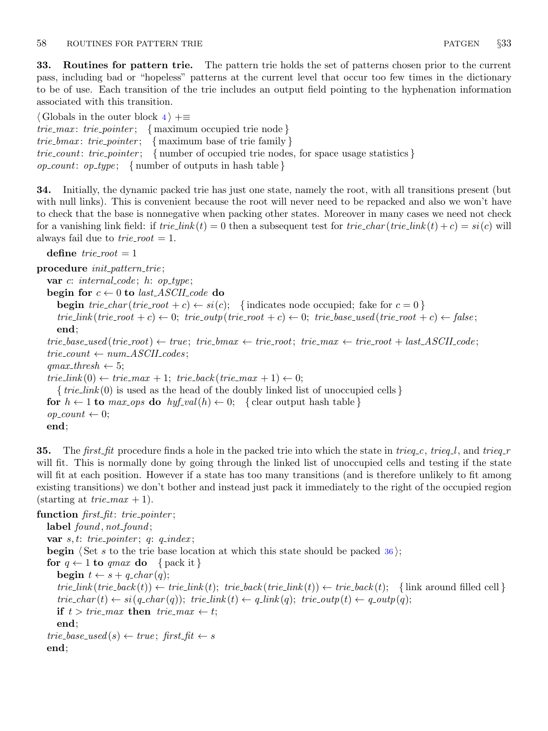<span id="page-13-0"></span>33. Routines for pattern trie. The pattern trie holds the set of patterns chosen prior to the current pass, including bad or "hopeless" patterns at the current level that occur too few times in the dictionary to be of use. Each transition of the trie includes an output field pointing to the hyphenation information associated with this transition.

 $\langle$  Globals in the outer block [4](#page-2-0)  $\rangle$  +≡  $trie\_max:trie\_pointer; \{ maximum occupied trie node\}$ trie\_bmax: trie\_pointer; { maximum base of trie family } trie\_count: trie\_pointer; { number of occupied trie nodes, for space usage statistics }  $op\_count: op\_type; \{ number of outputs in hash table\}$ 

34. Initially, the dynamic packed trie has just one state, namely the root, with all transitions present (but with null links). This is convenient because the root will never need to be repacked and also we won't have to check that the base is nonnegative when packing other states. Moreover in many cases we need not check for a vanishing link field: if trie-link(t) = 0 then a subsequent test for trie-char (trie-link(t) + c) =  $si(c)$  will always fail due to  $trie\_root = 1$ .

define  $trie\_root = 1$ 

procedure *init\_pattern\_trie*;

var  $c: internal\_code; h: op\_type;$ begin for  $c \leftarrow 0$  to last ASCII code do

**begin** trie\_char (trie\_root + c)  $\leftarrow$  si(c); {indicates node occupied; fake for  $c = 0$ }

trie link (trie root + c) ← 0; trie outp (trie root + c) ← 0; trie base used (trie root + c) ← false; end;

 $\text{true\_base\_used}(\text{trie\_root}) \leftarrow \text{true}; \text{ true\_bmax} \leftarrow \text{trie\_root}; \text{ true\_max} \leftarrow \text{true\_root} + \text{last\_ASCII\_code};$  $trie\_count \leftarrow num\_ASCII\_codes;$ 

 $qmax\_thresh \leftarrow 5;$ 

 $trie\_link(0) \leftarrow trie\_max + 1; \; trie\_back(trie\_max + 1) \leftarrow 0;$ 

 $\{ \text{trie\_link}(0) \text{ is used as the head of the doubly linked list of unoccupied cells } \}$ 

for  $h \leftarrow 1$  to max ops do  $hyf_val(h) \leftarrow 0$ ; {clear output hash table }

 $op_{\text{-}}count \leftarrow 0$ ; end;

**35.** The first fit procedure finds a hole in the packed trie into which the state in trieq c, trieq l, and trieq r will fit. This is normally done by going through the linked list of unoccupied cells and testing if the state will fit at each position. However if a state has too many transitions (and is therefore unlikely to fit among existing transitions) we don't bother and instead just pack it immediately to the right of the occupied region (starting at  $trie\_max + 1$ ).

```
function first\_fit: trie_pointer;
  label found, not_found;
  var s, t: \text{trie-pointer}; \ q: \ q\text{-index};begin \langle36\rangle;
  for q \leftarrow 1 to qmax do { pack it }
     begin t \leftarrow s + q_{\text{-}char}(q);trie\_link(trie\_back(t)) \leftarrow trie\_link(t); \text{ trie\_back(trie\_link(t)) \leftarrow trie\_back(t); \{link around filled cell\}trie\_char(t) \leftarrow si(q\_char(q)); trie\_link(t) \leftarrow q\_link(q); trie\_output(t) \leftarrow q\_output(q);if t > \text{trie\_max} then \text{trie\_max} \leftarrow t;
     end;
  trie\_base\_used(s) \leftarrow true; \text{ first\_fit} \leftarrow send;
```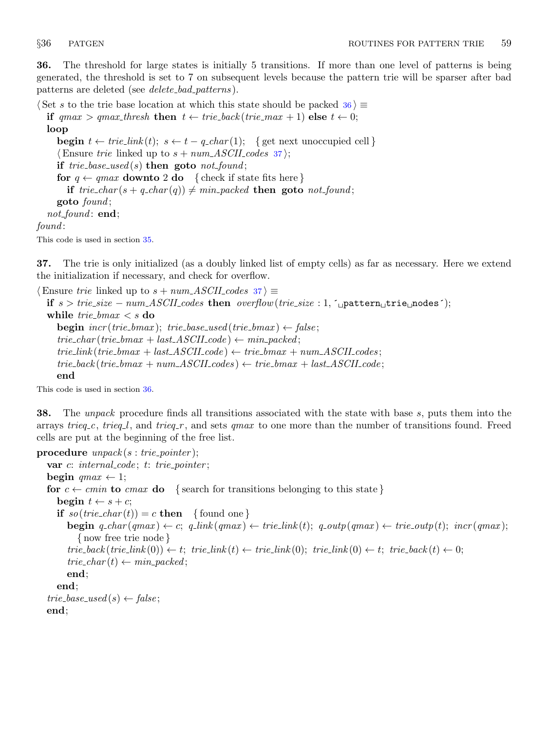<span id="page-14-0"></span>36. The threshold for large states is initially 5 transitions. If more than one level of patterns is being generated, the threshold is set to 7 on subsequent levels because the pattern trie will be sparser after bad patterns are deleted (see *delete\_bad\_patterns*).

 $\langle$  Set s to the trie base location at which this state should be packed 36  $\rangle \equiv$ 

if  $qmax > qmax$ -thresh then  $t \leftarrow trie$ -back(trie-max + 1) else  $t \leftarrow 0$ ; loop **begin**  $t \leftarrow trie\_link(t); s \leftarrow t - q\_char(1);$  {get next unoccupied cell }  $\langle$  Ensure trie linked up to  $s + num\_ASCII\_codes \; 37 \rangle;$ if  $trie\_base\_used(s)$  then goto not\_found; for  $q \leftarrow qmax$  downto 2 do { check if state fits here } if trie\_char(s + q\_char(q))  $\neq$  min\_packed then goto not\_found; goto found: not\_found:  $end;$ found:

This code is used in section [35](#page-13-0).

37. The trie is only initialized (as a doubly linked list of empty cells) as far as necessary. Here we extend the initialization if necessary, and check for overflow.

 $\langle$  Ensure trie linked up to s + num ASCII codes 37 $\rangle \equiv$ if  $s > true\_size - num\_ASCII\_codes$  then  $overflow (trie\_size : 1, \neg_\text{pattern\_trie_\text{u}nodes');$ while  $\text{tric}\text{-}\text{bmax} < s$  do **begin**  $\text{incr}(\text{trie}\_\text{bmax}); \text{ trie}\_\text{base}\_\text{used}(\text{trie}\_\text{bmax}) \leftarrow \text{false};$  $trie\_char(trie\_bmax + last\_ASCII\_code) \leftarrow min\_packet;$  $trie\_link (trie\_bmax + last\_ASCII\_code) \leftarrow trie\_bmax + num\_ASCII\_codes;$  $trie\text{-}back (trie\text{-}bmax + num\text{-}ASCII\text{-}codes) \leftarrow trie\text{-}bmax + last\text{-}ASCII\text{-}code;$ end

This code is used in section 36.

38. The unpack procedure finds all transitions associated with the state with base s, puts them into the arrays trieq c, trieq l, and trieq r, and sets qmax to one more than the number of transitions found. Freed cells are put at the beginning of the free list.

```
procedure unpack(s:trie\_pointer);var c: internal\_code; t: trie\_pointer;begin qmax \leftarrow 1;
  for c \leftarrow c cmin to cmax do { search for transitions belonging to this state}
     begin t \leftarrow s + c;
     if so(trie\_char(t)) = c then { found one }
        begin q_{char}(qmax) \leftarrow c; q_{link}(qmax) \leftarrow trie_{link}(t); q_{output}(qmax) \leftarrow trie_{output}(t); inc(qmax);{ now free trie node }
         trie\_\text{back}(trie\_\text{link}(0)) \leftarrow t; trie\_\text{link}(t) \leftarrow \text{trie}\_\text{link}(0); trie\_\text{link}(0) \leftarrow t; trie\_\text{back}(t) \leftarrow 0;
         trie\_char(t) \leftarrow min\_packet;end;
     end;
   trie\_base\_used(s) \leftarrow false;end;
```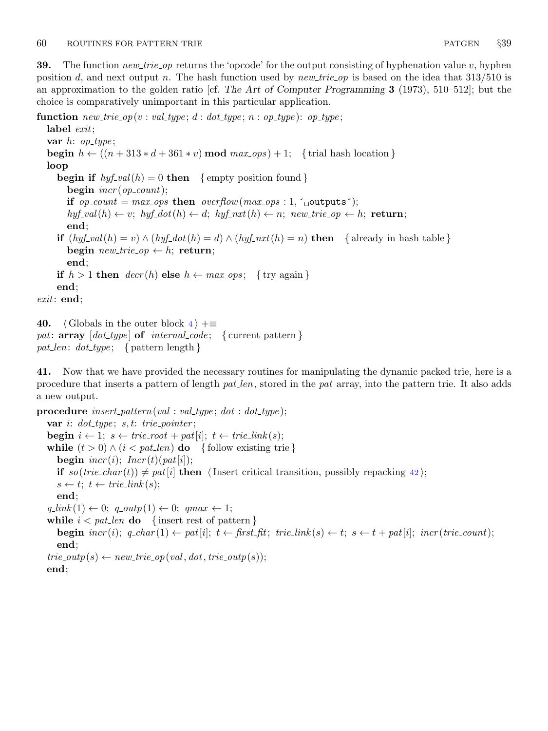<span id="page-15-0"></span>39. The function new trie op returns the 'opcode' for the output consisting of hyphenation value v, hyphen position d, and next output n. The hash function used by new trie op is based on the idea that  $313/510$  is an approximation to the golden ratio [cf. The Art of Computer Programming  $3$  (1973), 510–512]; but the choice is comparatively unimportant in this particular application.

function  $new\_trie\_op(v: val\_type; d: dot\_type; n: op\_type)$ : op\_type;

label exit; var  $h: op\_type;$ begin  $h \leftarrow ((n+313*d+361*v) \mod max\_ops) + 1;$  {trial hash location } loop **begin if**  $hyf\_val(h) = 0$  **then** { empty position found } begin  $\text{incr}(op\_count);$ if  $op\_count = max\_ops$  then  $overflow(max\_ops : 1, \neg_\text{i} outputs$ ;  $h y f\_val(h) \leftarrow v; hy f\_dot(h) \leftarrow d; hy f\_nxt(h) \leftarrow n; new\_trie\_op \leftarrow h; \textbf{return};$ end; if  $(hyf\_val(h) = v) \wedge (hyf\_dot(h) = d) \wedge (hyf\_nxt(h) = n)$  then {already in hash table} begin  $new\_trie\_op \leftarrow h$ ; return; end; if  $h > 1$  then  $decr(h)$  else  $h \leftarrow max\_{ops};$  { try again } end; exit: end;

[4](#page-2-0)0. (Globals in the outer block  $4$ ) +≡ pat:  $array [dot_type]$  of  $internal_code; \{ current pattern\}$ pat len:  $dot_type$ ; { pattern length }

41. Now that we have provided the necessary routines for manipulating the dynamic packed trie, here is a procedure that inserts a pattern of length *pat len*, stored in the pat array, into the pattern trie. It also adds a new output.

procedure  $insert\_pattern(val : val\_type; dot : dot\_type);$ var i:  $dot\_type$ ; s, t: trie\_pointer; **begin**  $i \leftarrow 1$ ;  $s \leftarrow trie\_root + pat[i]$ ;  $t \leftarrow trie\_link(s)$ ; while  $(t > 0) \wedge (i < pat\_len)$  do { follow existing trie} begin  $\text{incr}(i)$ ;  $\text{Incr}(t)(\text{pat}[i])$ ; if so(trie\_char(t))  $\neq$  pat[i] then  $\langle$  Insert critical transition, possibly repacking [42](#page-16-0) $\rangle$ ;  $s \leftarrow t$ ;  $t \leftarrow \text{trie\_link}(s)$ ; end;  $q\_{link}(1) \leftarrow 0; \ q\_{output}(1) \leftarrow 0; \ qmax \leftarrow 1;$ while  $i < pat\_len$  do { insert rest of pattern } **begin**  $\text{incr}(i); \ q\text{-}char(1) \leftarrow \text{pat}[i]; \ t \leftarrow \text{first-fit}; \ \text{trie\_link}(s) \leftarrow t; \ s \leftarrow t + \text{pat}[i]; \ \text{incr}(tree\text{-}count);$ end;  $trie\_outp(s) \leftarrow new\_trie\_op(val, dot, trie\_outp(s));$ end;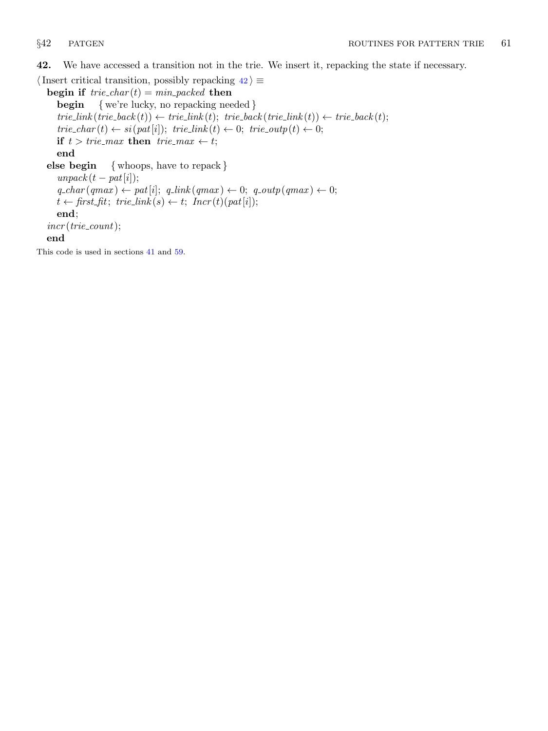<span id="page-16-0"></span>42. We have accessed a transition not in the trie. We insert it, repacking the state if necessary.

 $\langle$  Insert critical transition, possibly repacking  $42 \rangle \equiv$ begin if  $trie\_char(t) = min\_packet$  then begin { we're lucky, no repacking needed }  $trie\_link(trie\_back(t)) \leftarrow trie\_link(t); \ tree\_back(trie\_link(t)) \leftarrow trie\_back(t);$  $trie\_char(t) \leftarrow si(path[i]);$  trie\_link(t)  $\leftarrow 0;$  trie\_outp(t)  $\leftarrow 0;$ if  $t > \text{trie\_max}$  then  $\text{trie\_max} \leftarrow t;$ end else begin { whoops, have to repack }  $unpack(t - pat[i]);$  $q_{\text{-}}char(qmax) \leftarrow pat[i]; q_{\text{-}}link(qmax) \leftarrow 0; q_{\text{-}}output(qmax) \leftarrow 0;$  $t \leftarrow \text{first\_fit}; \text{trie\_link}(s) \leftarrow t; \text{Incr}(t)(\text{pat}[i]);$ end;  $incr (trie\_count);$ end

This code is used in sections [41](#page-15-0) and [59](#page-24-0).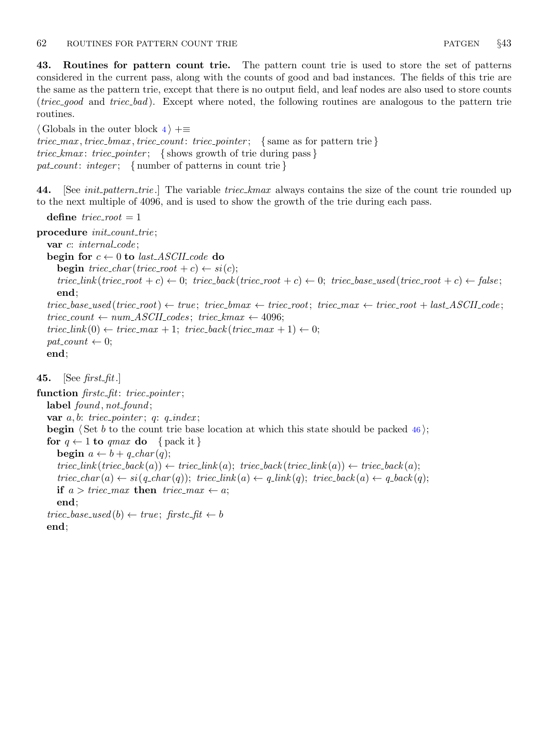<span id="page-17-0"></span>43. Routines for pattern count trie. The pattern count trie is used to store the set of patterns considered in the current pass, along with the counts of good and bad instances. The fields of this trie are the same as the pattern trie, except that there is no output field, and leaf nodes are also used to store counts *(triec\_good and triec\_bad).* Except where noted, the following routines are analogous to the pattern trie routines.

 $\langle$  Globals in the outer block [4](#page-2-0)  $\rangle$  +≡  $\text{triec\_max}, \text{triec\_bmax}, \text{triec\_count}: \text{triec\_pointer}; \ \ \{\text{same as for pattern trie}\}$ triec\_kmax: triec\_pointer; { shows growth of trie during pass } pat\_count: integer; { number of patterns in count trie}

44. [See *init\_pattern\_trie.*] The variable *triec\_kmax* always contains the size of the count trie rounded up to the next multiple of 4096, and is used to show the growth of the trie during each pass.

define  $\text{trace root} = 1$ 

procedure *init\_count\_trie*;

var c: internal\_code;

begin for  $c \leftarrow 0$  to last\_ASCII\_code do **begin** triec\_char(triec\_root + c)  $\leftarrow$  si(c); triec link (triec root + c) ← 0; triec back (triec root + c) ← 0; triec base used (triec root + c) ← false; end;  $t$ riec\_base\_used(triec\_root) ← true; triec\_bmax ← triec\_root; triec\_max ← triec\_root + last\_ASCII\_code;

 $\text{triec\_count} \leftarrow \text{num\_ASCII\_codes}; \text{triec\_kmax} \leftarrow 4096;$  $triec\_link(0) \leftarrow triec\_max + 1; \; triec\_back(triec\_max + 1) \leftarrow 0;$  $pat\_count \leftarrow 0;$ 

end;

45. [See  $first\_fit$ .]

function firstc\_fit: triec\_pointer; label found, not\_found; var  $a, b: \text{triec\_pointer}; q: q\_index;$ **begin**  $\langle$  Set b to the count trie base location at which this state should be packed [46](#page-18-0) $\rangle$ ; for  $q \leftarrow 1$  to *qmax* do { pack it } begin  $a \leftarrow b + q_{\text{c}} \cdot \text{char}(q);$  $triec\_link(triec_back(a)) \leftarrow triec\_link(a); \ trace\_back(triec\_link(a)) \leftarrow triec_back(a);$  $triec\_char(a) \leftarrow si(q\_char(q)); \; triec\_link(a) \leftarrow q\_link(q); \; triec\_back(a) \leftarrow q\_back(q);$ if  $a > \text{triec\_max}$  then  $\text{triec\_max} \leftarrow a$ ; end;  $\text{trace}$ -base\_used(b)  $\leftarrow \text{true}; \text{firstc}_\text{rfit} \leftarrow b$ end;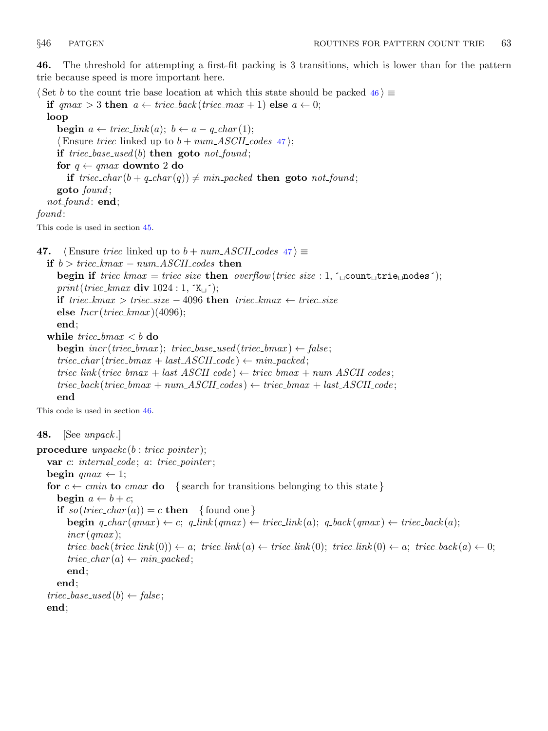<span id="page-18-0"></span>46. The threshold for attempting a first-fit packing is 3 transitions, which is lower than for the pattern trie because speed is more important here.

```
\sqrt{\det b} to the count trie base location at which this state should be packed 46 \rangle \equivif qmax > 3 then a \leftarrow \text{tree}\text{-}back(\text{tree}\text{-}max + 1) else a \leftarrow 0;
  loop
      begin a \leftarrow \text{tree\_link}(a); b \leftarrow a - q_{\text{-}}\text{char}(1);\langle Ensure triec linked up to b + num\_ASCII\_codes \; 47 \rangle;if \mathit{triec}\_base\_used(b) then goto \mathit{not}\_found;for q \leftarrow qmax downto 2 do
         if triec_char(b + q_char(q)) \neq min_packed then goto not_found;
      goto found ;
   not_{\text{-}found:} end;
found:
This code is used in section 45.
47. (Ensure triec linked up to b + num\_ASCII \cdot codes 47) \equivif b > \text{triec}<sub>kmax</sub> – num<sub>-ASCII-codes</sub> then
      begin if triec_kmax = triec_size then overflow (triec_size : 1, \neg \text{count\_trie}, \text{nodes'});print (triec_kmax div 1024 : 1, K_{\sqcup});
      if triec_kmax > triec_size – 4096 then triec_kmax \leftarrow triec_size
      else Incr(triec_kmax)(4096);end;
   while \text{trace}-bmax 
      begin \text{incr}( \text{tree\_bmax}); \text{~ \text{tree\_base\_used}( \text{tree\_bmax}) \leftarrow \text{false};triec\_char(triec\_bmax + last\_ASCII\_code) \leftarrow min\_packet;triec\_link(triec\_bmax + last\_ASCII\_code) \leftarrow triec\_bmax + num\_ASCII\_codes;triec_back(triec_bmax + num_ASCII_codes) \leftarrow triec_bmax + last_ASCII_code;end
This code is used in section 46.
48. [See unpack.]
procedure unpacket(b:trice\_pointer);var c: internal_code; a: triec_pointer;
  begin qmax \leftarrow 1;
   for c \leftarrow c cmin to cmax do { search for transitions belonging to this state }
      begin a \leftarrow b + c;
      if so(triec\_char(a)) = c then { found one }
         begin q\text{-}char(qmax) \leftarrow c; q\text{-}link(qmax) \leftarrow \text{triec}\text{-}link(a); q\text{-}back(qmax) \leftarrow \text{triec}\text{-}back(a);
         incr(qmax);\text{trace}\text{.back}(t\text{rice}\text{.link}(0)) \leftarrow a; \text{~tree}\text{.link}(a) \leftarrow \text{tree}\text{.link}(0); \text{~tree}\text{.link}(0) \leftarrow a; \text{~tree}\text{.back}(a) \leftarrow 0;triec\_char(a) \leftarrow min\_packet;end;
      end;
   \text{trace}\_\text{base}\_\text{used}(b) \leftarrow \text{false};end;
```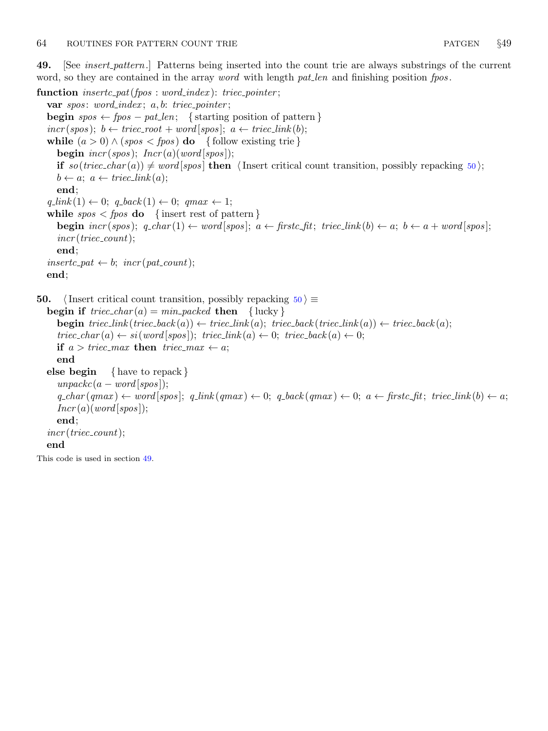<span id="page-19-0"></span>49. [See insert pattern.] Patterns being inserted into the count trie are always substrings of the current word, so they are contained in the array word with length pat len and finishing position fpos.

```
function insertc\_pat(fpos: word_index):\ tree\_pointer;var spos: word_index; a, b: triec\_pointer;begin spos \leftarrow fpos - pat\_len; { starting position of pattern }
   incr(spos); b \leftarrow triec\_root + word[spos]; a \leftarrow triec\_link(b);while (a > 0) \wedge (spos < fpos) do { follow existing trie}
      begin \text{incr}(spos); \text{Incr}(a)(\text{word}[spos]);
      if so(triec(char(a)) \neq word[spos] then \langle Insert critical count transition, possibly repacking 50\rangle;
      b \leftarrow a; a \leftarrow \text{triec\_link}(a);
      end;
   q\_{link}(1) \leftarrow 0; \ q\_{back}(1) \leftarrow 0; \ qmax \leftarrow 1;while spos < fpos do { insert rest of pattern }
      begin incr(spos); q\_char(1) \leftarrow word[spos]; a \leftarrow firstc\_lit; triec\_link(b) \leftarrow a; b \leftarrow a + word[spos];incr (trice\_count);end;
   insertc_pat \leftarrow b; incr(pat_count);
   end;
50. (Insert critical count transition, possibly repacking 50 \gebegin if triec_char(a) = min_packed then { lucky }
      begin triec_link (triec\text{-}back(a)) \leftarrow triec\text{-}link(a); triec_back (triec\text{-}link(a)) \leftarrow triec\text{-}back(a);triec\_char(a) \leftarrow si(word[spos]); triec\_link(a) \leftarrow 0; triec\_back(a) \leftarrow 0;
      if a > \text{tree\_max} then \text{tree\_max} \leftarrow a;
      end
   else begin { have to repack }
      unpacket(a - word[spos]);
      q_{\text{c}} = q_{\text{c}}(q_{\text{max}}) \leftarrow word [spos]; q_{\text{c}} = q_{\text{c}}(q_{\text{max}}) \leftarrow 0; q_{\text{c}} = q_{\text{c}}(q_{\text{max}}) \leftarrow 0; q_{\text{c}} \leftarrow firstc_fit; trice_link(b) \leftarrow a;
      Incr(a)(word[spos]);
      end;
   \textit{incr}( \textit{tree\_count});end
This code is used in section 49.
```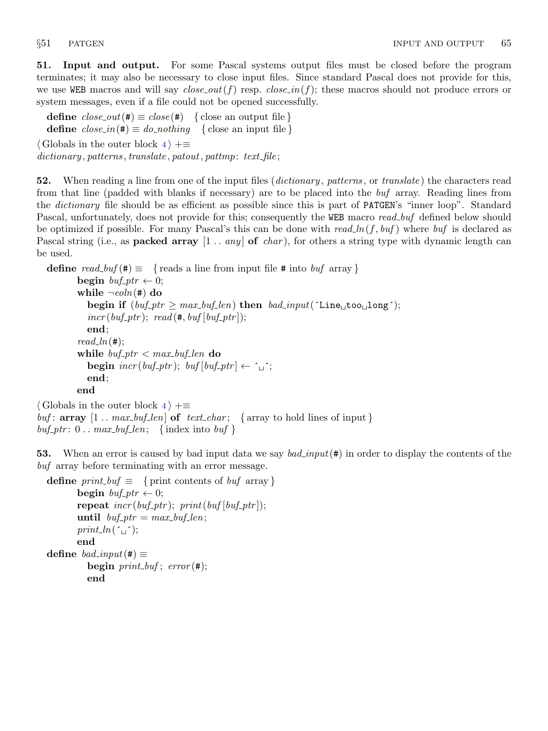<span id="page-20-0"></span>51. Input and output. For some Pascal systems output files must be closed before the program terminates; it may also be necessary to close input files. Since standard Pascal does not provide for this, we use WEB macros and will say  $close\_out(f)$  resp.  $close\_in(f)$ ; these macros should not produce errors or system messages, even if a file could not be opened successfully.

define  $close\_out(\#) \equiv close(\#)$  { close an output file } define  $close_in(\#) \equiv do\_nothing$  { close an input file }  $\langle$  Globals in the outer block [4](#page-2-0)  $\rangle$  +≡  $dictionary, patterns, translate, patout, pattmp: text_file;$ 

52. When reading a line from one of the input files (dictionary, patterns, or translate) the characters read from that line (padded with blanks if necessary) are to be placed into the buf array. Reading lines from the *dictionary* file should be as efficient as possible since this is part of **PATGEN's** "inner loop". Standard Pascal, unfortunately, does not provide for this; consequently the WEB macro read buf defined below should be optimized if possible. For many Pascal's this can be done with  $read\_ln(f, but)$  where buf is declared as Pascal string (i.e., as **packed array**  $[1 \tildot a ny]$  of *char*), for others a string type with dynamic length can be used.

**define** read\_buf (#)  $\equiv$  { reads a line from input file # into buf array } begin  $\text{buf}\_\text{ptr} \leftarrow 0;$ while  $\neg$ *eoln*(#) do begin if  $(buf_ptr \geq max_buf_llen)$  then  $bad_iinput('Line_ltoo_llong');$  $incr (buf\_ptr); \text{ } read (\#, buf [buf\_ptr])$ ; end;  $read\_ln(\#);$ while  $buf\_ptr < max_buf\_len$  do **begin**  $\text{incr}(buf\_ptr); \text{buf}[buf\_ptr] \leftarrow \ulcorner \lrcorner \urcorner;$ end; end  $\langle$  Globals in the outer block [4](#page-2-0)  $\rangle$  +≡

buf:  $array \ [1.. \ max_b$ -buf-len] of text-char; { array to hold lines of input }  $buf_ptr: 0...max_buf_-len; \{index into but\}$ 

53. When an error is caused by bad input data we say  $bad_input(\#)$  in order to display the contents of the buf array before terminating with an error message.

```
define print\_buf \equiv \{ print contents of buf array \}begin \text{buf}\_\text{ptr} \leftarrow 0;repeat \text{incr}( \text{buf}\_ \text{ptr}); \text{ print}(\text{buf}\_ \text{ptr});until buf\_ptr = max_buf\_len;print\_ln(\lceil \_ \rceil);end
define bad\_input(\#) \equivbegin print\_buf; error(#);end
```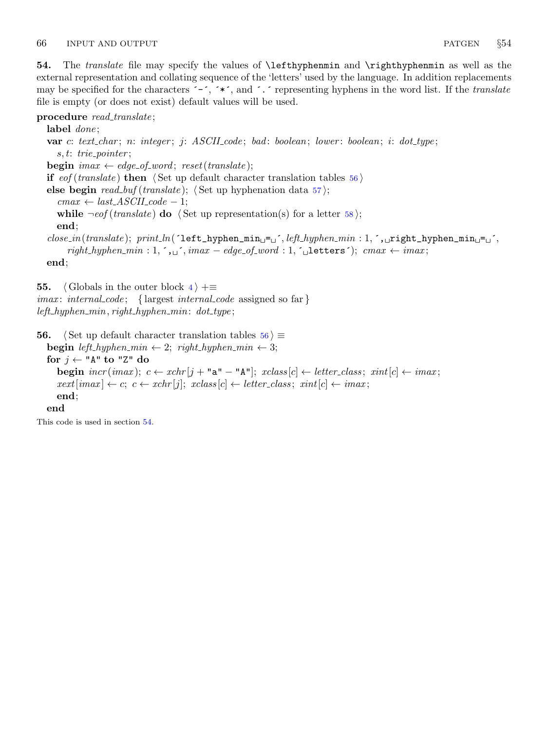<span id="page-21-0"></span>54. The translate file may specify the values of **\lefthyphenmin** and **\righthyphenmin** as well as the external representation and collating sequence of the 'letters' used by the language. In addition replacements may be specified for the characters ´-´, ´\*´, and ´.´ representing hyphens in the word list. If the *translate* file is empty (or does not exist) default values will be used.

#### procedure read\_translate;

```
label done;
```
var  $c: text_{char}$ ; n: integer; j: ASCII-code; bad: boolean; lower: boolean; i:  $dot_type$ ; s, t: trie pointer ;

**begin**  $imax \leftarrow edge_of_world; reset(trainslate);$ 

if eof (translate) then  $\langle$  Set up default character translation tables 56  $\rangle$ 

else begin read buf (translate);  $\langle$  Set up hyphenation data [57](#page-22-0) $\rangle$ ;

 $cmax \leftarrow last\_ASCII\_code-1;$ 

while  $\neg \text{cof}(translate)$  do  $\langle$  Set up representation(s) for a letter [58](#page-23-0) $\rangle$ ;

end;

```
close\_in(trainslate); \ print\_ln('left\_hyphen\_min\_=_\_', left\_hyphen\_min : 1, ', \text{aright\_hyphen\_min\_=_\_',}right_hyphen_min : 1, \ldots, \ldots, max - edge_of_word : 1, \ldots etters'); cmax \leftarrow imax;end;
```
55. (Globals in the outer block  $4$ ) +≡

*imax: internal code*; { largest *internal code* assigned so far }  $left\_hyper.min, right\_hyper.min: dot\_type;$ 

```
56. \langle Set up default character translation tables 56 \rangle \equivbegin left_hyphen_min \leftarrow 2; right_hyphen_min \leftarrow 3;
  for j \leftarrow "A" to "Z" do
     begin incr(imax); c \leftarrow xchr[j + "a" - "A"]; xclass[c] \leftarrow letter\_class; xint[c] \leftarrow imax;
     xext[imax] \leftarrow c; c \leftarrow xchr[j]; xclass[c] \leftarrow letter\_class; xint[c] \leftarrow imax;end;
  end
```
This code is used in section 54.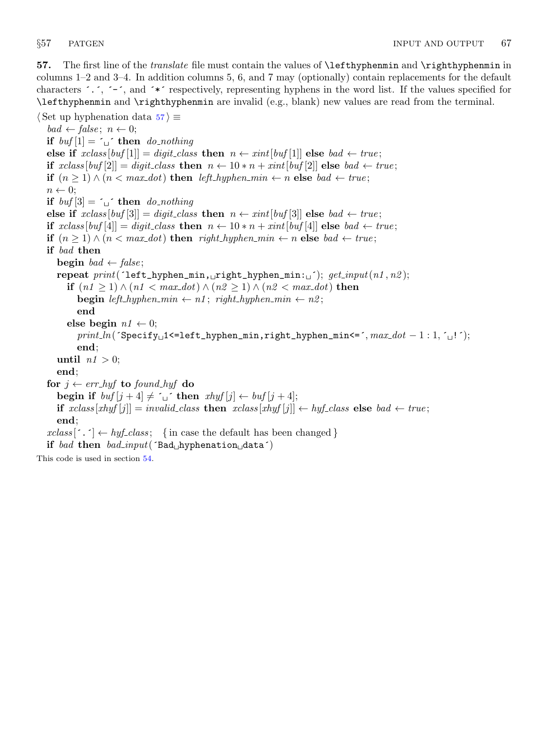<span id="page-22-0"></span>57. The first line of the *translate* file must contain the values of **\lefthyphenmin** and **\righthyphenmin** in columns 1–2 and 3–4. In addition columns 5, 6, and 7 may (optionally) contain replacements for the default characters ´.´, ´−´, and ´\*´ respectively, representing hyphens in the word list. If the values specified for \lefthyphenmin and \righthyphenmin are invalid (e.g., blank) new values are read from the terminal.

 $\langle$  Set up hyphenation data 57 $\rangle \equiv$  $bad \leftarrow false; n \leftarrow 0;$ if  $buf[1] = \frown$  then do\_nothing else if  $xclass[buf[1]] = digit\_class$  then  $n \leftarrow xint[buf[1]]$  else  $bad \leftarrow true;$ if xclass  $[buf[2]] = digit\_class$  then  $n \leftarrow 10*n + xint[buf[2]]$  else bad  $\leftarrow true;$ if  $(n \geq 1) \wedge (n < max\_dot)$  then left\_hyphen\_min  $\leftarrow n$  else bad  $\leftarrow true$ ;  $n \leftarrow 0$ ; if  $buf[3] = \frown$  then do\_nothing else if  $xclass[buf[3]] = digit-class$  then  $n \leftarrow xint[buf[3]]$  else bad  $\leftarrow true;$ if xclass  $[buf[4]] = digit\_{class}$  then  $n \leftarrow 10*n + xint[buf[4]]$  else bad  $\leftarrow true$ ; if  $(n \geq 1) \land (n < max\_dot)$  then right\_hyphen\_min ← n else bad ← true; if bad then begin bad  $\leftarrow$  false; repeat  $print('left\_hyphen\_min, 'right\_hyphen\_min: '')$ ; get\_input(n1, n2); if  $(n1 \geq 1) \wedge (n1 < max\_dot) \wedge (n2 \geq 1) \wedge (n2 < max\_dot)$  then **begin** left\_hyphen\_min  $\leftarrow n1$ ; right\_hyphen\_min  $\leftarrow n2$ ; end else begin  $n1 \leftarrow 0$ ; print ln(´Specify 1<=left\_hyphen\_min,right\_hyphen\_min <= ´,  $max\_dot - 1 : 1,$  ´,'); end; until  $n! > 0$ ; end; for  $j \leftarrow err\_hyf$  to found hyf do begin if  $buf[i+4] \neq \lceil \cdot \rceil$  then  $xhyf[j] \leftarrow \text{buf}[j+4]$ ; if xclass  $[xh y f[j]] = invalid-class$  then  $xclass [xh y f[j]] \leftarrow hyf-class$  else bad  $\leftarrow true$ ; end;  $xclass [\tilde{\ }} \cdot ] \leftarrow hyf-class; \text{ { in case the default has been changed } }$ if bad then  $bad\_input($  "Bad $_l$ hyphenation $_l$ data")

This code is used in section [54](#page-21-0).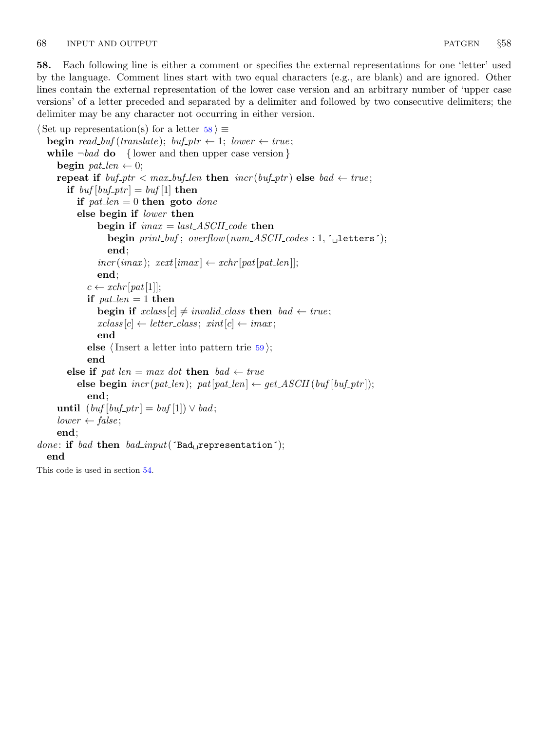<span id="page-23-0"></span>58. Each following line is either a comment or specifies the external representations for one 'letter' used by the language. Comment lines start with two equal characters (e.g., are blank) and are ignored. Other lines contain the external representation of the lower case version and an arbitrary number of 'upper case versions' of a letter preceded and separated by a delimiter and followed by two consecutive delimiters; the delimiter may be any character not occurring in either version.

```
\langle Set up representation(s) for a letter 58 \rangle \equivbegin read_buf (translate); buf_ptr \leftarrow 1; lower \leftarrow true;
  while \neg bad do { lower and then upper case version }
     begin pat\_len \leftarrow 0;repeat if buf\_ptr < max_buf\_len then incr(buf\_ptr) else bad \leftarrow true;
        if buf[buf_ptr] = buf[1] then
           if pat\_len = 0 then goto done
           else begin if lower then
                 begin if imax = last \text{A} \text{S} \text{C} \text{II} \text{A} \text{z} then
                    begin print\_buf; overflow(num\_ASCII\_codes:1, \lceil \lceil \cdot \rceil] letters');
                    end;
                 incr(imax); \; xext[imax] \leftarrow xchr[pat[pat\_len]];end;
              c \leftarrow xchr[pat[1]];if pat\_len = 1 then
                 begin if xclass[c] \neq invalid-class then bad \leftarrow true;xclass[c] \leftarrow letter\_class; xint[c] \leftarrow imax;end
              else \langle59\rangle;
              end
        else if pat\_len = max\_dot then bad \leftarrow trueelse begin \text{incr}(\text{pat\_len}); \text{pat}[\text{pat\_len}] \leftarrow \text{get}\_ASCII(\text{buf}[\text{buf}\_ptr]);
              end;
     until (buf[buf\_ptr] = buf[1]) \vee bad;lower \leftarrow false:
     end;
done: if bad then bad\_input('Bad<sub>u</sub>representation<sup>-</sup>);
  end
This code is used in section 54.
```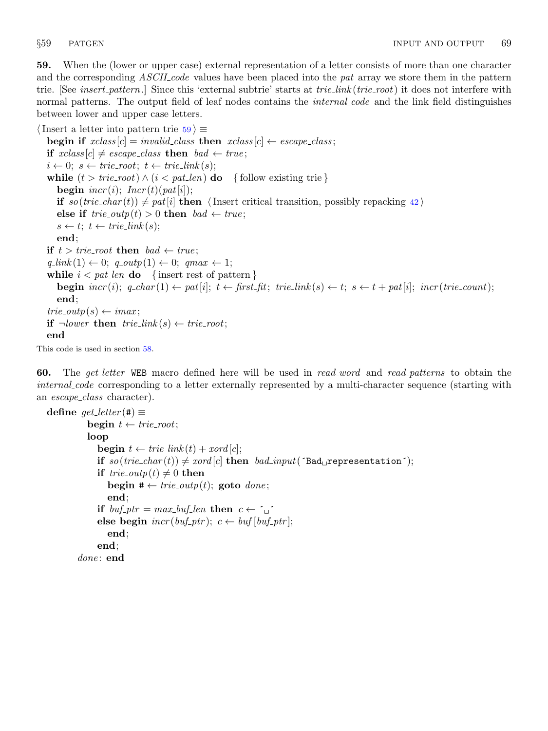<span id="page-24-0"></span>59. When the (lower or upper case) external representation of a letter consists of more than one character and the corresponding *ASCII code* values have been placed into the pat array we store them in the pattern trie. [See *insert\_pattern.*] Since this 'external subtrie' starts at  $trie\_link(trie-root)$  it does not interfere with normal patterns. The output field of leaf nodes contains the *internal code* and the link field distinguishes between lower and upper case letters.

 $\langle$  Insert a letter into pattern trie 59 $\rangle$  ≡ begin if  $xclass[c] = invalid\_class$  then  $xclass[c] \leftarrow escape\_class;$ if  $xclass[c] \neq escape\_class$  then bad  $\leftarrow true;$  $i \leftarrow 0; s \leftarrow trie\_root; t \leftarrow trie\_link(s);$ while  $(t > trie\_root) \wedge (i < pat\_len)$  do { follow existing trie} begin  $\text{incr}(i)$ ;  $\text{Incr}(t)(\text{pat}[i])$ ; if so(trie\_char(t))  $\neq$  pat[i] then  $\langle$  Insert critical transition, possibly repacking [42](#page-16-0) $\rangle$ else if  $trie\_output(t) > 0$  then  $bad \leftarrow true$ ;  $s \leftarrow t$ ;  $t \leftarrow \text{trie\_link}(s)$ ; end; if  $t > \text{trie-root}$  then  $bad \leftarrow \text{true};$  $q\_{link}(1) \leftarrow 0; \ q\_{output}(1) \leftarrow 0; \ qmax \leftarrow 1;$ while  $i < pat\_len$  do { insert rest of pattern } **begin**  $incr(i); q\_char(1) \leftarrow pat[i]; t \leftarrow first\_fit; trie\_link(s) \leftarrow t; s \leftarrow t + pat[i]; incr(trie\_count);$ end;  $trie\_output(s) \leftarrow imax;$ if  $\neg lower$  then  $trie\_link(s) \leftarrow trie\_root;$ end This code is used in section [58](#page-23-0).

60. The get letter WEB macro defined here will be used in read word and read patterns to obtain the internal code corresponding to a letter externally represented by a multi-character sequence (starting with an escape\_class character).

```
define get\_letter (#) \equivbegin t \leftarrow \text{trie-root};loop
              begin t \leftarrow \text{trie\_link}(t) + \text{zord}[c];if so(trie\_char(t)) \neq xord[c] then bad\_input('Bad\_representation');if trie_outp(t) \neq 0 then
                 begin # \leftarrow trie\_output(t); goto done;
                 end;
              if buf\_ptr = max_buf\_len then c \leftarrow \lceil \cdot \rceilelse begin \text{incr}(buf\_ptr); c \leftarrow \text{buf}[buf\_ptr];
                 end;
              end;
         done: end
```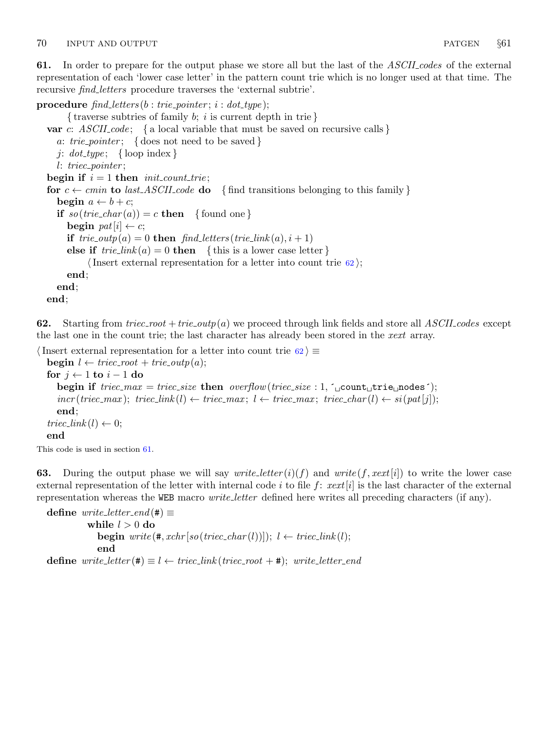<span id="page-25-0"></span>61. In order to prepare for the output phase we store all but the last of the ASCII codes of the external representation of each 'lower case letter' in the pattern count trie which is no longer used at that time. The recursive *find letters* procedure traverses the 'external subtrie'.

procedure  $find\_letters(b:trie\_pointer; i: dot\_type);$ 

{traverse subtries of family  $b$ ; i is current depth in trie} var c:  $ASCH\_{code}$ ; { a local variable that must be saved on recursive calls } a: trie\_pointer; { does not need to be saved } j:  $dot_type$ ; {loop index} l: triec pointer ; begin if  $i = 1$  then *init\_count\_trie*; for  $c \leftarrow cmin$  to last ASCII code do { find transitions belonging to this family } begin  $a \leftarrow b + c$ ; if  $so(trie\_char(a)) = c$  then { found one } begin pat[i]  $\leftarrow c$ ; if  $trie\_outp(a) = 0$  then  $find\_letters(trie\_link(a), i + 1)$ else if  $trie\_link(a) = 0$  then { this is a lower case letter } (Insert external representation for a letter into count trie  $62$ ); end; end; end;

62. Starting from triec root + trie outp(a) we proceed through link fields and store all ASCII codes except the last one in the count trie; the last character has already been stored in the xext array.

(Insert external representation for a letter into count trie  $62$ )  $\equiv$ 

**begin**  $l \leftarrow \text{tree\_root} + \text{trie\_output}(a);$ for  $j$  ← 1 to  $i - 1$  do begin if triec\_max = triec\_size then overflow(triec\_size : 1,  $\sim$  count  $_{\text{u}}$ trie $_{\text{u}}$ nodes');  $inc(rice\_max)$ ;  $triec\_link(l) \leftarrow triec\_max; l \leftarrow triec\_max; triec\_char(l) \leftarrow si(pat[j]);$ end;  $triec\_link(l) \leftarrow 0;$ end This code is used in section 61.

**63.** During the output phase we will say *write.letter*  $(i)(f)$  and *write*  $(f, xext[i])$  to write the lower case external representation of the letter with internal code i to file f:  $xext[i]$  is the last character of the external representation whereas the WEB macro *write\_letter* defined here writes all preceding characters (if any).

```
define write_letter_end(#) \equivwhile l > 0 do
              begin write (\text{#}, xchr[so(triec\_char(l))]); l \leftarrow triec\_link(l);
              end
define write_letter (\sharp) \equiv l \leftarrow triec_link (triec_root + \sharp); write_letter_end
```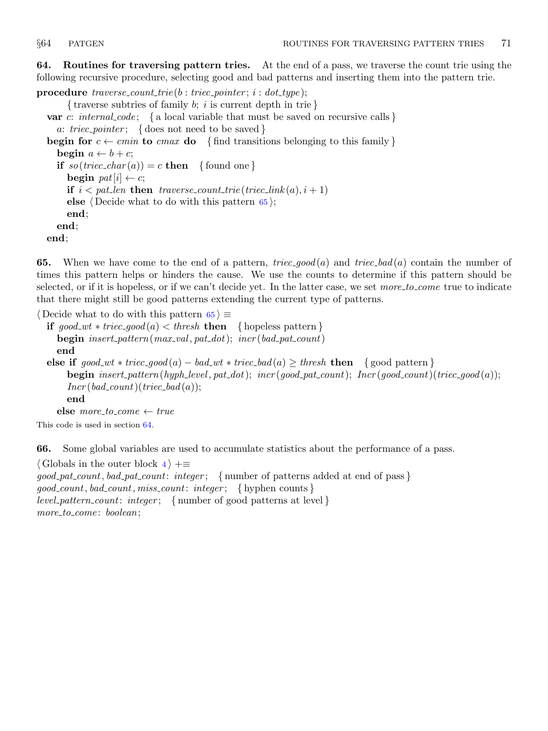<span id="page-26-0"></span>64. Routines for traversing pattern tries. At the end of a pass, we traverse the count trie using the following recursive procedure, selecting good and bad patterns and inserting them into the pattern trie.

```
procedure traverse\_count\_trie(b:triec\_pointer; i: dot\_type);{traverse subtries of family b; i is current depth in trie }
  var c: internal code; { a local variable that must be saved on recursive calls }
    a: triec_pointer; { does not need to be saved }
  begin for c \leftarrow cmin to cmax do {find transitions belonging to this family }
    begin a \leftarrow b + c;
    if so(triec\_char(a)) = c then { found one }
       begin pat[i] \leftarrow c;
       if i < pat\_len then traverse_count_trie(triec_link(a), i + 1)
       else \langle Decide what to do with this pattern 65\rangle;
       end;
    end;
  end;
```
**65.** When we have come to the end of a pattern, *triec\_good* (a) and *triec\_bad* (a) contain the number of times this pattern helps or hinders the cause. We use the counts to determine if this pattern should be selected, or if it is hopeless, or if we can't decide yet. In the latter case, we set more to come true to indicate that there might still be good patterns extending the current type of patterns.

 $\langle$  Decide what to do with this pattern 65  $\rangle \equiv$ if  $good\_wt * triec\_good(a) < thresh$  then { hopeless pattern }  $begined{equation*} \textbf{begin} \textbf{if} \textbf{if} \textbf{if} \textbf{if} \textbf{if} \textbf{if} \textbf{if} \textbf{if} \textbf{if} \textbf{if} \textbf{if} \textbf{if} \textbf{if} \textbf{if} \textbf{if} \textbf{if} \textbf{if} \textbf{if} \textbf{if} \textbf{if} \textbf{if} \textbf{if} \textbf{if} \textbf{if} \textbf{if} \textbf{if} \textbf{if} \textbf{if} \textbf{if} \textbf{if} \textbf{if} \textbf{if} \textbf{if} \textbf{if} \textbf$ end else if  $good\_wt * \text{tricc\_good}(a) - bad\_wt * \text{tricc\_bad}(a) \geq \text{thresh}$  then { good pattern } **begin** insert\_pattern(hyph\_level, pat\_dot); incr(good\_pat\_count);  $Incr(good\_count)(triec\_good(a));$  $Incr (bad\_count)(tree\_bad(a));$ end else more\_to\_come  $\leftarrow$  true

This code is used in section 64.

66. Some global variables are used to accumulate statistics about the performance of a pass.

 $\langle$  Globals in the outer block [4](#page-2-0)  $\rangle$  +≡  $good\_pat_count, bad\_pat_count: integer; \{ number of patterns added at end of pass \}$  $good_count, bad_count, miss_count: integer; \{hyphen counts\}$  $level{\text -}pattern{\text -}count\colon\text{-}integer;\quad\{\text{number of good patterns at level}\}$ more\_to\_come: boolean;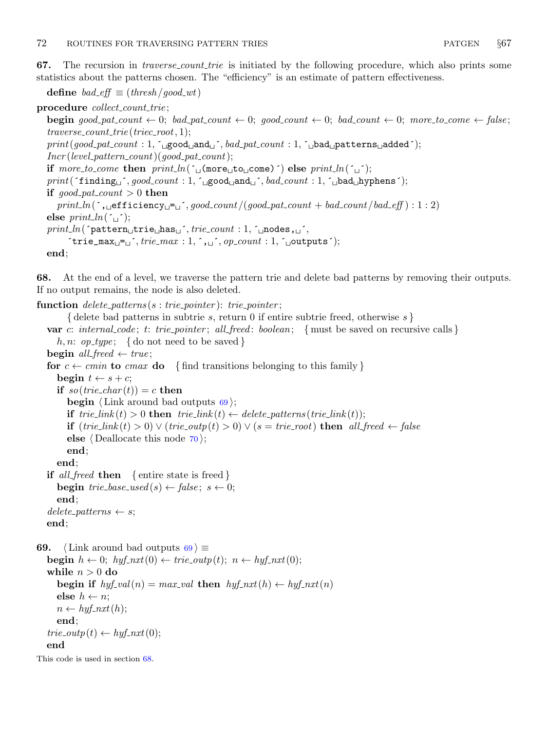<span id="page-27-0"></span>67. The recursion in *traverse\_count\_trie* is initiated by the following procedure, which also prints some statistics about the patterns chosen. The "efficiency" is an estimate of pattern effectiveness.

define bad\_eff  $\equiv$  (thresh /good\_wt)

procedure collect\_count\_trie;

**begin** good\_pat\_count  $\leftarrow 0$ ; bad\_pat\_count  $\leftarrow 0$ ; good\_count  $\leftarrow 0$ ; bad\_count  $\leftarrow 0$ ; more\_to\_come  $\leftarrow$  false;  $traverse\_count\_trie(triec\_root, 1);$ 

```
print(good\_pat.count: 1, \neg_\text{good\_and\_}, bad\_pat_count: 1, \neg_\text{ubad\_pattern\_added'});Incr (level{\textsubscript{}}{\textsubscript{}}) (good{\textsubscript{}}{\textsubscript{}});
```
if more to come then  $print\_ln(\uparrow \text{__(more\_to \text{__cone})'})$  else  $print\_ln(\uparrow \text{__})$ ;

 $print($  finding  $\_$ ,  $good_count : 1,$   $\lceil \lceil \cdot \rfloor$  good  $\lceil \cdot \text{and} \rceil$   $\_$ ,  $bad_count : 1,$   $\lceil \cdot \rfloor$  bad  $\lceil \cdot \rfloor$  hens $\lceil \cdot \rceil$ ;

```
if good_pat_count > 0 then
```
 $print\_ln($ ,  $getficiency\_=_1$ ,  $good_count/(good\_pat_count + bad_count/bad\_eff) : 1 : 2)$ else  $print\_ln(\lceil \rceil)$ ;

```
print\_ln( 'pattern_{\sqcup}trie_{\sqcup}has_{\sqcup}, trie\_count : 1, '{}_{\sqcup}nodes_{\sqcup},
```

```
\text{`trie\_max}_{\sqcup} = \text{`}, \text{trie\_max} : 1, \text{`}, \sqcup \text{`}, \text{op\_count} : 1, \text{`} \sqcup \text{outputs'});
```
end;

68. At the end of a level, we traverse the pattern trie and delete bad patterns by removing their outputs. If no output remains, the node is also deleted.

```
function delete\_patterns(s:trie\_pointer): trie\_pointer;{ delete bad patterns in subtrie s, return 0 if entire subtrie freed, otherwise s }
  var c: internal code; t: trie pointer; all freed: boolean; { must be saved on recursive calls }
     h, n: op_type; { do not need to be saved }
  begin all_freed \leftarrow true;
  for c \leftarrow cmin to cmax do {find transitions belonging to this family}
     begin t \leftarrow s + c;
     if so(trie\_char(t)) = c then
        begin \langle Link around bad outputs 69\rangle;
        if trie_link(t) > 0 then trie_link(t) \leftarrow delete_patterns(trie_link(t));
        if (trie\_link(t) > 0) \vee (trie\_output(t) > 0) \vee (s = trie\_root) then all-freed \leftarrow falseelse \langle Deallocate this node \langle70\rangle;
        end;
     end;
  if all freed then { entire state is freed }
     begin trie_base_used(s) \leftarrow false; s \leftarrow 0;
     end;
   delete_{\text{in}} \leftarrow s;end;
69. (Link around bad outputs 69) \equivbegin h \leftarrow 0; hyf_nxt(0) \leftarrow trie\_output(t); n \leftarrow hyf_nxt(0);while n > 0 do
     begin if hyf\_val(n) = max\_val then hyf\_nxt(h) \leftarrow hyf\_nxt(n)else h \leftarrow n;
     n \leftarrow \text{hyf\_nxt}(h);end;
  trie\_outp(t) \leftarrow hyf_nxt(0);end
This code is used in section 68.
```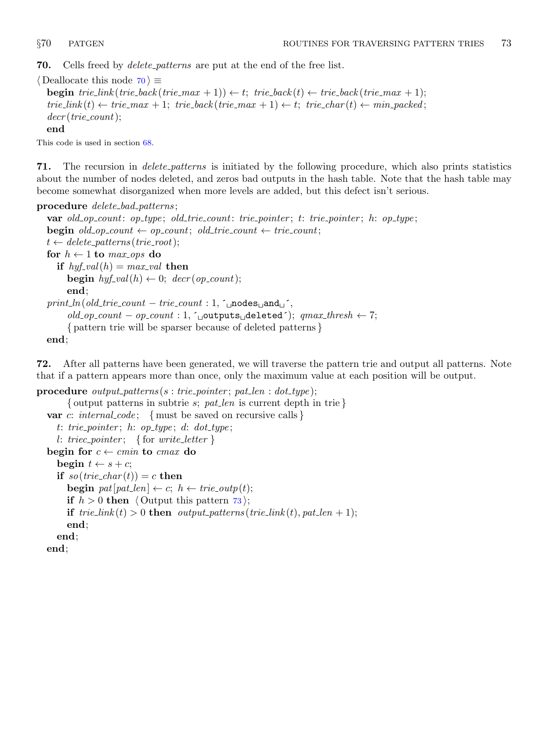<span id="page-28-0"></span>**70.** Cells freed by *delete\_patterns* are put at the end of the free list.

```
\langle Deallocate this node 70 \rangle \equivbegin trie_link (trie_back (trie_max + 1)) \leftarrow t; trie_back (t) \leftarrow trie_back (trie_max + 1);
   trie\_link(t) \leftarrow trie\_max + 1; \; trie\_back(trie\_max + 1) \leftarrow t; \; trie\_char(t) \leftarrow min\_packet;decr (trie\_count);end
```
This code is used in section [68](#page-27-0).

**71.** The recursion in *delete patterns* is initiated by the following procedure, which also prints statistics about the number of nodes deleted, and zeros bad outputs in the hash table. Note that the hash table may become somewhat disorganized when more levels are added, but this defect isn't serious.

#### procedure *delete\_bad\_patterns*;

```
var old op count: op type; old trie count: trie pointer; t: trie pointer; h: op type;
begin old_op_count \leftarrow op_count; old_trie_count \leftarrow trie_count;
t \leftarrow delete\_patterns (trie\_root);for h \leftarrow 1 to max ops do
  if hyf\_val(h) = max\_val then
     begin hyf_val(h) \leftarrow 0; \text{decr}(op_count);end;
print\_ln(old\_trie\_count - trie\_count : 1, \neg_\text{podes\_and\_},old\_op\_count - op\_count : 1, \neg_\Boxoutputs_\Boxdeleted´); qmax\_thresh \leftarrow 7;{ pattern trie will be sparser because of deleted patterns }
end;
```
72. After all patterns have been generated, we will traverse the pattern trie and output all patterns. Note that if a pattern appears more than once, only the maximum value at each position will be output.

```
procedure output\_patterns(s:trie\_pointer; pat\_len:dot\_type);{ output patterns in subtrie s; pat len is current depth in trie}
  var c: internal code; { must be saved on recursive calls }
    t: trie_pointer; h: op\_type; d: dot_type;
    l: triec_pointer; { for write_letter }
  begin for c \leftarrow cmin to cmax do
    begin t \leftarrow s + c;
    if so(trie\_char(t)) = c then
       begin pat[pat\_len] \leftarrow c; h \leftarrow trie\_outp(t);
       if h > 0 then \langle73\rangle;
       if trie\_link(t) > 0 then output patterns (trie link (t), pat len + 1);
       end;
    end;
  end;
```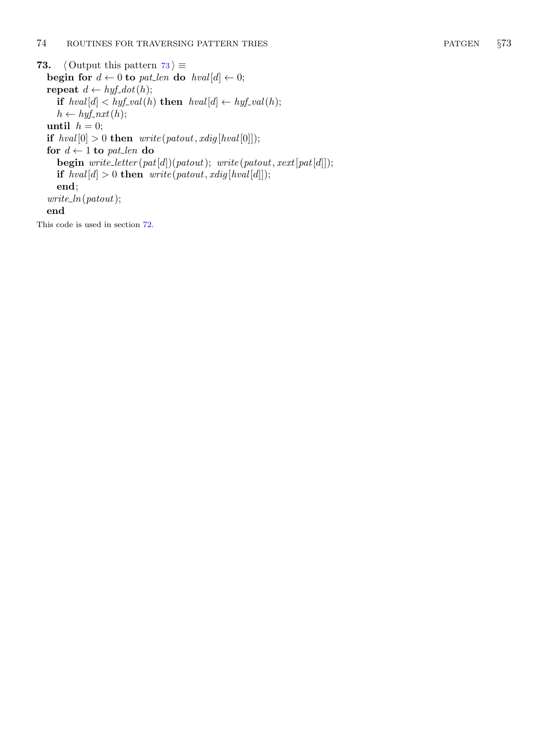<span id="page-29-0"></span>73.  $\langle$  Output this pattern 73  $\rangle \equiv$ begin for  $d \leftarrow 0$  to pat len do hval  $[d] \leftarrow 0$ ; repeat  $d \leftarrow hyf\_dot(h);$ if  $hval[d] < hyf_val(h)$  then  $hval[d] \leftarrow hyf_val(h);$  $h \leftarrow hyf_nxt(h);$ until  $h = 0$ ; if  $hval[0] > 0$  then  $write(path, xdig[hval[0]]);$ for  $d \leftarrow 1$  to pat len do **begin** write\_letter  $pat[d]$ ) $patout)$ ; write  $patout, xext[pat[d]]$ ; if  $hval[d] > 0$  then  $write(path, xdig[hval[d]]);$ end;  $write\_ln(path);$ end

This code is used in section [72](#page-28-0).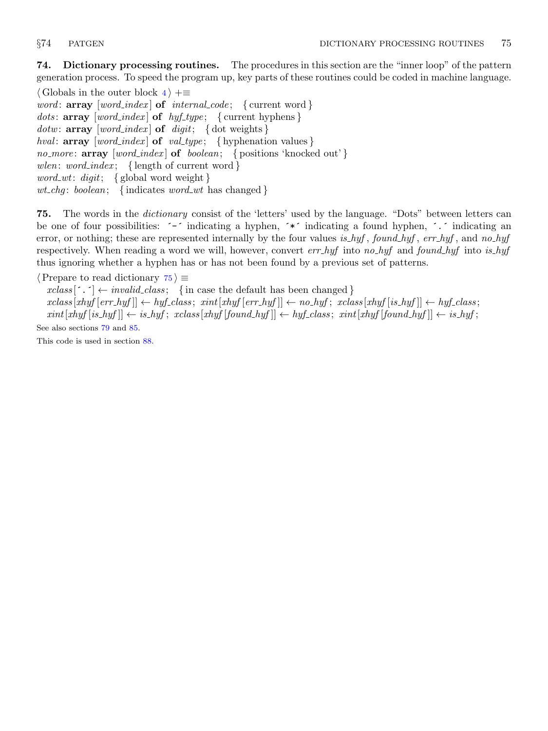<span id="page-30-0"></span>74. Dictionary processing routines. The procedures in this section are the "inner loop" of the pattern generation process. To speed the program up, key parts of these routines could be coded in machine language.

 $\langle$  Globals in the outer block [4](#page-2-0)  $\rangle$  +≡ word:  $array \; [word\_index]$  of  $internal\_code; \{ current \; word \}$  $dots$ : array  $[word\_index]$  of  $hyf_type$ ;  $\{ current hypothesis\}$ *dotw:* array  $[word\_index]$  of *digit*;  $\{ dot weights \}$ hval:  $array \; [word\_index]$  of val\_type; {hyphenation values} no\_more:  $array \; [word\_index]$  of boolean; { positions 'knocked out' } wlen: word\_index; { length of current word } *word\_wt: digit*; { global word weight }  $wt_chg: boolean; \{ indicates word_wt \text{ has changed} \}$ 

75. The words in the dictionary consist of the 'letters' used by the language. "Dots" between letters can be one of four possibilities: ´−´ indicating a hyphen, ´\*´ indicating a found hyphen, ´.´ indicating an error, or nothing; these are represented internally by the four values is hyf, found hyf, err hyf, and no hyf respectively. When reading a word we will, however, convert *err\_hyf* into no\_hyf and found\_hyf into is\_hyf thus ignoring whether a hyphen has or has not been found by a previous set of patterns.

 $\langle$  Prepare to read dictionary 75  $\rangle \equiv$ 

 $xclass [\tilde{\ }}\cdot] \leftarrow invalid\_class; \{ \text{ in case the default has been changed } \}$  $xclass[xyt[err_hyft]] \leftarrow hyf.class; xint[xhyf[err_hyft]] \leftarrow no_hyft; xclass[xhyf[is_hyft]] \leftarrow hyf.class;$  $xint[xhyf [is_hy f]] \leftarrow is_h yf$ ;  $xclass[xyf [found_hy f]] \leftarrow hyf-class$ ;  $xint[xyf [found_hy f]] \leftarrow is_h yf$ ; See also sections [79](#page-32-0) and [85.](#page-34-0)

This code is used in section [88](#page-35-0).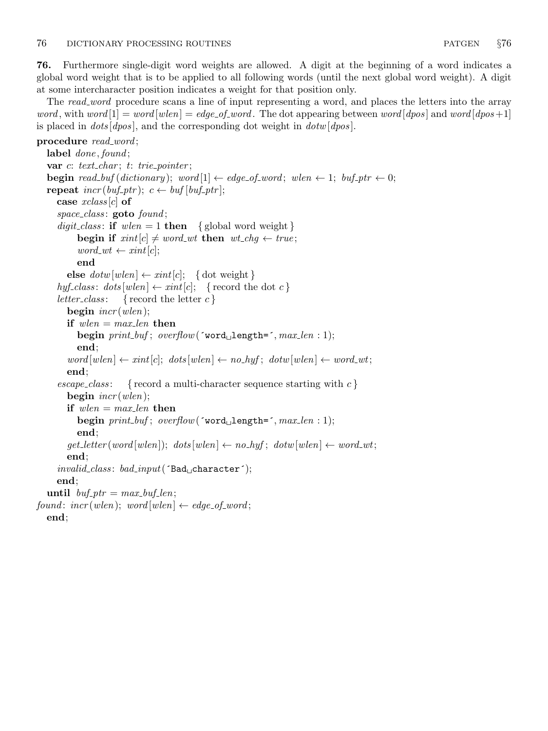<span id="page-31-0"></span>76. Furthermore single-digit word weights are allowed. A digit at the beginning of a word indicates a global word weight that is to be applied to all following words (until the next global word weight). A digit at some intercharacter position indicates a weight for that position only.

The read word procedure scans a line of input representing a word, and places the letters into the array word, with word  $[1] = word[when] = edge_of_world$ . The dot appearing between word  $[dpos]$  and word  $[dpos+1]$ is placed in  $dots [dpos]$ , and the corresponding dot weight in  $dot w [dpos]$ .

#### procedure read\_word;

label done, found; var  $c$ :  $text\_char$ ;  $t$ :  $trie\_pointer$ ; **begin** read\_buf (dictionary); word  $[1] \leftarrow edge\_of\_word$ ; wlen  $\leftarrow 1$ ; buf\_ptr  $\leftarrow 0$ ; repeat  $\text{incr}( \text{buf}\_ \text{ptr});\ c \leftarrow \text{buf}[ \text{buf}\_ \text{ptr}];$ case  $xclass[c]$  of  $space{\_}class:$  goto  $found;$ digit\_class: if wlen = 1 then { global word weight } begin if  $xint[c] \neq word\_wt$  then  $wt_chg \leftarrow true;$  $word\_wt \leftarrow xint[c];$ end else  $dot[w|well \leftarrow xint[c]; \{ dot weight\}$  $h y f_{class}: d o t s [w len] \leftarrow x int [c];$  {record the dot c} *letter\_class*: { record the letter  $c$  } begin  $\textit{incr}(\textit{wlen})$ ; if  $when = max\_len$  then begin  $print\_buf$ ;  $overflow('word\_length=', max\_len : 1);$ end;  $word[when] \leftarrow xint[c]; dots[when] \leftarrow no_hyf;dotw[when] \leftarrow word_wt;$ end;  $\ell = \{\text{record a multi-character sequence starting with } c\}$ begin  $\textit{incr}(\textit{when})$ ; if  $when = max\_len$  then begin  $print\_buf$ ;  $overflow('word\_length=', max\_len : 1);$ end;  $get\_letter(word[when])$ ;  $dots[when] \leftarrow no\_hyf$ ;  $dot[when] \leftarrow word\_wt$ ; end;  $invalid\_class: bad\_input('Bad\_character');$ end; until  $buf_ptr = max_buf_-len;$  $found:~incr(wlen);~word[wlen] \leftarrow edge_of_world;$ end;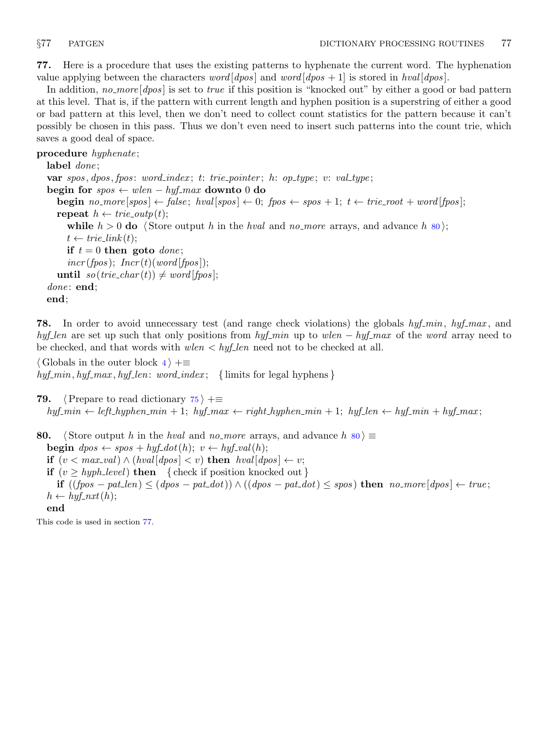<span id="page-32-0"></span>77. Here is a procedure that uses the existing patterns to hyphenate the current word. The hyphenation value applying between the characters word  $[dpos]$  and word  $[dpos + 1]$  is stored in hval  $[dpos]$ .

In addition, no more [dpos] is set to true if this position is "knocked out" by either a good or bad pattern at this level. That is, if the pattern with current length and hyphen position is a superstring of either a good or bad pattern at this level, then we don't need to collect count statistics for the pattern because it can't possibly be chosen in this pass. Thus we don't even need to insert such patterns into the count trie, which saves a good deal of space.

procedure hyphenate;

label *done*; var  $spos, dpos, fpos: word_index; t: trie\_pointer; h: op_type; v: val_type;$ begin for  $spos \leftarrow when - hyf\_max$  downto 0 do **begin** no\_more  $[spos] \leftarrow false$ ; hval  $[spos] \leftarrow 0$ ; fpos  $\leftarrow spos + 1$ ;  $t \leftarrow trie\_root + word [fpos]$ ; repeat  $h \leftarrow \text{trie\_outp}(t);$ while  $h > 0$  do  $\langle$  Store output h in the hval and no more arrays, and advance h 80 $\rangle$ ;  $t \leftarrow \text{trie\_link}(t);$ if  $t = 0$  then goto *done*;  $incr(fpos);$   $Incr(t)(word[fpos]);$ until  $so(trie\_char(t)) \neq word[fpos]$ ;  $done$ : end;

end;

**78.** In order to avoid unnecessary test (and range check violations) the globals  $huf.min$ ,  $huf.max$ , and hyf len are set up such that only positions from hyf min up to wlen – hyf max of the word array need to be checked, and that words with  $wlen < hyf$ len need not to be checked at all.

 $\langle$  Globals in the outer block  $4$   $\rangle$  +≡  $h y f$ <sub>min</sub>,  $h y f$ <sub>max</sub>,  $h y f$ len: word\_index; {limits for legal hyphens}

79. (Prepare to read dictionary  $75$ ) +≡ hyf\_min  $\leftarrow$  left\_hyphen\_min + 1; hyf\_max  $\leftarrow$  right\_hyphen\_min + 1; hyf\_len  $\leftarrow$  hyf\_min + hyf\_max;

80. (Store output h in the hval and no more arrays, and advance h 80)  $\equiv$ **begin**  $dpos \leftarrow spos + hyf\_dot(h); v \leftarrow hyf\_val(h);$ if  $(v < max\_val) \land (hval[dpos] < v)$  then  $hval[dpos] \leftarrow v;$ if  $(v \geq hyph\_level)$  then { check if position knocked out } if  $((\text{fpos} - \text{pat\_len}) \leq (\text{dpos} - \text{pat\_dot})) \wedge ((\text{dpos} - \text{pat\_dot}) \leq \text{spos})$  then  $\text{no\_more}[\text{dpos}] \leftarrow \text{true};$  $h \leftarrow hyf_nxt(h);$ end

This code is used in section 77.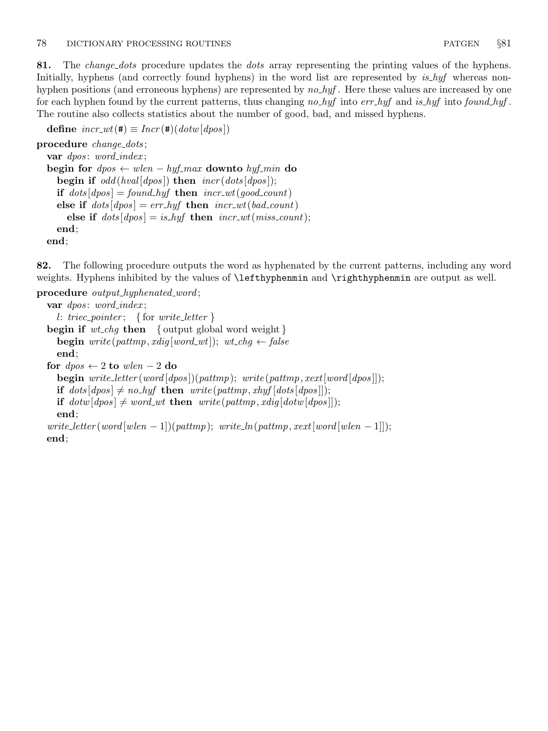<span id="page-33-0"></span>81. The *change\_dots* procedure updates the *dots* array representing the printing values of the hyphens. Initially, hyphens (and correctly found hyphens) in the word list are represented by *is\_hyf* whereas nonhyphen positions (and erroneous hyphens) are represented by  $no_hy$ . Here these values are increased by one for each hyphen found by the current patterns, thus changing no hyperperison err hypersist into found hyperstriangleright. The routine also collects statistics about the number of good, bad, and missed hyphens.

define  $incr\_wt(\#) \equiv Incr(\#)(dotw[dpos])$ 

procedure change\_dots; var dpos: word\_index; begin for  $dpos \leftarrow when - hyf_max$  downto  $hyf.min$  do begin if  $odd(hval[dpos])$  then  $incr(dots[dpos])$ ; if  $dots [dpos] = found_h yf$  then  $incr_wt(good_count)$ else if  $dots[dpos] = err_hyf$  then  $incr_wt(bad_count)$ else if  $dots [dpos] = is_h yf$  then  $incr_wt(miss_count);$ end; end;

82. The following procedure outputs the word as hyphenated by the current patterns, including any word weights. Hyphens inhibited by the values of \lefthyphenmin and \righthyphenmin are output as well.

procedure *output\_hyphenated\_word*; var  $dpos: word_index;$ l: triec\_pointer; { for write\_letter } **begin if** wt\_chg then { output global word weight } **begin** write (pattmp, xdig [word\_wt]); wt\_chg  $\leftarrow$  false end; for  $dpos \leftarrow 2$  to wlen – 2 do **begin** write\_letter  $(word[dpos])(pathpp); write(pathmp, xext[word[dpos]]);$ if  $dots [dpos] \neq no_h yf$  then write (pattmp, xhyf  $[dots [dpos]]);$ if  $dot{w}[dpos] \neq word_{\mathcal{A}}$  with  $\mathcal{A}$  write (pattmp, xdig [dotw[dpos]]); end;  $write\_letter(word[when -1])(pattern); write\_ln(pathmp, xext[word[when -1]]);$ end;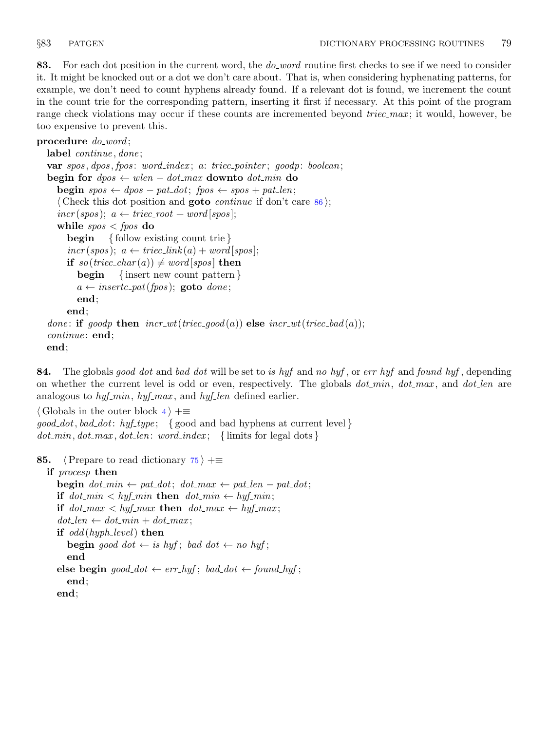<span id="page-34-0"></span>83. For each dot position in the current word, the *do-word* routine first checks to see if we need to consider it. It might be knocked out or a dot we don't care about. That is, when considering hyphenating patterns, for example, we don't need to count hyphens already found. If a relevant dot is found, we increment the count in the count trie for the corresponding pattern, inserting it first if necessary. At this point of the program range check violations may occur if these counts are incremented beyond *triec\_max*; it would, however, be too expensive to prevent this.

### procedure  $do\_word$ ;

```
label continue, done;
var spos, dpos, fpos: word_index; a: triec_pointer; goodp: boolean;
begin for dpos \leftarrow when - dot_max downto dot\_min do
  begin spos \leftarrow dpos - pat\_dot; fpos \leftarrow spos + pat\_len;
  (Check this dot position and goto continue if don't care 86);
  incr(spos); a \leftarrow triec\_root + word[spos];while \textit{spos} < \textit{fpos} do
     begin { follow existing count trie }
     incr(spos); a \leftarrow triec\_link(a) + word[spos];if so(triec\_char(a)) \neq word [spos] then
        begin { insert new count pattern }
        a \leftarrow insertc_pat(fpos); goto done;
       end;
     end;
done: if goodp then \text{incr\_wt}(\text{tree\_good}(a)) else \text{incr\_wt}(\text{tree\_bad}(a));
continue: end;end;
```
84. The globals good dot and bad dot will be set to is hyf and no hyf, or err hyf and found hyf, depending on whether the current level is odd or even, respectively. The globals  $dot_{min}$ ,  $dot_{max}$ , and  $dot_{len}$  are analogous to  $h y f_{\text{min}}$ ,  $h y f_{\text{max}}$ , and  $h y f_{\text{min}}$  defined earlier.

 $\langle$  Globals in the outer block [4](#page-2-0)  $\rangle$  +≡  $good\_dot$ ,  $bad\_dot$ :  $hyf_type$ ; {good and bad hyphens at current level}  $dot_{min}$ ,  $dot_{max}$ ,  $dot_{len}:$   $word\_index$ ; { limits for legal dots }

85.  $\langle$  Prepare to read dictionary [75](#page-30-0)  $\rangle$  +≡

## if procesp then

```
begin dot\_min \leftarrow pat\_dot; dot\_max \leftarrow pat\_len - pat\_dot;if dot_{min} < hyf_{min} then dot_{min} \leftarrow hyf_{min};
if dot\_max < hyf\_max then dot\_max \leftarrow hyf\_max;
dot_{\text{}} + dot_{\text{}} + dot_{\text{}} + dot_{\text{}} + max;
if odd(hyph\_level) then
  begin good_dot \leftarrow is_hyf; bad_dot \leftarrow no_hyf;
  end
else begin good_dot \leftarrow err_h yf; bad_dot \leftarrow found_hyf;
  end;
end;
```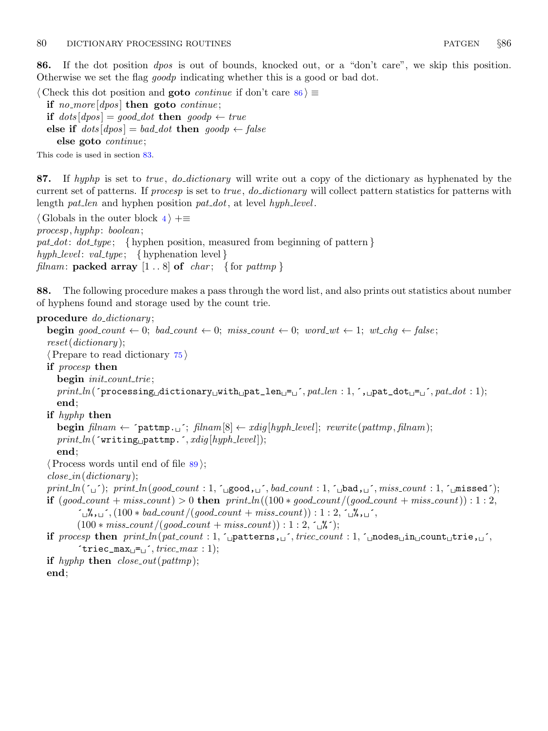<span id="page-35-0"></span>86. If the dot position dpos is out of bounds, knocked out, or a "don't care", we skip this position. Otherwise we set the flag goodp indicating whether this is a good or bad dot.

 $\langle$  Check this dot position and **goto** *continue* if don't care  $86$   $\equiv$ 

if  $no\text{-}more[dpos]$  then goto continue; if  $dots[dpos] = good\_dot$  then  $goodp \leftarrow true$ else if  $dots[dpos] = bad\_dot$  then  $goodp \leftarrow false$ else goto *continue*;

This code is used in section [83](#page-34-0).

87. If hyphp is set to true, do dictionary will write out a copy of the dictionary as hyphenated by the current set of patterns. If procesp is set to true, do dictionary will collect pattern statistics for patterns with length pat len and hyphen position pat  $dot$ , at level hyph level.

 $\langle$  Globals in the outer block [4](#page-2-0)  $\rangle$  +≡ procesp, hyphp: boolean; pat  $dot: dot_type; \{ \text{hyphen position, measured from beginning of pattern} \}$ hyph\_level: val\_type; { hyphenation level } filnam: packed array  $[1 \, . \, . \, 8]$  of *char*; { for pattmp }

88. The following procedure makes a pass through the word list, and also prints out statistics about number of hyphens found and storage used by the count trie.

```
procedure do\_dictionary;
   begin good_count \leftarrow 0; bad_count \leftarrow 0; miss_count \leftarrow 0; word_wt \leftarrow 1; wt_chg \leftarrow false;
   reset(dictionary);
   \langle75 \rangleif procesp then
      begin init_count_trie;
      print\_ln( \gamma processing dictionary with pat len _i, p at len : 1, \gamma, pat dot _i = \gamma, pat -dot : 1;
      end;
  if hyphp then
      begin filnam ← \text{path}, \text{path} \text{path} = \text{width} = \text{width} = \text{width} = \text{width} = \text{width} = \text{width} = \text{width} = \text{width} = \text{width} = \text{width} = \text{width} = \text{width} = \text{width} = \text{width} = \text{width} = \text{width} = \text{width} = \text{width}print\_ln( 'writing pattmp. ', xdig[hyph\_level]);
      end;
   \langle Process words until end of file 89 \rangle;
   close_in(dictionary);print\_ln(\neg \neg'); \ print\_ln(good.count: 1, \neg \text{good}, \neg', bad_count: 1, \neg \text{obs}, \neg', miss_count: 1, \neg \text{missed'});if (good_count + miss_count) > 0 then print ln((100 * good_count / (good_count + miss_count)) : 1 : 2,\mathcal{L}_{\Box}%,\Box,(100 * bad_count/(good_count + miss_count)) : 1 : 2, \ulcorner \Box,
            (100 * miss_count/(good_count + miss_count)): 1: 2, \lceil \cdot \rceil;
  if procesp then print\_ln(path_count : 1, 'upatterns, u', tree_count : 1, 'unodesuinucountutrie, u',
             \text{`triec\_max}_{\sqcup} = \text{`}, \text{triec\_max} : 1);if hyphp then close\_out(pathmp);
  end;
```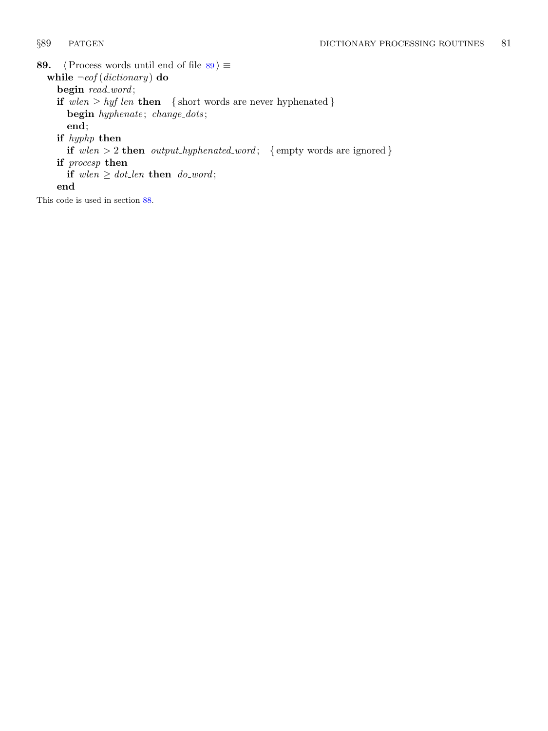<span id="page-36-0"></span>89.  $\langle$  Process words until end of file  $89$   $\equiv$ while  $\neg \textit{eof}$  (dictionary) do

begin read\_word;

if  $\text{when } \geq \text{hyf} \leq \text{then } \{ \text{short words are never hyphenated } \}$ begin hyphenate; change\_dots; end; if hyphp then if  $\omega len > 2$  then *output\_hyphenated\_word*; {empty words are ignored} if procesp then if  $\text{wlen } \geq \text{dot\_len}$  then  $\text{do\_word}$ ;

end

This code is used in section [88](#page-35-0).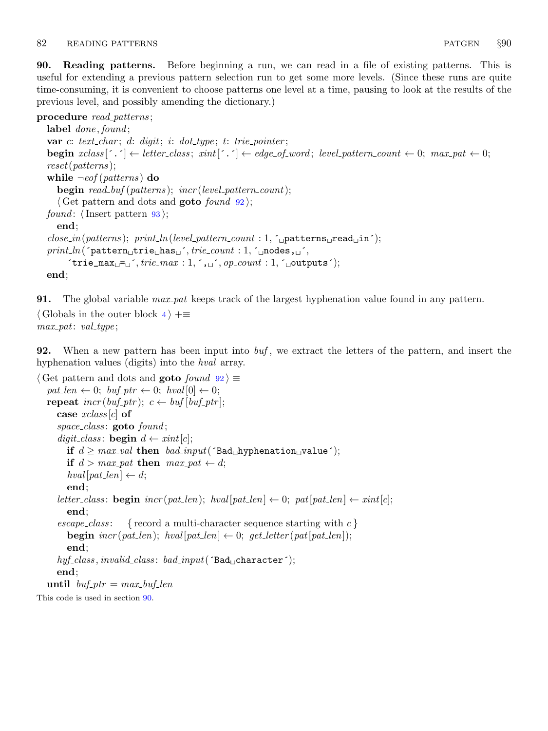<span id="page-37-0"></span>90. Reading patterns. Before beginning a run, we can read in a file of existing patterns. This is useful for extending a previous pattern selection run to get some more levels. (Since these runs are quite time-consuming, it is convenient to choose patterns one level at a time, pausing to look at the results of the previous level, and possibly amending the dictionary.)

#### procedure read\_patterns;

```
label done, found;
var c: text_char; d: digit; i: dot\_type; t: trie_pointer;
begin xclass[. ] \leftarrow letter.class; xint[. ] \leftarrow edge_of_world; level.path\leftarrow 0; max.path \leftarrow 0;reset(patterns );
while \neg\textit{eof} (patterns) do
   begin read_buf (patterns); incr (level_pattern_count);
   \langle Get pattern and dots and goto found 92\rangle;
found: \langle93\rangle;
   end;
close_in(pathterms); print\_ln(level.path.com: 1, \lceil_{\text{upatters}}\rceil, \lceil_{\text{in}}\rceil);print\_ln( {\sf pattern\_trie\_has\_}, trie\_count : 1, \sqcupnodes, \sqcup,
      \text{`trie\_max}_{\sqcup} = \text{`}, \text{trie\_max} : 1, \text{`}, \text{`}, \text{`}, \text{op\_count} : 1, \text{`}, \text{J}end;
```
**91.** The global variable max pat keeps track of the largest hyphenation value found in any pattern.

 $\langle$  Globals in the outer block [4](#page-2-0)  $\rangle$  +≡  $max$ -pat: val\_type;

**92.** When a new pattern has been input into buf, we extract the letters of the pattern, and insert the hyphenation values (digits) into the *hval* array.

```
\langle Get pattern and dots and goto found 92 \equivpat\_len \leftarrow 0; \; buf\_ptr \leftarrow 0; \; hval[0] \leftarrow 0;repeat \text{incr}(\text{buf}\_ptr); c \leftarrow \text{buf}[\text{buf}\_ptr];case xclass[c] of
      space{\_}class: goto found;digit\_class: \textbf{begin} d \leftarrow xint[c];if d \geq max\_val then bad\_input( 'Bad<sub>\sqcup</sub>hyphenation\sqcupvalue');
        if d > max-pat then max-pat \leftarrow d;
         hval[pat\_len] \leftarrow d;end;
      letter_class: begin \text{incr}(pat\_len); \text{hval}[pat\_len] \leftarrow 0; pat[pat\_len] \leftarrow xint[c];
         end;
      escape_class: { record a multi-character sequence starting with c}
         begin \text{incr}(\text{pat\_len}); \text{hval}[\text{pat\_len}] \leftarrow 0; \text{get\_letter}(\text{pat\_len});
         end;
      hyf\_{class}, invalid_class: bad_input(\DeltaBad\Boxcharacter\Delta);
      end;
   until buf\_ptr = max_buf\_lenThis code is used in section 90.
```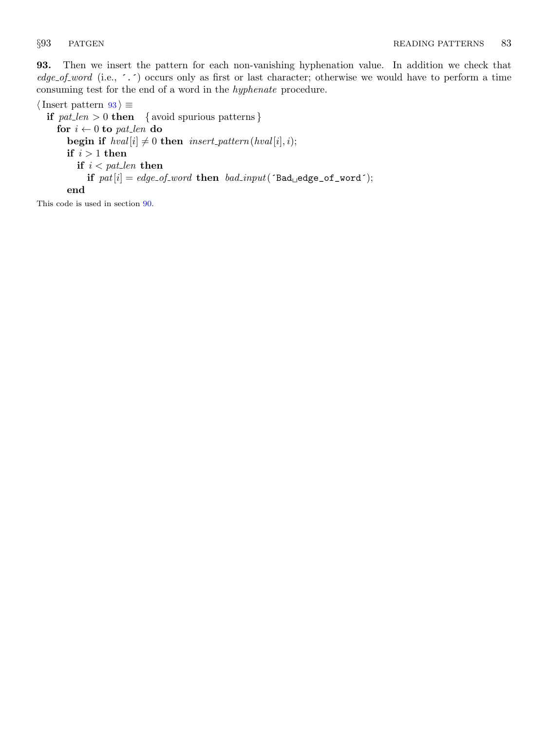<span id="page-38-0"></span>93. Then we insert the pattern for each non-vanishing hyphenation value. In addition we check that edge of word (i.e.,  $\cdot$ .) occurs only as first or last character; otherwise we would have to perform a time consuming test for the end of a word in the hyphenate procedure.

 $\langle$  Insert pattern 93 $\rangle \equiv$ if  $pat\_len > 0$  then { avoid spurious patterns } for  $i \leftarrow 0$  to pat len do begin if  $hval[i] \neq 0$  then  $insert\_pattern(hval[i], i);$ if  $i > 1$  then if  $i < path>path$  then if  $pat[i] = edge_of_world$  then  $bad_info[i] = edge_of_world$ ; end

This code is used in section [90](#page-37-0).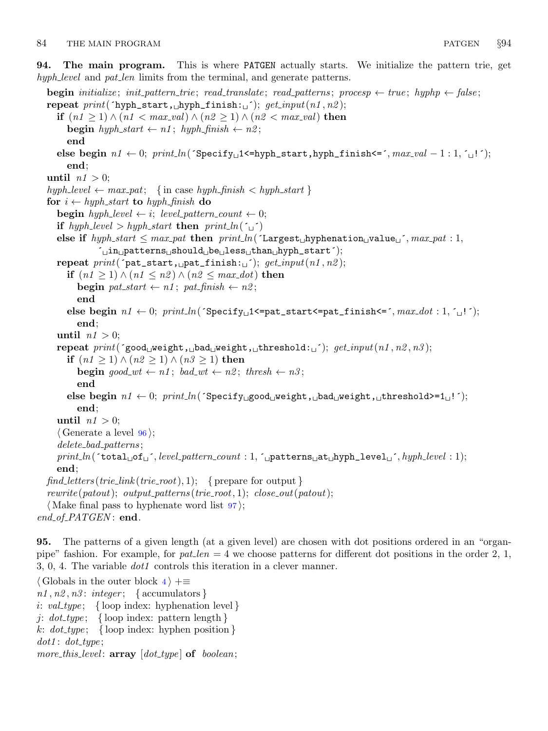<span id="page-39-0"></span>94. The main program. This is where PATGEN actually starts. We initialize the pattern trie, get hyph level and pat len limits from the terminal, and generate patterns.

```
begin initialize; init_pattern_trie; read_translate; read_patterns; procesp \leftarrow true; hyphp \leftarrow false;
  repeat print('hyph\_start, \#yph\_finish: \#; get\_input(n1, n2);if (n1 \geq 1) \wedge (n1 < max\_val) \wedge (n2 \geq 1) \wedge (n2 < max\_val) then
       begin h yph\_start \leftarrow n1; h yph\_finish \leftarrow n2;
        end
     else begin n1 \leftarrow 0; print_ln(´Specify<sub>u</sub>1<=hyph_start,hyph_finish<=´, max_val − 1 : 1, ´<sub>u</sub>!´);
       end;
  until n! > 0;
  hyph_level \leftarrow max_pat; { in case hyph_finish \langle hyph_start }
  for i \leftarrow hyph\_start to hyph_finish do
     begin hyph_level \leftarrow i; level_pattern_count \leftarrow 0;
     if hyph-level > hyph-start then print\_ln(else if hyph.start \leq max.path then print.h('Largest_{\text{unhyphenation\_value\_}}' , max.path : 1,\sim\min<sub>U</sub> patterns<sub>U</sub> should
U be
U ess
U than
U hyph_start
\simrepeat print('pat\_start, \text{ipat\_finish: \text{g'}); get\_input(n1, n2);if (n1 \geq 1) \wedge (n1 \leq n2) \wedge (n2 \leq max\_dot) then
          begin pat_start \leftarrow n1; pat_finish \leftarrow n2;
          end
       else begin n_1 \leftarrow 0; print ln(´Specify 1<=pat_start<=pat_finish <= ´, max dot : 1, ´_,');
          end;
     until n1 > 0;
     repeat print( 'good weight, bad weight, threshold: '); get\_input(n1, n2, n3);
       if (n1 \geq 1) \wedge (n2 \geq 1) \wedge (n3 \geq 1) then
          begin good_wt \leftarrow n1; bad_wt \leftarrow n2; thresh \leftarrow n3;
          end
       else begin n_1 \leftarrow 0; print ln(\text{Specify}_\text{u}good weight, \text{index}_{\text{u}}(n_1, n_2) threshold>=1\text{1}_\text{u}!
          end;
     until n! > 0;
     \langle Generate a level 96 :
     delete\_bad\_patterns;print\_ln('total\_of\_', level\_pattern\_count: 1, 'upatters\_at\_hypph\_level\_', hyph\_level: 1);end;
  find\_letters (trie\_link (trie\_root), 1); { prepare for output }
  rewrite (patout); output_patterns (trie_root, 1); close_out(patout);
  \langle Make final pass to hyphenate word list 97;
end\_of\_PATGEN: end.
```
95. The patterns of a given length (at a given level) are chosen with dot positions ordered in an "organpipe" fashion. For example, for  $pat\_{len} = 4$  we choose patterns for different dot positions in the order 2, 1, 3, 0, 4. The variable dot1 controls this iteration in a clever manner.

 $\langle$  Globals in the outer block [4](#page-2-0)  $\rangle$  +≡  $n1, n2, n3: integer; \{ accumulators\}$ i:  $val_type$ ; {loop index: hyphenation level} j:  $dot_type$ ; {loop index: pattern length } k:  $dot_type$ ; {loop index: hyphen position}  $dot1: dot\_type;$ more\_this\_level:  $array [dot_type]$  of boolean;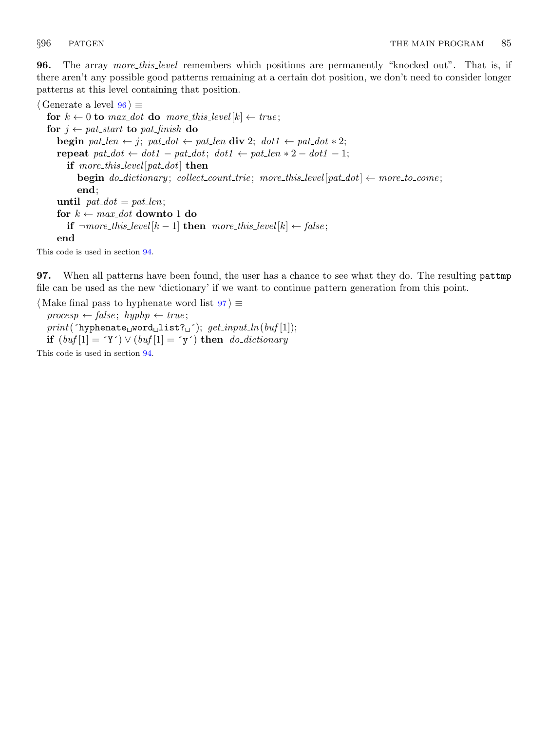<span id="page-40-0"></span>96. The array more this level remembers which positions are permanently "knocked out". That is, if there aren't any possible good patterns remaining at a certain dot position, we don't need to consider longer patterns at this level containing that position.

 $\langle$  Generate a level  $96 \rangle \equiv$ for  $k \leftarrow 0$  to max-dot do more-this-level  $[k] \leftarrow true$ ; for  $j \leftarrow pat\_start$  to pat\_finish do **begin** pat\_len  $\leftarrow j$ ; pat\_dot  $\leftarrow$  pat\_len **div** 2; dot1  $\leftarrow$  pat\_dot  $* 2$ ; repeat pat\_dot  $\leftarrow dot1 - pat\_dot; dot1 \leftarrow pat\_len * 2 - dot1 - 1;$ if more\_this\_level  $[pat\_dot]$  then **begin** do dictionary; collect count trie; more this level  $[pat\_dot] \leftarrow more\_to\_come;$ end; until  $pat\_dot = pat\_len$ ; for  $k \leftarrow max\_dot$  downto 1 do **if**  $\neg more\_this\_level[k-1]$  **then** more\_this\_level[k] ← false; end This code is used in section [94](#page-39-0).

97. When all patterns have been found, the user has a chance to see what they do. The resulting pattmp file can be used as the new 'dictionary' if we want to continue pattern generation from this point.

 $\langle$  Make final pass to hyphenate word list 97 $\rangle \equiv$  $\textit{processp} \leftarrow \textit{false}; \textit{hyphp} \leftarrow \textit{true};$  $print('hyphenate \cup word \cup list? \cup'); get\_input\_ln(buf[1]);$ if  $(buf[1] = \Upsilon') \vee (buf[1] = \Upsilon')$  then do\_dictionary This code is used in section [94](#page-39-0).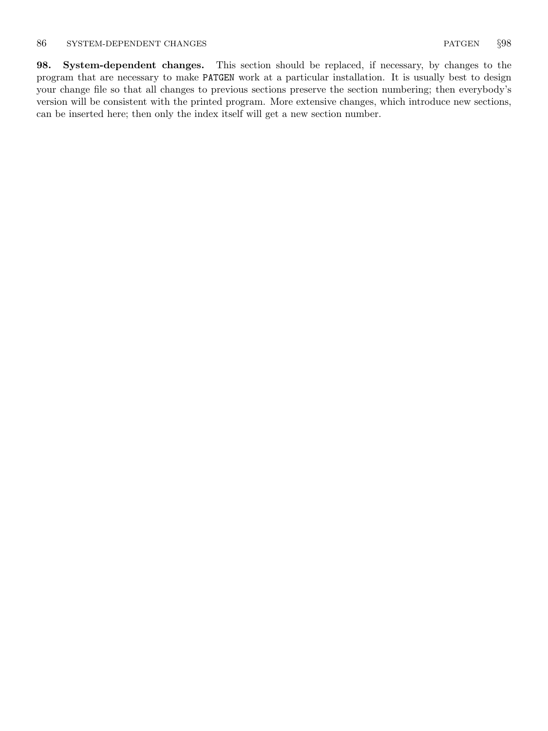<span id="page-41-0"></span>98. System-dependent changes. This section should be replaced, if necessary, by changes to the program that are necessary to make PATGEN work at a particular installation. It is usually best to design your change file so that all changes to previous sections preserve the section numbering; then everybody's version will be consistent with the printed program. More extensive changes, which introduce new sections, can be inserted here; then only the index itself will get a new section number.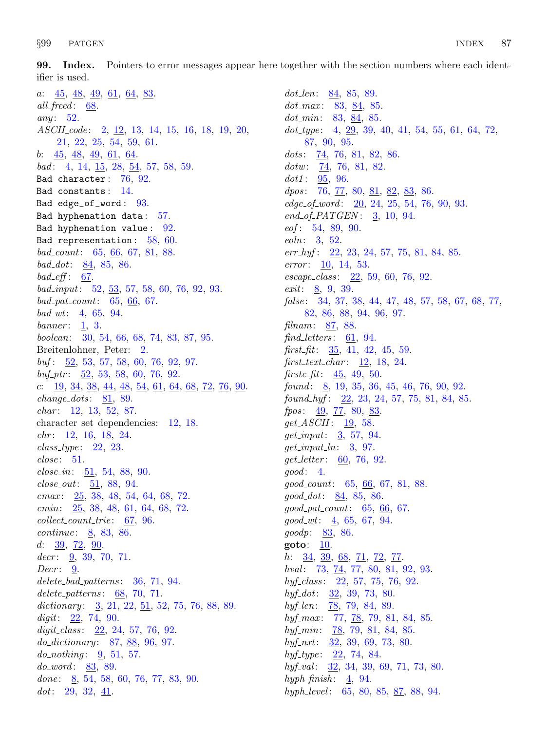<span id="page-42-0"></span>99. Index. Pointers to error messages appear here together with the section numbers where each identifier is used.

a: [45,](#page-17-0) [48](#page-18-0), [49,](#page-19-0) [61](#page-25-0), [64,](#page-26-0) [83](#page-34-0). all freed : [68.](#page-27-0) any:  $52$ . ASCII<sub>-code</sub>: [2,](#page-1-0) [12](#page-5-0), [13](#page-5-0), [14,](#page-5-0) [15,](#page-6-0) [16](#page-6-0), [18](#page-6-0), [19,](#page-7-0) [20,](#page-7-0) [21,](#page-8-0) [22](#page-9-0), [25,](#page-10-0) [54](#page-21-0), [59,](#page-24-0) [61.](#page-25-0) b: [45,](#page-17-0) [48,](#page-18-0) [49](#page-19-0), [61,](#page-25-0) [64.](#page-26-0)  $bad: 4, 14, 15, 28, 54, 57, 58, 59.$  $bad: 4, 14, 15, 28, 54, 57, 58, 59.$  $bad: 4, 14, 15, 28, 54, 57, 58, 59.$  $bad: 4, 14, 15, 28, 54, 57, 58, 59.$  $bad: 4, 14, 15, 28, 54, 57, 58, 59.$  $bad: 4, 14, 15, 28, 54, 57, 58, 59.$  $bad: 4, 14, 15, 28, 54, 57, 58, 59.$  $bad: 4, 14, 15, 28, 54, 57, 58, 59.$  $bad: 4, 14, 15, 28, 54, 57, 58, 59.$  $bad: 4, 14, 15, 28, 54, 57, 58, 59.$  $bad: 4, 14, 15, 28, 54, 57, 58, 59.$  $bad: 4, 14, 15, 28, 54, 57, 58, 59.$  $bad: 4, 14, 15, 28, 54, 57, 58, 59.$  $bad: 4, 14, 15, 28, 54, 57, 58, 59.$  $bad: 4, 14, 15, 28, 54, 57, 58, 59.$  $bad: 4, 14, 15, 28, 54, 57, 58, 59.$  $bad: 4, 14, 15, 28, 54, 57, 58, 59.$ Bad character: [76,](#page-31-0) [92](#page-37-0). Bad constants : [14.](#page-5-0) Bad edge\_of\_word : [93](#page-38-0). Bad hyphenation data : [57](#page-22-0). Bad hyphenation value : [92.](#page-37-0) Bad representation : [58,](#page-23-0) [60](#page-24-0). bad\_count: [65](#page-26-0), [66,](#page-26-0) [67,](#page-27-0) [81](#page-33-0), [88](#page-35-0). bad dot: [84,](#page-34-0) [85](#page-34-0), [86](#page-35-0).  $bad\_eff$ : [67.](#page-27-0)  $bad\_input: 52, 53, 57, 58, 60, 76, 92, 93.$  $bad\_input: 52, 53, 57, 58, 60, 76, 92, 93.$  $bad\_input: 52, 53, 57, 58, 60, 76, 92, 93.$  $bad\_input: 52, 53, 57, 58, 60, 76, 92, 93.$  $bad\_input: 52, 53, 57, 58, 60, 76, 92, 93.$  $bad\_input: 52, 53, 57, 58, 60, 76, 92, 93.$  $bad\_input: 52, 53, 57, 58, 60, 76, 92, 93.$  $bad\_input: 52, 53, 57, 58, 60, 76, 92, 93.$  $bad\_input: 52, 53, 57, 58, 60, 76, 92, 93.$  $bad\_input: 52, 53, 57, 58, 60, 76, 92, 93.$  $bad\_input: 52, 53, 57, 58, 60, 76, 92, 93.$  $bad\_input: 52, 53, 57, 58, 60, 76, 92, 93.$  $bad\_input: 52, 53, 57, 58, 60, 76, 92, 93.$  $bad\_input: 52, 53, 57, 58, 60, 76, 92, 93.$  $bad\_input: 52, 53, 57, 58, 60, 76, 92, 93.$  $bad\_input: 52, 53, 57, 58, 60, 76, 92, 93.$  $bad\_pat\_count: 65, 66, 67.$  $bad\_pat\_count: 65, 66, 67.$  $bad\_pat\_count: 65, 66, 67.$  $bad\_pat\_count: 65, 66, 67.$  $bad\_pat\_count: 65, 66, 67.$  $bad\_pat\_count: 65, 66, 67.$  $bad\_wt: 4, 65, 94.$  $bad\_wt: 4, 65, 94.$  $bad\_wt: 4, 65, 94.$  $bad\_wt: 4, 65, 94.$  $bad\_wt: 4, 65, 94.$  $bad\_wt: 4, 65, 94.$ banner:  $\mathbf{1}, \mathbf{3}.$  $\mathbf{1}, \mathbf{3}.$  $\mathbf{1}, \mathbf{3}.$ boolean: [30](#page-12-0), [54,](#page-21-0) [66](#page-26-0), [68](#page-27-0), [74,](#page-30-0) [83](#page-34-0), [87](#page-35-0), [95.](#page-39-0) Breitenlohner, Peter: [2.](#page-1-0) buf:  $\frac{52}{53}$  $\frac{52}{53}$  $\frac{52}{53}$  $\frac{52}{53}$  $\frac{52}{53}$ , [57](#page-22-0), [58,](#page-23-0) [60,](#page-24-0) [76,](#page-31-0) [92,](#page-37-0) [97.](#page-40-0)  $\textit{buf\_ptr}: \quad 52, \; 53, \; 58, \; 60, \; 76, \; 92.$  $\textit{buf\_ptr}: \quad 52, \; 53, \; 58, \; 60, \; 76, \; 92.$  $\textit{buf\_ptr}: \quad 52, \; 53, \; 58, \; 60, \; 76, \; 92.$  $\textit{buf\_ptr}: \quad 52, \; 53, \; 58, \; 60, \; 76, \; 92.$  $\textit{buf\_ptr}: \quad 52, \; 53, \; 58, \; 60, \; 76, \; 92.$  $\textit{buf\_ptr}: \quad 52, \; 53, \; 58, \; 60, \; 76, \; 92.$  $\textit{buf\_ptr}: \quad 52, \; 53, \; 58, \; 60, \; 76, \; 92.$  $\textit{buf\_ptr}: \quad 52, \; 53, \; 58, \; 60, \; 76, \; 92.$  $\textit{buf\_ptr}: \quad 52, \; 53, \; 58, \; 60, \; 76, \; 92.$  $\textit{buf\_ptr}: \quad 52, \; 53, \; 58, \; 60, \; 76, \; 92.$  $\textit{buf\_ptr}: \quad 52, \; 53, \; 58, \; 60, \; 76, \; 92.$  $\textit{buf\_ptr}: \quad 52, \; 53, \; 58, \; 60, \; 76, \; 92.$  $\textit{buf\_ptr}: \quad 52, \; 53, \; 58, \; 60, \; 76, \; 92.$ c: [19](#page-7-0), [34](#page-13-0), [38,](#page-14-0) [44,](#page-17-0) [48](#page-18-0), [54](#page-21-0), [61,](#page-25-0) [64,](#page-26-0) [68](#page-27-0), [72](#page-28-0), [76,](#page-31-0) [90.](#page-37-0)  $change\_dots$ :  $81, 89$  $81, 89$ .  $char: 12, 13, 52, 87.$  $char: 12, 13, 52, 87.$  $char: 12, 13, 52, 87.$  $char: 12, 13, 52, 87.$  $char: 12, 13, 52, 87.$  $char: 12, 13, 52, 87.$  $char: 12, 13, 52, 87.$  $char: 12, 13, 52, 87.$  $char: 12, 13, 52, 87.$ character set dependencies: [12,](#page-5-0) [18.](#page-6-0)  $chr: 12, 16, 18, 24.$  $chr: 12, 16, 18, 24.$  $chr: 12, 16, 18, 24.$  $chr: 12, 16, 18, 24.$  $chr: 12, 16, 18, 24.$  $chr: 12, 16, 18, 24.$  $chr: 12, 16, 18, 24.$  $chr: 12, 16, 18, 24.$  $chr: 12, 16, 18, 24.$  $class\_type: \quad 22, 23.$  $class\_type: \quad 22, 23.$  $class\_type: \quad 22, 23.$  $class\_type: \quad 22, 23.$  $class\_type: \quad 22, 23.$  $close: 51.$  $close: 51.$  $close\_in: 51, 54, 88, 90.$  $close\_in: 51, 54, 88, 90.$  $close\_in: 51, 54, 88, 90.$  $close\_in: 51, 54, 88, 90.$  $close\_in: 51, 54, 88, 90.$  $close\_in: 51, 54, 88, 90.$  $close\_in: 51, 54, 88, 90.$  $close\_in: 51, 54, 88, 90.$  $close_$ : [51](#page-20-0), [88](#page-35-0), [94.](#page-39-0)  $cmax: \quad \underline{25}, \ 38, \ 48, \ 54, \ 64, \ 68, \ 72.$  $cmax: \quad \underline{25}, \ 38, \ 48, \ 54, \ 64, \ 68, \ 72.$  $cmax: \quad \underline{25}, \ 38, \ 48, \ 54, \ 64, \ 68, \ 72.$  $cmax: \quad \underline{25}, \ 38, \ 48, \ 54, \ 64, \ 68, \ 72.$  $cmax: \quad \underline{25}, \ 38, \ 48, \ 54, \ 64, \ 68, \ 72.$  $cmax: \quad \underline{25}, \ 38, \ 48, \ 54, \ 64, \ 68, \ 72.$  $cmax: \quad \underline{25}, \ 38, \ 48, \ 54, \ 64, \ 68, \ 72.$  $cmax: \quad \underline{25}, \ 38, \ 48, \ 54, \ 64, \ 68, \ 72.$  $cmax: \quad \underline{25}, \ 38, \ 48, \ 54, \ 64, \ 68, \ 72.$  $cmax: \quad \underline{25}, \ 38, \ 48, \ 54, \ 64, \ 68, \ 72.$  $cmax: \quad \underline{25}, \ 38, \ 48, \ 54, \ 64, \ 68, \ 72.$  $cmax: \quad \underline{25}, \ 38, \ 48, \ 54, \ 64, \ 68, \ 72.$  $cmin: \quad 25, \ 38, \ 48, \ 61, \ 64, \ 68, \ 72.$  $cmin: \quad 25, \ 38, \ 48, \ 61, \ 64, \ 68, \ 72.$  $cmin: \quad 25, \ 38, \ 48, \ 61, \ 64, \ 68, \ 72.$  $cmin: \quad 25, \ 38, \ 48, \ 61, \ 64, \ 68, \ 72.$  $cmin: \quad 25, \ 38, \ 48, \ 61, \ 64, \ 68, \ 72.$  $cmin: \quad 25, \ 38, \ 48, \ 61, \ 64, \ 68, \ 72.$  $cmin: \quad 25, \ 38, \ 48, \ 61, \ 64, \ 68, \ 72.$  $cmin: \quad 25, \ 38, \ 48, \ 61, \ 64, \ 68, \ 72.$  $cmin: \quad 25, \ 38, \ 48, \ 61, \ 64, \ 68, \ 72.$  $cmin: \quad 25, \ 38, \ 48, \ 61, \ 64, \ 68, \ 72.$  $cmin: \quad 25, \ 38, \ 48, \ 61, \ 64, \ 68, \ 72.$  $cmin: \quad 25, \ 38, \ 48, \ 61, \ 64, \ 68, \ 72.$  $cmin: \quad 25, \ 38, \ 48, \ 61, \ 64, \ 68, \ 72.$  $cmin: \quad 25, \ 38, \ 48, \ 61, \ 64, \ 68, \ 72.$  $cmin: \quad 25, \ 38, \ 48, \ 61, \ 64, \ 68, \ 72.$  $collect\_count\_trie: 67, 96.$  $collect\_count\_trie: 67, 96.$  $collect\_count\_trie: 67, 96.$  $collect\_count\_trie: 67, 96.$  $collect\_count\_trie: 67, 96.$ *continue*:  $8, 83, 86$  $8, 83, 86$  $8, 83, 86$  $8, 83, 86$  $8, 83, 86$ . d:  $\frac{39}{72}$ ,  $\frac{90}{5}$  $\frac{90}{5}$  $\frac{90}{5}$ .  $decr: \frac{9}{9}, 39, 70, 71.$  $decr: \frac{9}{9}, 39, 70, 71.$  $decr: \frac{9}{9}, 39, 70, 71.$  $decr: \frac{9}{9}, 39, 70, 71.$  $decr: \frac{9}{9}, 39, 70, 71.$  $decr: \frac{9}{9}, 39, 70, 71.$  $decr: \frac{9}{9}, 39, 70, 71.$  $decr: \frac{9}{9}, 39, 70, 71.$ Decr: [9.](#page-4-0)  $delete\_bad\_patterns: 36, 71, 94.$  $delete\_bad\_patterns: 36, 71, 94.$  $delete\_bad\_patterns: 36, 71, 94.$  $delete\_bad\_patterns: 36, 71, 94.$  $delete\_bad\_patterns: 36, 71, 94.$  $delete\_bad\_patterns: 36, 71, 94.$  $delete\_bad\_patterns: 36, 71, 94.$  $delete\_patterns: 68, 70, 71.$  $delete\_patterns: 68, 70, 71.$  $delete\_patterns: 68, 70, 71.$  $delete\_patterns: 68, 70, 71.$  $delete\_patterns: 68, 70, 71.$  $delete\_patterns: 68, 70, 71.$ dictionary:  $\frac{3}{2}$  $\frac{3}{2}$  $\frac{3}{2}$ , [21](#page-8-0), [22,](#page-9-0) [51](#page-20-0), [52,](#page-20-0) [75](#page-30-0), [76](#page-31-0), [88,](#page-35-0) [89](#page-36-0). digit:  $22, 74, 90$  $22, 74, 90$  $22, 74, 90$  $22, 74, 90$  $22, 74, 90$ . digit\_class:  $22, 24, 57, 76, 92$  $22, 24, 57, 76, 92$  $22, 24, 57, 76, 92$  $22, 24, 57, 76, 92$  $22, 24, 57, 76, 92$  $22, 24, 57, 76, 92$  $22, 24, 57, 76, 92$  $22, 24, 57, 76, 92$ .  $do\_dictionary: 87, 88, 96, 97.$  $do\_dictionary: 87, 88, 96, 97.$  $do\_dictionary: 87, 88, 96, 97.$  $do\_dictionary: 87, 88, 96, 97.$  $do\_dictionary: 87, 88, 96, 97.$  $do\_dictionary: 87, 88, 96, 97.$  $do\_dictionary: 87, 88, 96, 97.$  $do\_dictionary: 87, 88, 96, 97.$  $do\_dictionary: 87, 88, 96, 97.$  $do\_nothinging: 9, 51, 57.$  $do\_nothinging: 9, 51, 57.$  $do\_nothinging: 9, 51, 57.$  $do\_nothinging: 9, 51, 57.$  $do\_nothinging: 9, 51, 57.$  $do\_nothinging: 9, 51, 57.$  $do\_word: 83, 89.$  $do\_word: 83, 89.$  $do\_word: 83, 89.$  $do\_word: 83, 89.$ done:  $8, 54, 58, 60, 76, 77, 83, 90.$  $8, 54, 58, 60, 76, 77, 83, 90.$  $8, 54, 58, 60, 76, 77, 83, 90.$  $8, 54, 58, 60, 76, 77, 83, 90.$  $8, 54, 58, 60, 76, 77, 83, 90.$  $8, 54, 58, 60, 76, 77, 83, 90.$  $8, 54, 58, 60, 76, 77, 83, 90.$  $8, 54, 58, 60, 76, 77, 83, 90.$  $8, 54, 58, 60, 76, 77, 83, 90.$  $8, 54, 58, 60, 76, 77, 83, 90.$  $8, 54, 58, 60, 76, 77, 83, 90.$  $8, 54, 58, 60, 76, 77, 83, 90.$  $8, 54, 58, 60, 76, 77, 83, 90.$  $8, 54, 58, 60, 76, 77, 83, 90.$  $8, 54, 58, 60, 76, 77, 83, 90.$ dot: [29,](#page-11-0) [32,](#page-12-0)  $\underline{41}$ .

dot<sub>-len: [84,](#page-34-0) [85,](#page-34-0) [89](#page-36-0).</sub>  $dot_{max}$ : [83](#page-34-0), [84](#page-34-0), [85.](#page-34-0) dot\_min: [83,](#page-34-0) [84,](#page-34-0) [85](#page-34-0).  $dot_type: 4, 29, 39, 40, 41, 54, 55, 61, 64, 72,$  $dot_type: 4, 29, 39, 40, 41, 54, 55, 61, 64, 72,$  $dot_type: 4, 29, 39, 40, 41, 54, 55, 61, 64, 72,$  $dot_type: 4, 29, 39, 40, 41, 54, 55, 61, 64, 72,$  $dot_type: 4, 29, 39, 40, 41, 54, 55, 61, 64, 72,$  $dot_type: 4, 29, 39, 40, 41, 54, 55, 61, 64, 72,$  $dot_type: 4, 29, 39, 40, 41, 54, 55, 61, 64, 72,$  $dot_type: 4, 29, 39, 40, 41, 54, 55, 61, 64, 72,$  $dot_type: 4, 29, 39, 40, 41, 54, 55, 61, 64, 72,$  $dot_type: 4, 29, 39, 40, 41, 54, 55, 61, 64, 72,$  $dot_type: 4, 29, 39, 40, 41, 54, 55, 61, 64, 72,$  $dot_type: 4, 29, 39, 40, 41, 54, 55, 61, 64, 72,$  $dot_type: 4, 29, 39, 40, 41, 54, 55, 61, 64, 72,$  $dot_type: 4, 29, 39, 40, 41, 54, 55, 61, 64, 72,$  $dot_type: 4, 29, 39, 40, 41, 54, 55, 61, 64, 72,$  $dot_type: 4, 29, 39, 40, 41, 54, 55, 61, 64, 72,$  $dot_type: 4, 29, 39, 40, 41, 54, 55, 61, 64, 72,$  $dot_type: 4, 29, 39, 40, 41, 54, 55, 61, 64, 72,$  $dot_type: 4, 29, 39, 40, 41, 54, 55, 61, 64, 72,$  $dot_type: 4, 29, 39, 40, 41, 54, 55, 61, 64, 72,$ [87,](#page-35-0) [90,](#page-37-0) [95.](#page-39-0) dots:  $74, 76, 81, 82, 86$  $74, 76, 81, 82, 86$  $74, 76, 81, 82, 86$  $74, 76, 81, 82, 86$  $74, 76, 81, 82, 86$  $74, 76, 81, 82, 86$  $74, 76, 81, 82, 86$  $74, 76, 81, 82, 86$  $74, 76, 81, 82, 86$ . dotw: [74](#page-30-0), [76](#page-31-0), [81,](#page-33-0) [82](#page-33-0).  $dot1: 95, 96.$  $dot1: 95, 96.$  $dot1: 95, 96.$  $dot1: 95, 96.$  $dot1: 95, 96.$ dpos: [76,](#page-31-0) [77,](#page-32-0) [80,](#page-32-0) [81,](#page-33-0) [82,](#page-33-0) [83](#page-34-0), [86](#page-35-0).  $edge\_of\_word$ :  $20, 24, 25, 54, 76, 90, 93.$  $20, 24, 25, 54, 76, 90, 93.$  $20, 24, 25, 54, 76, 90, 93.$  $20, 24, 25, 54, 76, 90, 93.$  $20, 24, 25, 54, 76, 90, 93.$  $20, 24, 25, 54, 76, 90, 93.$  $20, 24, 25, 54, 76, 90, 93.$  $20, 24, 25, 54, 76, 90, 93.$  $20, 24, 25, 54, 76, 90, 93.$  $20, 24, 25, 54, 76, 90, 93.$  $20, 24, 25, 54, 76, 90, 93.$  $20, 24, 25, 54, 76, 90, 93.$  $20, 24, 25, 54, 76, 90, 93.$  $20, 24, 25, 54, 76, 90, 93.$  $end_of_PATGEN: 3, 10, 94.$  $end_of_PATGEN: 3, 10, 94.$  $end_of_PATGEN: 3, 10, 94.$  $end_of_PATGEN: 3, 10, 94.$  $end_of_PATGEN: 3, 10, 94.$  $end_of_PATGEN: 3, 10, 94.$  $eof: 54, 89, 90.$  $eof: 54, 89, 90.$  $eof: 54, 89, 90.$  $eof: 54, 89, 90.$  $eof: 54, 89, 90.$  $eof: 54, 89, 90.$  $eof: 54, 89, 90.$ eoln: [3](#page-1-0), [52](#page-20-0). err hyf : [22,](#page-9-0) [23,](#page-9-0) [24](#page-9-0), [57,](#page-22-0) [75,](#page-30-0) [81](#page-33-0), [84](#page-34-0), [85.](#page-34-0) error: [10](#page-4-0), [14,](#page-5-0) [53.](#page-20-0) escape\_class: [22](#page-9-0), [59](#page-24-0), [60](#page-24-0), [76](#page-31-0), [92](#page-37-0). exit: [8,](#page-4-0) [9,](#page-4-0) [39.](#page-15-0) false: [34](#page-13-0), [37](#page-14-0), [38,](#page-14-0) [44,](#page-17-0) [47,](#page-18-0) [48](#page-18-0), [57](#page-22-0), [58](#page-23-0), [67](#page-27-0), [68,](#page-27-0) [77,](#page-32-0) [82,](#page-33-0) [86](#page-35-0), [88,](#page-35-0) [94](#page-39-0), [96](#page-40-0), [97.](#page-40-0) filnam: [87,](#page-35-0) [88.](#page-35-0) find letters:  $61, 94$  $61, 94$  $61, 94$ . first fit: [35,](#page-13-0) [41](#page-15-0), [42,](#page-16-0) [45,](#page-17-0) [59](#page-24-0). first\_text\_char: [12,](#page-5-0) [18,](#page-6-0) [24](#page-9-0). firstc fit:  $\frac{45}{10}$  $\frac{45}{10}$  $\frac{45}{10}$ , [49](#page-19-0), [50.](#page-19-0) found:  $8, 19, 35, 36, 45, 46, 76, 90, 92.$  $8, 19, 35, 36, 45, 46, 76, 90, 92.$  $8, 19, 35, 36, 45, 46, 76, 90, 92.$  $8, 19, 35, 36, 45, 46, 76, 90, 92.$  $8, 19, 35, 36, 45, 46, 76, 90, 92.$  $8, 19, 35, 36, 45, 46, 76, 90, 92.$  $8, 19, 35, 36, 45, 46, 76, 90, 92.$  $8, 19, 35, 36, 45, 46, 76, 90, 92.$  $8, 19, 35, 36, 45, 46, 76, 90, 92.$  $8, 19, 35, 36, 45, 46, 76, 90, 92.$  $8, 19, 35, 36, 45, 46, 76, 90, 92.$  $8, 19, 35, 36, 45, 46, 76, 90, 92.$  $8, 19, 35, 36, 45, 46, 76, 90, 92.$  $8, 19, 35, 36, 45, 46, 76, 90, 92.$  $8, 19, 35, 36, 45, 46, 76, 90, 92.$  $8, 19, 35, 36, 45, 46, 76, 90, 92.$  $8, 19, 35, 36, 45, 46, 76, 90, 92.$  $8, 19, 35, 36, 45, 46, 76, 90, 92.$ found\_hyf:  $22, 23, 24, 57, 75, 81, 84, 85$  $22, 23, 24, 57, 75, 81, 84, 85$  $22, 23, 24, 57, 75, 81, 84, 85$  $22, 23, 24, 57, 75, 81, 84, 85$  $22, 23, 24, 57, 75, 81, 84, 85$  $22, 23, 24, 57, 75, 81, 84, 85$  $22, 23, 24, 57, 75, 81, 84, 85$  $22, 23, 24, 57, 75, 81, 84, 85$  $22, 23, 24, 57, 75, 81, 84, 85$  $22, 23, 24, 57, 75, 81, 84, 85$  $22, 23, 24, 57, 75, 81, 84, 85$  $22, 23, 24, 57, 75, 81, 84, 85$  $22, 23, 24, 57, 75, 81, 84, 85$  $22, 23, 24, 57, 75, 81, 84, 85$  $22, 23, 24, 57, 75, 81, 84, 85$ . fpos:  $\frac{49}{77}$  $\frac{49}{77}$  $\frac{49}{77}$ , [80](#page-32-0), [83.](#page-34-0)  $get\_ASCII: 19, 58.$  $get\_ASCII: 19, 58.$  $get\_ASCII: 19, 58.$  $get\_ASCII: 19, 58.$  $get\_input: \frac{3}{2}, 57, 94.$  $get\_input: \frac{3}{2}, 57, 94.$  $get\_input: \frac{3}{2}, 57, 94.$  $get\_input: \frac{3}{2}, 57, 94.$  $get\_input: \frac{3}{2}, 57, 94.$  $get\_input\_ln: \quad \underline{3}, \; 97.$  $get\_input\_ln: \quad \underline{3}, \; 97.$  $get\_input\_ln: \quad \underline{3}, \; 97.$  $get\_input\_ln: \quad \underline{3}, \; 97.$  $get\_input\_ln: \quad \underline{3}, \; 97.$  $get_{\text{letter}}: 60, 76, 92.$  $get_{\text{letter}}: 60, 76, 92.$  $get_{\text{letter}}: 60, 76, 92.$  $get_{\text{letter}}: 60, 76, 92.$  $get_{\text{letter}}: 60, 76, 92.$  $get_{\text{letter}}: 60, 76, 92.$  $get_{\text{letter}}: 60, 76, 92.$  $good: 4.$  $good: 4.$  $good: 4.$  $good\_count: 65, 66, 67, 81, 88.$  $good\_count: 65, 66, 67, 81, 88.$  $good\_count: 65, 66, 67, 81, 88.$  $good\_count: 65, 66, 67, 81, 88.$  $good\_count: 65, 66, 67, 81, 88.$  $good\_count: 65, 66, 67, 81, 88.$  $good\_count: 65, 66, 67, 81, 88.$  $good\_count: 65, 66, 67, 81, 88.$  $good\_count: 65, 66, 67, 81, 88.$  $good\_count: 65, 66, 67, 81, 88.$  $good\_dot: 84, 85, 86.$  $good\_dot: 84, 85, 86.$  $good\_dot: 84, 85, 86.$  $good\_dot: 84, 85, 86.$  $good\_dot: 84, 85, 86.$  $good\_dot: 84, 85, 86.$  $good\_dot: 84, 85, 86.$  $good\_pat\_count: 65, 66, 67.$  $good\_pat\_count: 65, 66, 67.$  $good\_pat\_count: 65, 66, 67.$  $good\_pat\_count: 65, 66, 67.$  $good\_pat\_count: 65, 66, 67.$  $good\_pat\_count: 65, 66, 67.$  $good\_pat\_count: 65, 66, 67.$  $good\_wt: \underline{4}, 65, 67, 94.$  $good\_wt: \underline{4}, 65, 67, 94.$  $good\_wt: \underline{4}, 65, 67, 94.$  $good\_wt: \underline{4}, 65, 67, 94.$  $good\_wt: \underline{4}, 65, 67, 94.$  $good\_wt: \underline{4}, 65, 67, 94.$  $good\_wt: \underline{4}, 65, 67, 94.$  $\mathit{goodp}: 83, 86.$  $\mathit{goodp}: 83, 86.$  $\mathit{goodp}: 83, 86.$  $\mathit{goodp}: 83, 86.$ goto:  $10$ . h:  $\frac{34}{9}, \frac{39}{68}, \frac{68}{71}, \frac{72}{72}, \frac{77}{71}$  $\frac{34}{9}, \frac{39}{68}, \frac{68}{71}, \frac{72}{72}, \frac{77}{71}$  $\frac{34}{9}, \frac{39}{68}, \frac{68}{71}, \frac{72}{72}, \frac{77}{71}$  $\frac{34}{9}, \frac{39}{68}, \frac{68}{71}, \frac{72}{72}, \frac{77}{71}$  $\frac{34}{9}, \frac{39}{68}, \frac{68}{71}, \frac{72}{72}, \frac{77}{71}$  $\frac{34}{9}, \frac{39}{68}, \frac{68}{71}, \frac{72}{72}, \frac{77}{71}$  $\frac{34}{9}, \frac{39}{68}, \frac{68}{71}, \frac{72}{72}, \frac{77}{71}$ hval:  $73, \frac{74}{7}, 77, 80, 81, 92, 93.$  $73, \frac{74}{7}, 77, 80, 81, 92, 93.$  $73, \frac{74}{7}, 77, 80, 81, 92, 93.$  $73, \frac{74}{7}, 77, 80, 81, 92, 93.$  $73, \frac{74}{7}, 77, 80, 81, 92, 93.$  $73, \frac{74}{7}, 77, 80, 81, 92, 93.$  $73, \frac{74}{7}, 77, 80, 81, 92, 93.$  $73, \frac{74}{7}, 77, 80, 81, 92, 93.$  $73, \frac{74}{7}, 77, 80, 81, 92, 93.$  $73, \frac{74}{7}, 77, 80, 81, 92, 93.$  $73, \frac{74}{7}, 77, 80, 81, 92, 93.$  $h$ *yf<sub>-class</sub>*:  $22, 57, 75, 76, 92$  $22, 57, 75, 76, 92$  $22, 57, 75, 76, 92$  $22, 57, 75, 76, 92$  $22, 57, 75, 76, 92$  $22, 57, 75, 76, 92$  $22, 57, 75, 76, 92$  $22, 57, 75, 76, 92$ .  $hyf\_dot:$   $\frac{32}{39}$  $\frac{32}{39}$  $\frac{32}{39}$ , [39,](#page-15-0) [73](#page-29-0), [80.](#page-32-0)  $hyf\_len: 78, 79, 84, 89.$  $hyf\_len: 78, 79, 84, 89.$  $hyf\_len: 78, 79, 84, 89.$  $hyf\_len: 78, 79, 84, 89.$  $hyf\_len: 78, 79, 84, 89.$  $hyf\_len: 78, 79, 84, 89.$  $hyf\_len: 78, 79, 84, 89.$  $hyf\_len: 78, 79, 84, 89.$  $hyf\_max$ : [77,](#page-32-0) [78,](#page-32-0) [79,](#page-32-0) [81](#page-33-0), [84](#page-34-0), [85](#page-34-0).  $hyf\_min: 78, 79, 81, 84, 85.$  $hyf\_min: 78, 79, 81, 84, 85.$  $hyf\_min: 78, 79, 81, 84, 85.$  $hyf\_min: 78, 79, 81, 84, 85.$  $hyf\_min: 78, 79, 81, 84, 85.$  $hyf\_min: 78, 79, 81, 84, 85.$  $hyf\_min: 78, 79, 81, 84, 85.$  $hyf\_min: 78, 79, 81, 84, 85.$  $hyf\_min: 78, 79, 81, 84, 85.$  $hyf\_min: 78, 79, 81, 84, 85.$  $hyf_nxt: \frac{32}{99}, 39, 69, 73, 80.$  $hyf_nxt: \frac{32}{99}, 39, 69, 73, 80.$  $hyf_nxt: \frac{32}{99}, 39, 69, 73, 80.$  $hyf_nxt: \frac{32}{99}, 39, 69, 73, 80.$  $hyf_nxt: \frac{32}{99}, 39, 69, 73, 80.$  $hyf_nxt: \frac{32}{99}, 39, 69, 73, 80.$  $hyf_nxt: \frac{32}{99}, 39, 69, 73, 80.$  $hyf_nxt: \frac{32}{99}, 39, 69, 73, 80.$  $hyf_nxt: \frac{32}{99}, 39, 69, 73, 80.$  $hyf_nxt: \frac{32}{99}, 39, 69, 73, 80.$  $h y f_{\text{y}} f_{\text{y}} = 22, 74, 84.$  $h y f_{\text{y}} f_{\text{y}} = 22, 74, 84.$  $h y f_{\text{y}} f_{\text{y}} = 22, 74, 84.$  $h y f_{\text{y}} f_{\text{y}} = 22, 74, 84.$  $h y f_{\text{y}} f_{\text{y}} = 22, 74, 84.$  $h y f_{\text{y}} f_{\text{y}} = 22, 74, 84.$  $h y f_{\text{y}} f_{\text{y}} = 22, 74, 84.$  $hyf_val: \frac{32}{34}$  $hyf_val: \frac{32}{34}$  $hyf_val: \frac{32}{34}$ , [39,](#page-15-0) [69,](#page-27-0) [71,](#page-28-0) [73,](#page-29-0) [80.](#page-32-0) hyph finish:  $\frac{4}{94}$  $\frac{4}{94}$  $\frac{4}{94}$ . hyph<sub>-level</sub>: [65,](#page-26-0) [80,](#page-32-0) [85,](#page-34-0) <u>87</u>, [88,](#page-35-0) [94.](#page-39-0)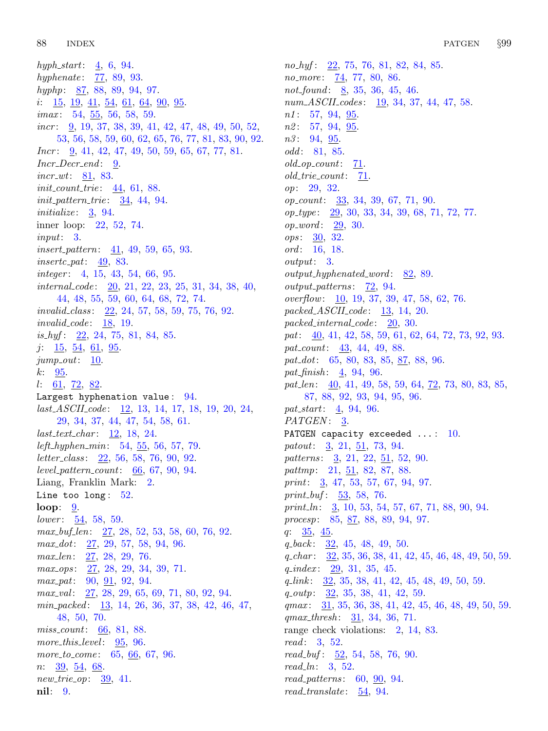hyph\_start:  $\frac{4}{6}$ , [6,](#page-3-0) [94](#page-39-0).  $hyphenate: 77, 89, 93.$  $hyphenate: 77, 89, 93.$  $hyphenate: 77, 89, 93.$  $hyphenate: 77, 89, 93.$  $hyphenate: 77, 89, 93.$  $hyphenate: 77, 89, 93.$  $hyphenate: 77, 89, 93.$ hyphp: [87](#page-35-0), [88](#page-35-0), [89,](#page-36-0) [94](#page-39-0), [97.](#page-40-0) i:  $\frac{15}{15}$  $\frac{15}{15}$  $\frac{15}{15}$ ,  $\frac{19}{41}$  $\frac{19}{41}$  $\frac{19}{41}$  $\frac{19}{41}$  $\frac{19}{41}$ ,  $\frac{54}{54}$  $\frac{54}{54}$  $\frac{54}{54}$ ,  $\frac{61}{64}$  $\frac{61}{64}$  $\frac{61}{64}$  $\frac{61}{64}$  $\frac{61}{64}$ ,  $\frac{90}{95}$  $\frac{90}{95}$  $\frac{90}{95}$  $\frac{90}{95}$  $\frac{90}{95}$ . *imax*:  $54, 55, 56, 58, 59$  $54, 55, 56, 58, 59$  $54, 55, 56, 58, 59$  $54, 55, 56, 58, 59$  $54, 55, 56, 58, 59$  $54, 55, 56, 58, 59$  $54, 55, 56, 58, 59$  $54, 55, 56, 58, 59$  $54, 55, 56, 58, 59$ . *incr*:  $\frac{9}{2}$ , 1[9,](#page-4-0) [37,](#page-14-0) [38,](#page-14-0) [39](#page-15-0), [41,](#page-15-0) [42](#page-16-0), [47,](#page-18-0) [48,](#page-18-0) [49](#page-19-0), [50,](#page-19-0) [52](#page-20-0), [53,](#page-20-0) [56,](#page-21-0) [58,](#page-23-0) [59,](#page-24-0) [60,](#page-24-0) [62,](#page-25-0) [65,](#page-26-0) [76,](#page-31-0) [77](#page-32-0), [81](#page-33-0), [83](#page-34-0), [90](#page-37-0), [92](#page-37-0).  $Incr: \underline{9}, 41, 42, 47, 49, 50, 59, 65, 67, 77, 81.$  $Incr: \underline{9}, 41, 42, 47, 49, 50, 59, 65, 67, 77, 81.$  $Incr: \underline{9}, 41, 42, 47, 49, 50, 59, 65, 67, 77, 81.$  $Incr: \underline{9}, 41, 42, 47, 49, 50, 59, 65, 67, 77, 81.$  $Incr: \underline{9}, 41, 42, 47, 49, 50, 59, 65, 67, 77, 81.$  $Incr: \underline{9}, 41, 42, 47, 49, 50, 59, 65, 67, 77, 81.$  $Incr: \underline{9}, 41, 42, 47, 49, 50, 59, 65, 67, 77, 81.$  $Incr: \underline{9}, 41, 42, 47, 49, 50, 59, 65, 67, 77, 81.$  $Incr: \underline{9}, 41, 42, 47, 49, 50, 59, 65, 67, 77, 81.$  $Incr: \underline{9}, 41, 42, 47, 49, 50, 59, 65, 67, 77, 81.$  $Incr: \underline{9}, 41, 42, 47, 49, 50, 59, 65, 67, 77, 81.$  $Incr: \underline{9}, 41, 42, 47, 49, 50, 59, 65, 67, 77, 81.$  $Incr: \underline{9}, 41, 42, 47, 49, 50, 59, 65, 67, 77, 81.$  $Incr: \underline{9}, 41, 42, 47, 49, 50, 59, 65, 67, 77, 81.$  $Incr\_Decr\_end:$  [9](#page-4-0).  $\textit{incr\_wt}: \quad 81, \, 83.$  $\textit{incr\_wt}: \quad 81, \, 83.$  $\textit{incr\_wt}: \quad 81, \, 83.$  $\textit{incr\_wt}: \quad 81, \, 83.$  $\textit{incr\_wt}: \quad 81, \, 83.$  $init\_count\_trie:$  [44,](#page-17-0) [61](#page-25-0), [88.](#page-35-0) init\_pattern\_trie: [34](#page-13-0), [44](#page-17-0), [94.](#page-39-0) initialize: [3](#page-1-0), [94](#page-39-0). inner loop: [22,](#page-9-0) [52,](#page-20-0) [74](#page-30-0). input: [3.](#page-1-0) insert pattern: [41](#page-15-0), [49](#page-19-0), [59](#page-24-0), [65](#page-26-0), [93](#page-38-0). insertc pat: [49](#page-19-0), [83.](#page-34-0)  $integer: 4, 15, 43, 54, 66, 95.$  $integer: 4, 15, 43, 54, 66, 95.$  $integer: 4, 15, 43, 54, 66, 95.$  $integer: 4, 15, 43, 54, 66, 95.$  $integer: 4, 15, 43, 54, 66, 95.$  $integer: 4, 15, 43, 54, 66, 95.$  $integer: 4, 15, 43, 54, 66, 95.$  $integer: 4, 15, 43, 54, 66, 95.$  $integer: 4, 15, 43, 54, 66, 95.$  $integer: 4, 15, 43, 54, 66, 95.$  $integer: 4, 15, 43, 54, 66, 95.$  $integer: 4, 15, 43, 54, 66, 95.$ internal\_code: [20,](#page-7-0) [21,](#page-8-0) [22](#page-9-0), [23](#page-9-0), [25,](#page-10-0) [31](#page-12-0), [34](#page-13-0), [38,](#page-14-0) [40,](#page-15-0) [44,](#page-17-0) [48,](#page-18-0) [55](#page-21-0), [59](#page-24-0), [60](#page-24-0), [64,](#page-26-0) [68,](#page-27-0) [72](#page-28-0), [74](#page-30-0). invalid class : [22](#page-9-0), [24,](#page-9-0) [57,](#page-22-0) [58](#page-23-0), [59,](#page-24-0) [75](#page-30-0), [76,](#page-31-0) [92](#page-37-0).  $invalid\_code: 18, 19.$  $invalid\_code: 18, 19.$  $invalid\_code: 18, 19.$  $invalid\_code: 18, 19.$  $is_h yf: \underline{22}, 24, 75, 81, 84, 85.$  $is_h yf: \underline{22}, 24, 75, 81, 84, 85.$  $is_h yf: \underline{22}, 24, 75, 81, 84, 85.$  $is_h yf: \underline{22}, 24, 75, 81, 84, 85.$  $is_h yf: \underline{22}, 24, 75, 81, 84, 85.$  $is_h yf: \underline{22}, 24, 75, 81, 84, 85.$  $is_h yf: \underline{22}, 24, 75, 81, 84, 85.$  $is_h yf: \underline{22}, 24, 75, 81, 84, 85.$  $is_h yf: \underline{22}, 24, 75, 81, 84, 85.$  $is_h yf: \underline{22}, 24, 75, 81, 84, 85.$  $is_h yf: \underline{22}, 24, 75, 81, 84, 85.$  $is_h yf: \underline{22}, 24, 75, 81, 84, 85.$ j:  $\frac{15}{54}$  $\frac{15}{54}$  $\frac{15}{54}$  $\frac{15}{54}$  $\frac{15}{54}$ ,  $\frac{61}{54}$  $\frac{61}{54}$  $\frac{61}{54}$ ,  $\frac{95}{54}$  $\frac{95}{54}$  $\frac{95}{54}$ .  $jump_out: 10.$  $jump_out: 10.$  $jump_out: 10.$  $k: 95.$  $k: 95.$  $k: 95.$  $l: \underline{61}, \underline{72}, \underline{82}.$  $l: \underline{61}, \underline{72}, \underline{82}.$  $l: \underline{61}, \underline{72}, \underline{82}.$ Largest hyphenation value: [94.](#page-39-0)  $last\_ASCII\_code: \underline{12}, 13, 14, 17, 18, 19, 20, 24,$  $last\_ASCII\_code: \underline{12}, 13, 14, 17, 18, 19, 20, 24,$  $last\_ASCII\_code: \underline{12}, 13, 14, 17, 18, 19, 20, 24,$  $last\_ASCII\_code: \underline{12}, 13, 14, 17, 18, 19, 20, 24,$  $last\_ASCII\_code: \underline{12}, 13, 14, 17, 18, 19, 20, 24,$  $last\_ASCII\_code: \underline{12}, 13, 14, 17, 18, 19, 20, 24,$  $last\_ASCII\_code: \underline{12}, 13, 14, 17, 18, 19, 20, 24,$  $last\_ASCII\_code: \underline{12}, 13, 14, 17, 18, 19, 20, 24,$  $last\_ASCII\_code: \underline{12}, 13, 14, 17, 18, 19, 20, 24,$  $last\_ASCII\_code: \underline{12}, 13, 14, 17, 18, 19, 20, 24,$  $last\_ASCII\_code: \underline{12}, 13, 14, 17, 18, 19, 20, 24,$  $last\_ASCII\_code: \underline{12}, 13, 14, 17, 18, 19, 20, 24,$  $last\_ASCII\_code: \underline{12}, 13, 14, 17, 18, 19, 20, 24,$  $last\_ASCII\_code: \underline{12}, 13, 14, 17, 18, 19, 20, 24,$  $last\_ASCII\_code: \underline{12}, 13, 14, 17, 18, 19, 20, 24,$  $last\_ASCII\_code: \underline{12}, 13, 14, 17, 18, 19, 20, 24,$ [29,](#page-11-0) [34,](#page-13-0) [37,](#page-14-0) [44,](#page-17-0) [47,](#page-18-0) [54,](#page-21-0) [58,](#page-23-0) [61.](#page-25-0)  $last\_text\_char: 12, 18, 24.$  $last\_text\_char: 12, 18, 24.$  $last\_text\_char: 12, 18, 24.$  $last\_text\_char: 12, 18, 24.$  $last\_text\_char: 12, 18, 24.$  $last\_text\_char: 12, 18, 24.$  $last\_text\_char: 12, 18, 24.$  $left\_hyphen\_min: 54, 55, 56, 57, 79.$  $left\_hyphen\_min: 54, 55, 56, 57, 79.$  $left\_hyphen\_min: 54, 55, 56, 57, 79.$  $left\_hyphen\_min: 54, 55, 56, 57, 79.$  $left\_hyphen\_min: 54, 55, 56, 57, 79.$  $left\_hyphen\_min: 54, 55, 56, 57, 79.$  $left\_hyphen\_min: 54, 55, 56, 57, 79.$  $left\_hyphen\_min: 54, 55, 56, 57, 79.$  $left\_hyphen\_min: 54, 55, 56, 57, 79.$  $left\_hyphen\_min: 54, 55, 56, 57, 79.$  $left\_hyphen\_min: 54, 55, 56, 57, 79.$  $letter\_class: \quad 22, 56, 58, 76, 90, 92.$  $letter\_class: \quad 22, 56, 58, 76, 90, 92.$  $letter\_class: \quad 22, 56, 58, 76, 90, 92.$  $letter\_class: \quad 22, 56, 58, 76, 90, 92.$  $letter\_class: \quad 22, 56, 58, 76, 90, 92.$  $letter\_class: \quad 22, 56, 58, 76, 90, 92.$  $letter\_class: \quad 22, 56, 58, 76, 90, 92.$  $letter\_class: \quad 22, 56, 58, 76, 90, 92.$  $letter\_class: \quad 22, 56, 58, 76, 90, 92.$  $letter\_class: \quad 22, 56, 58, 76, 90, 92.$  $letter\_class: \quad 22, 56, 58, 76, 90, 92.$  $letter\_class: \quad 22, 56, 58, 76, 90, 92.$  $letter\_class: \quad 22, 56, 58, 76, 90, 92.$  $level{\_}pattern{\_}count: 66, 67, 90, 94.$  $level{\_}pattern{\_}count: 66, 67, 90, 94.$  $level{\_}pattern{\_}count: 66, 67, 90, 94.$  $level{\_}pattern{\_}count: 66, 67, 90, 94.$  $level{\_}pattern{\_}count: 66, 67, 90, 94.$  $level{\_}pattern{\_}count: 66, 67, 90, 94.$  $level{\_}pattern{\_}count: 66, 67, 90, 94.$  $level{\_}pattern{\_}count: 66, 67, 90, 94.$  $level{\_}pattern{\_}count: 66, 67, 90, 94.$ Liang, Franklin Mark: [2.](#page-1-0) Line too long:  $52$ .  $loop: 9.$  $loop: 9.$ lower: [54](#page-21-0), [58](#page-23-0), [59](#page-24-0). max buf len: [27,](#page-11-0) [28](#page-11-0), [52,](#page-20-0) [53](#page-20-0), [58,](#page-23-0) [60](#page-24-0), [76,](#page-31-0) [92](#page-37-0). max dot: [27](#page-11-0), [29](#page-11-0), [57](#page-22-0), [58](#page-23-0), [94](#page-39-0), [96](#page-40-0). max len: [27](#page-11-0), [28,](#page-11-0) [29](#page-11-0), [76.](#page-31-0) max\_ops: [27,](#page-11-0) [28,](#page-11-0) [29,](#page-11-0) [34,](#page-13-0) [39,](#page-15-0) [71](#page-28-0).  $max$ -pat: [90,](#page-37-0) [91](#page-37-0), [92,](#page-37-0) [94](#page-39-0). max\_val: [27,](#page-11-0) [28](#page-11-0), [29,](#page-11-0) [65](#page-26-0), [69,](#page-27-0) [71](#page-28-0), [80,](#page-32-0) [92](#page-37-0), [94.](#page-39-0) min packed: [13,](#page-5-0) [14,](#page-5-0) [26,](#page-11-0) [36,](#page-14-0) [37,](#page-14-0) [38](#page-14-0), [42](#page-16-0), [46](#page-18-0), [47](#page-18-0), [48,](#page-18-0) [50,](#page-19-0) [70](#page-28-0). miss\_count: [66,](#page-26-0) [81](#page-33-0), [88.](#page-35-0) more\_this\_level: [95](#page-39-0), [96](#page-40-0). more\_to\_come:  $65, 66, 67, 96$  $65, 66, 67, 96$  $65, 66, 67, 96$  $65, 66, 67, 96$  $65, 66, 67, 96$  $65, 66, 67, 96$ .  $n: \frac{39}{54}, \frac{54}{68}.$  $new\_trie\_op: 39, 41.$  $new\_trie\_op: 39, 41.$  $new\_trie\_op: 39, 41.$  $new\_trie\_op: 39, 41.$  $new\_trie\_op: 39, 41.$ nil: [9](#page-4-0).

 $no_1, \underline{b}1, \underline{c}2, \underline{75}, \underline{76}, \underline{81}, \underline{82}, \underline{84}, \underline{85}.$  $no_1, \underline{b}1, \underline{c}2, \underline{75}, \underline{76}, \underline{81}, \underline{82}, \underline{84}, \underline{85}.$  $no_1, \underline{b}1, \underline{c}2, \underline{75}, \underline{76}, \underline{81}, \underline{82}, \underline{84}, \underline{85}.$  $no_1, \underline{b}1, \underline{c}2, \underline{75}, \underline{76}, \underline{81}, \underline{82}, \underline{84}, \underline{85}.$  $no_1, \underline{b}1, \underline{c}2, \underline{75}, \underline{76}, \underline{81}, \underline{82}, \underline{84}, \underline{85}.$  $no_1, \underline{b}1, \underline{c}2, \underline{75}, \underline{76}, \underline{81}, \underline{82}, \underline{84}, \underline{85}.$  $no_1, \underline{b}1, \underline{c}2, \underline{75}, \underline{76}, \underline{81}, \underline{82}, \underline{84}, \underline{85}.$  $no_1, \underline{b}1, \underline{c}2, \underline{75}, \underline{76}, \underline{81}, \underline{82}, \underline{84}, \underline{85}.$  $no_1, \underline{b}1, \underline{c}2, \underline{75}, \underline{76}, \underline{81}, \underline{82}, \underline{84}, \underline{85}.$  $no_1, \underline{b}1, \underline{c}2, \underline{75}, \underline{76}, \underline{81}, \underline{82}, \underline{84}, \underline{85}.$  $no_1, \underline{b}1, \underline{c}2, \underline{75}, \underline{76}, \underline{81}, \underline{82}, \underline{84}, \underline{85}.$  $no\_more: \quad \underline{74}, \ 77, \ 80, \ 86.$  $no\_more: \quad \underline{74}, \ 77, \ 80, \ 86.$  $no\_more: \quad \underline{74}, \ 77, \ 80, \ 86.$  $no\_more: \quad \underline{74}, \ 77, \ 80, \ 86.$  $no\_more: \quad \underline{74}, \ 77, \ 80, \ 86.$  $no\_more: \quad \underline{74}, \ 77, \ 80, \ 86.$  $no\_more: \quad \underline{74}, \ 77, \ 80, \ 86.$ not\_found: [8](#page-4-0), [35](#page-13-0), [36,](#page-14-0) [45,](#page-17-0) [46](#page-18-0). num ASCII codes: [19,](#page-7-0) [34](#page-13-0), [37,](#page-14-0) [44](#page-17-0), [47,](#page-18-0) [58](#page-23-0).  $n1: 57, 94, 95.$  $n1: 57, 94, 95.$  $n1: 57, 94, 95.$  $n1: 57, 94, 95.$  $n1: 57, 94, 95.$  $n1: 57, 94, 95.$  $n1: 57, 94, 95.$  $n2: 57, 94, 95.$  $n2: 57, 94, 95.$  $n2: 57, 94, 95.$  $n2: 57, 94, 95.$  $n2: 57, 94, 95.$  $n2: 57, 94, 95.$  $n2: 57, 94, 95.$  $n3$ : [94](#page-39-0), [95](#page-39-0). odd: [81,](#page-33-0) [85](#page-34-0).  $old\_op\_count: 71$ .  $old\_trie\_count: 71$ . op: [29,](#page-11-0) [32](#page-12-0). op count: [33](#page-13-0), [34](#page-13-0), [39](#page-15-0), [67](#page-27-0), [71](#page-28-0), [90.](#page-37-0)  $op_type: \underline{29}$  $op_type: \underline{29}$  $op_type: \underline{29}$ , [30,](#page-12-0) [33](#page-13-0), [34,](#page-13-0) [39](#page-15-0), [68,](#page-27-0) [71](#page-28-0), [72,](#page-28-0) [77](#page-32-0).  $op_{\sim} word: \quad 29, \; 30.$  $op_{\sim} word: \quad 29, \; 30.$  $op_{\sim} word: \quad 29, \; 30.$  $op_{\sim} word: \quad 29, \; 30.$  $op_{\sim} word: \quad 29, \; 30.$ ops: [30](#page-12-0), [32](#page-12-0). ord: [16](#page-6-0), [18](#page-6-0). output: [3.](#page-1-0)  $output\_hyphended\_word: 82, 89.$  $output\_hyphended\_word: 82, 89.$  $output\_hyphended\_word: 82, 89.$  $output\_hyphended\_word: 82, 89.$  $output\_hyphended\_word: 82, 89.$ output\_patterns:  $\overline{72}$ , [94](#page-39-0). overflow: [10](#page-4-0), [19,](#page-7-0) [37,](#page-14-0) [39](#page-15-0), [47,](#page-18-0) [58](#page-23-0), [62](#page-25-0), [76.](#page-31-0) packed  $ASCII\_{code}: 13, 14, 20.$  $ASCII\_{code}: 13, 14, 20.$  $ASCII\_{code}: 13, 14, 20.$  $ASCII\_{code}: 13, 14, 20.$  $ASCII\_{code}: 13, 14, 20.$  $ASCII\_{code}: 13, 14, 20.$ packed internal code: [20,](#page-7-0) [30.](#page-12-0) pat:  $\underline{40}$  $\underline{40}$  $\underline{40}$ , [41](#page-15-0), [42](#page-16-0), [58,](#page-23-0) [59,](#page-24-0) [61,](#page-25-0) [62,](#page-25-0) [64](#page-26-0), [72](#page-28-0), [73](#page-29-0), [92](#page-37-0), [93.](#page-38-0) pat<sub>-count: [43](#page-17-0)</sub>, [44,](#page-17-0) [49](#page-19-0), [88](#page-35-0). pat dot: [65](#page-26-0), [80](#page-32-0), [83](#page-34-0), [85,](#page-34-0) [87,](#page-35-0) [88,](#page-35-0) [96.](#page-40-0) pat  $\text{f} \text{in} \{ \text{in} \}$ . [4](#page-2-0), [94,](#page-39-0) [96](#page-40-0). pat len:  $\underline{40}$  $\underline{40}$  $\underline{40}$ , [41,](#page-15-0) [49](#page-19-0), [58](#page-23-0), [59,](#page-24-0) [64](#page-26-0),  $\underline{72}$ , [73](#page-29-0), [80](#page-32-0), [83,](#page-34-0) [85](#page-34-0), [87,](#page-35-0) [88](#page-35-0), [92](#page-37-0), [93](#page-38-0), [94,](#page-39-0) [95,](#page-39-0) [96](#page-40-0). pat\_start:  $\frac{4}{94}$ , 9[4,](#page-2-0) [96](#page-40-0). PATGEN: [3](#page-1-0). PATGEN capacity exceeded ...: [10](#page-4-0). patout:  $\frac{3}{2}, 21, \frac{51}{2}, 73, 94.$  $\frac{3}{2}, 21, \frac{51}{2}, 73, 94.$  $\frac{3}{2}, 21, \frac{51}{2}, 73, 94.$  $\frac{3}{2}, 21, \frac{51}{2}, 73, 94.$ patterns:  $\frac{3}{2}, \frac{21}{22}, \frac{51}{52}, \frac{52}{90}.$  $\frac{3}{2}, \frac{21}{22}, \frac{51}{52}, \frac{52}{90}.$  $\frac{3}{2}, \frac{21}{22}, \frac{51}{52}, \frac{52}{90}.$  $\frac{3}{2}, \frac{21}{22}, \frac{51}{52}, \frac{52}{90}.$  $\frac{3}{2}, \frac{21}{22}, \frac{51}{52}, \frac{52}{90}.$  $\frac{3}{2}, \frac{21}{22}, \frac{51}{52}, \frac{52}{90}.$  $\frac{3}{2}, \frac{21}{22}, \frac{51}{52}, \frac{52}{90}.$ pattmp: [21](#page-8-0), [51,](#page-20-0) [82,](#page-33-0) [87](#page-35-0), [88.](#page-35-0) print:  $3, 47, 53, 57, 67, 94, 97$  $3, 47, 53, 57, 67, 94, 97$  $3, 47, 53, 57, 67, 94, 97$  $3, 47, 53, 57, 67, 94, 97$  $3, 47, 53, 57, 67, 94, 97$  $3, 47, 53, 57, 67, 94, 97$  $3, 47, 53, 57, 67, 94, 97$  $3, 47, 53, 57, 67, 94, 97$  $3, 47, 53, 57, 67, 94, 97$  $3, 47, 53, 57, 67, 94, 97$  $3, 47, 53, 57, 67, 94, 97$  $3, 47, 53, 57, 67, 94, 97$ . print buf:  $53, 58, 76$  $53, 58, 76$  $53, 58, 76$  $53, 58, 76$  $53, 58, 76$ . print  $\ln$ : [3](#page-1-0), [10](#page-4-0), [53,](#page-20-0) [54](#page-21-0), [57](#page-22-0), [67,](#page-27-0) [71](#page-28-0), [88](#page-35-0), [90,](#page-37-0) [94](#page-39-0). procesp: [85,](#page-34-0) [87](#page-35-0), [88](#page-35-0), [89](#page-36-0), [94](#page-39-0), [97](#page-40-0). q: [35](#page-13-0), [45.](#page-17-0)  $q\_back:$  [32,](#page-12-0) [45](#page-17-0), [48,](#page-18-0) [49,](#page-19-0) [50](#page-19-0).  $q_{\text{z}} char: \quad \underline{32}, 35, 36, 38, 41, 42, 45, 46, 48, 49, 50, 59.$  $q_{\text{z}} char: \quad \underline{32}, 35, 36, 38, 41, 42, 45, 46, 48, 49, 50, 59.$  $q_{\text{z}} char: \quad \underline{32}, 35, 36, 38, 41, 42, 45, 46, 48, 49, 50, 59.$  $q_{\text{z}} char: \quad \underline{32}, 35, 36, 38, 41, 42, 45, 46, 48, 49, 50, 59.$  $q_{\text{z}} char: \quad \underline{32}, 35, 36, 38, 41, 42, 45, 46, 48, 49, 50, 59.$  $q_{\text{z}} char: \quad \underline{32}, 35, 36, 38, 41, 42, 45, 46, 48, 49, 50, 59.$  $q_{\text{z}} char: \quad \underline{32}, 35, 36, 38, 41, 42, 45, 46, 48, 49, 50, 59.$  $q_{\text{z}} char: \quad \underline{32}, 35, 36, 38, 41, 42, 45, 46, 48, 49, 50, 59.$  $q_{\text{z}} char: \quad \underline{32}, 35, 36, 38, 41, 42, 45, 46, 48, 49, 50, 59.$  $q_{\text{z}} char: \quad \underline{32}, 35, 36, 38, 41, 42, 45, 46, 48, 49, 50, 59.$  $q_{\text{z}} char: \quad \underline{32}, 35, 36, 38, 41, 42, 45, 46, 48, 49, 50, 59.$  $q_{\text{z}} char: \quad \underline{32}, 35, 36, 38, 41, 42, 45, 46, 48, 49, 50, 59.$  $q_{\text{z}} char: \quad \underline{32}, 35, 36, 38, 41, 42, 45, 46, 48, 49, 50, 59.$  $q_{\text{z}} char: \quad \underline{32}, 35, 36, 38, 41, 42, 45, 46, 48, 49, 50, 59.$  $q_{\text{z}} char: \quad \underline{32}, 35, 36, 38, 41, 42, 45, 46, 48, 49, 50, 59.$  $q_{\text{z}} char: \quad \underline{32}, 35, 36, 38, 41, 42, 45, 46, 48, 49, 50, 59.$  $q_{\text{z}} char: \quad \underline{32}, 35, 36, 38, 41, 42, 45, 46, 48, 49, 50, 59.$  $q_{\text{z}} char: \quad \underline{32}, 35, 36, 38, 41, 42, 45, 46, 48, 49, 50, 59.$  $q_{\text{z}} char: \quad \underline{32}, 35, 36, 38, 41, 42, 45, 46, 48, 49, 50, 59.$  $q_{\text{z}} char: \quad \underline{32}, 35, 36, 38, 41, 42, 45, 46, 48, 49, 50, 59.$  $q_{\text{z}} char: \quad \underline{32}, 35, 36, 38, 41, 42, 45, 46, 48, 49, 50, 59.$  $q_{\text{z}} char: \quad \underline{32}, 35, 36, 38, 41, 42, 45, 46, 48, 49, 50, 59.$  $q_{\text{z}} char: \quad \underline{32}, 35, 36, 38, 41, 42, 45, 46, 48, 49, 50, 59.$  $q_{\text{z}} char: \quad \underline{32}, 35, 36, 38, 41, 42, 45, 46, 48, 49, 50, 59.$  $q_{\text{z}} char: \quad \underline{32}, 35, 36, 38, 41, 42, 45, 46, 48, 49, 50, 59.$  $q\_index: \quad 29, \; 31, \; 35, \; 45.$  $q\_index: \quad 29, \; 31, \; 35, \; 45.$  $q\_index: \quad 29, \; 31, \; 35, \; 45.$  $q\_index: \quad 29, \; 31, \; 35, \; 45.$  $q\_index: \quad 29, \; 31, \; 35, \; 45.$  $q\_index: \quad 29, \; 31, \; 35, \; 45.$  $q\_index: \quad 29, \; 31, \; 35, \; 45.$  $q\_index: \quad 29, \; 31, \; 35, \; 45.$  $q\_index: \quad 29, \; 31, \; 35, \; 45.$  $q\_{link:}\quad \underline{32},\, 35,\, 38,\, 41,\, 42,\, 45,\, 48,\, 49,\, 50,\, 59.$  $q\_{link:}\quad \underline{32},\, 35,\, 38,\, 41,\, 42,\, 45,\, 48,\, 49,\, 50,\, 59.$  $q\_{link:}\quad \underline{32},\, 35,\, 38,\, 41,\, 42,\, 45,\, 48,\, 49,\, 50,\, 59.$  $q\_{link:}\quad \underline{32},\, 35,\, 38,\, 41,\, 42,\, 45,\, 48,\, 49,\, 50,\, 59.$  $q\_{link:}\quad \underline{32},\, 35,\, 38,\, 41,\, 42,\, 45,\, 48,\, 49,\, 50,\, 59.$  $q\_{link:}\quad \underline{32},\, 35,\, 38,\, 41,\, 42,\, 45,\, 48,\, 49,\, 50,\, 59.$  $q\_{link:}\quad \underline{32},\, 35,\, 38,\, 41,\, 42,\, 45,\, 48,\, 49,\, 50,\, 59.$  $q\_{link:}\quad \underline{32},\, 35,\, 38,\, 41,\, 42,\, 45,\, 48,\, 49,\, 50,\, 59.$  $q\_{link:}\quad \underline{32},\, 35,\, 38,\, 41,\, 42,\, 45,\, 48,\, 49,\, 50,\, 59.$  $q\_{link:}\quad \underline{32},\, 35,\, 38,\, 41,\, 42,\, 45,\, 48,\, 49,\, 50,\, 59.$  $q\_{link:}\quad \underline{32},\, 35,\, 38,\, 41,\, 42,\, 45,\, 48,\, 49,\, 50,\, 59.$  $q\_{link:}\quad \underline{32},\, 35,\, 38,\, 41,\, 42,\, 45,\, 48,\, 49,\, 50,\, 59.$  $q\_{link:}\quad \underline{32},\, 35,\, 38,\, 41,\, 42,\, 45,\, 48,\, 49,\, 50,\, 59.$  $q\_{link:}\quad \underline{32},\, 35,\, 38,\, 41,\, 42,\, 45,\, 48,\, 49,\, 50,\, 59.$  $q\_{link:}\quad \underline{32},\, 35,\, 38,\, 41,\, 42,\, 45,\, 48,\, 49,\, 50,\, 59.$  $q\_{link:}\quad \underline{32},\, 35,\, 38,\, 41,\, 42,\, 45,\, 48,\, 49,\, 50,\, 59.$  $q\_{link:}\quad \underline{32},\, 35,\, 38,\, 41,\, 42,\, 45,\, 48,\, 49,\, 50,\, 59.$  $q\_{link:}\quad \underline{32},\, 35,\, 38,\, 41,\, 42,\, 45,\, 48,\, 49,\, 50,\, 59.$  $q\_{link:}\quad \underline{32},\, 35,\, 38,\, 41,\, 42,\, 45,\, 48,\, 49,\, 50,\, 59.$  $q\_{link:}\quad \underline{32},\, 35,\, 38,\, 41,\, 42,\, 45,\, 48,\, 49,\, 50,\, 59.$  $q\_output$ :  $\frac{32}{35}$  $\frac{32}{35}$  $\frac{32}{35}$ ,  $\frac{35}{38}$  $\frac{35}{38}$  $\frac{35}{38}$ ,  $\frac{41}{42}$  $\frac{41}{42}$  $\frac{41}{42}$  $\frac{41}{42}$  $\frac{41}{42}$ ,  $\frac{42}{59}$ . qmax: [31,](#page-12-0) [35,](#page-13-0) [36,](#page-14-0) [38](#page-14-0), [41](#page-15-0), [42](#page-16-0), [45,](#page-17-0) [46,](#page-18-0) [48,](#page-18-0) [49,](#page-19-0) [50](#page-19-0), [59](#page-24-0). qmax\_thresh: [31,](#page-12-0) [34](#page-13-0), [36](#page-14-0), [71.](#page-28-0) range check violations: [2](#page-1-0), [14](#page-5-0), [83.](#page-34-0) read: [3](#page-1-0), [52](#page-20-0).  $read_buf: 52, 54, 58, 76, 90.$  $read_buf: 52, 54, 58, 76, 90.$  $read_buf: 52, 54, 58, 76, 90.$  $read_buf: 52, 54, 58, 76, 90.$  $read_buf: 52, 54, 58, 76, 90.$  $read_buf: 52, 54, 58, 76, 90.$  $read_buf: 52, 54, 58, 76, 90.$  $read_buf: 52, 54, 58, 76, 90.$  $read_buf: 52, 54, 58, 76, 90.$  $read_buf: 52, 54, 58, 76, 90.$ read ln: [3,](#page-1-0) [52.](#page-20-0) read *patterns* : [60](#page-24-0), [90,](#page-37-0) [94](#page-39-0). read translate:  $\frac{54}{94}$  $\frac{54}{94}$  $\frac{54}{94}$ .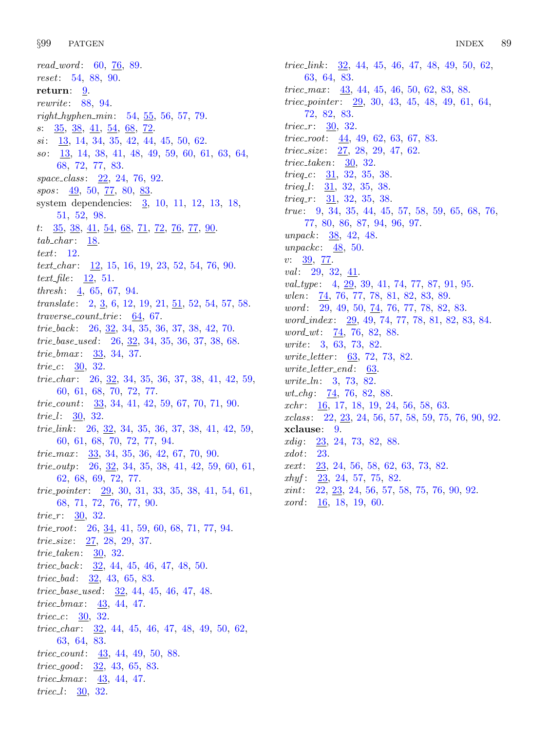read\_word: [60](#page-24-0), [76,](#page-31-0) [89.](#page-36-0) reset: [54](#page-21-0), [88](#page-35-0), [90](#page-37-0). return:  $9$ . rewrite: [88,](#page-35-0) [94.](#page-39-0)  $right\_hyphen\_min: 54, 55, 56, 57, 79.$  $right\_hyphen\_min: 54, 55, 56, 57, 79.$  $right\_hyphen\_min: 54, 55, 56, 57, 79.$  $right\_hyphen\_min: 54, 55, 56, 57, 79.$  $right\_hyphen\_min: 54, 55, 56, 57, 79.$  $right\_hyphen\_min: 54, 55, 56, 57, 79.$  $right\_hyphen\_min: 54, 55, 56, 57, 79.$  $right\_hyphen\_min: 54, 55, 56, 57, 79.$  $right\_hyphen\_min: 54, 55, 56, 57, 79.$  $right\_hyphen\_min: 54, 55, 56, 57, 79.$ s: [35](#page-13-0), [38,](#page-14-0) [41](#page-15-0), [54,](#page-21-0) [68](#page-27-0), [72.](#page-28-0)  $si: \underline{13}$  $si: \underline{13}$  $si: \underline{13}$ , [14](#page-5-0), [34,](#page-13-0) [35,](#page-13-0) [42](#page-16-0), [44](#page-17-0), [45](#page-17-0), [50,](#page-19-0) [62.](#page-25-0) so: [13,](#page-5-0) [14](#page-5-0), [38,](#page-14-0) [41,](#page-15-0) [48](#page-18-0), [49,](#page-19-0) [59,](#page-24-0) [60](#page-24-0), [61,](#page-25-0) [63,](#page-25-0) [64](#page-26-0), [68,](#page-27-0) [72,](#page-28-0) [77,](#page-32-0) [83](#page-34-0). space\_class: [22](#page-9-0), [24,](#page-9-0) [76](#page-31-0), [92](#page-37-0).  $spos: \quad \underline{49}, \; 50, \; \underline{77}, \; 80, \; \underline{83}.$  $spos: \quad \underline{49}, \; 50, \; \underline{77}, \; 80, \; \underline{83}.$  $spos: \quad \underline{49}, \; 50, \; \underline{77}, \; 80, \; \underline{83}.$  $spos: \quad \underline{49}, \; 50, \; \underline{77}, \; 80, \; \underline{83}.$  $spos: \quad \underline{49}, \; 50, \; \underline{77}, \; 80, \; \underline{83}.$ system dependencies: [3](#page-1-0), [10,](#page-4-0) [11,](#page-4-0) [12,](#page-5-0) [13,](#page-5-0) [18,](#page-6-0) [51,](#page-20-0) [52,](#page-20-0) [98](#page-41-0). t:  $35, 38, 41, 54, 68, 71, 72, 76, 77, 90.$  $35, 38, 41, 54, 68, 71, 72, 76, 77, 90.$  $35, 38, 41, 54, 68, 71, 72, 76, 77, 90.$  $35, 38, 41, 54, 68, 71, 72, 76, 77, 90.$  $35, 38, 41, 54, 68, 71, 72, 76, 77, 90.$  $35, 38, 41, 54, 68, 71, 72, 76, 77, 90.$  $35, 38, 41, 54, 68, 71, 72, 76, 77, 90.$  $35, 38, 41, 54, 68, 71, 72, 76, 77, 90.$  $35, 38, 41, 54, 68, 71, 72, 76, 77, 90.$  $35, 38, 41, 54, 68, 71, 72, 76, 77, 90.$  $35, 38, 41, 54, 68, 71, 72, 76, 77, 90.$  $35, 38, 41, 54, 68, 71, 72, 76, 77, 90.$  $35, 38, 41, 54, 68, 71, 72, 76, 77, 90.$  $35, 38, 41, 54, 68, 71, 72, 76, 77, 90.$  $35, 38, 41, 54, 68, 71, 72, 76, 77, 90.$  $35, 38, 41, 54, 68, 71, 72, 76, 77, 90.$  $35, 38, 41, 54, 68, 71, 72, 76, 77, 90.$  $35, 38, 41, 54, 68, 71, 72, 76, 77, 90.$  $35, 38, 41, 54, 68, 71, 72, 76, 77, 90.$  $35, 38, 41, 54, 68, 71, 72, 76, 77, 90.$  $tab\_char: 18.$  $tab\_char: 18.$ text: [12.](#page-5-0) text\_char:  $\underline{12}$ , [15](#page-6-0), [16,](#page-6-0) [19,](#page-7-0) [23](#page-9-0), [52,](#page-20-0) [54](#page-21-0), [76,](#page-31-0) [90.](#page-37-0) text file:  $\frac{12}{51}$  $\frac{12}{51}$  $\frac{12}{51}$  $\frac{12}{51}$  $\frac{12}{51}$ . *thresh*:  $4, 65, 67, 94$  $4, 65, 67, 94$  $4, 65, 67, 94$  $4, 65, 67, 94$  $4, 65, 67, 94$  $4, 65, 67, 94$ . translate:  $2, \underline{3}, 6, 12, 19, 21, \underline{51}, 52, 54, 57, 58.$  $2, \underline{3}, 6, 12, 19, 21, \underline{51}, 52, 54, 57, 58.$  $2, \underline{3}, 6, 12, 19, 21, \underline{51}, 52, 54, 57, 58.$  $2, \underline{3}, 6, 12, 19, 21, \underline{51}, 52, 54, 57, 58.$  $2, \underline{3}, 6, 12, 19, 21, \underline{51}, 52, 54, 57, 58.$  $2, \underline{3}, 6, 12, 19, 21, \underline{51}, 52, 54, 57, 58.$  $2, \underline{3}, 6, 12, 19, 21, \underline{51}, 52, 54, 57, 58.$  $2, \underline{3}, 6, 12, 19, 21, \underline{51}, 52, 54, 57, 58.$  $2, \underline{3}, 6, 12, 19, 21, \underline{51}, 52, 54, 57, 58.$  $2, \underline{3}, 6, 12, 19, 21, \underline{51}, 52, 54, 57, 58.$  $2, \underline{3}, 6, 12, 19, 21, \underline{51}, 52, 54, 57, 58.$  $2, \underline{3}, 6, 12, 19, 21, \underline{51}, 52, 54, 57, 58.$  $2, \underline{3}, 6, 12, 19, 21, \underline{51}, 52, 54, 57, 58.$  $2, \underline{3}, 6, 12, 19, 21, \underline{51}, 52, 54, 57, 58.$  $2, \underline{3}, 6, 12, 19, 21, \underline{51}, 52, 54, 57, 58.$  $2, \underline{3}, 6, 12, 19, 21, \underline{51}, 52, 54, 57, 58.$  $2, \underline{3}, 6, 12, 19, 21, \underline{51}, 52, 54, 57, 58.$  $2, \underline{3}, 6, 12, 19, 21, \underline{51}, 52, 54, 57, 58.$  $traverse\_count\_trie: 64, 67.$  $traverse\_count\_trie: 64, 67.$  $traverse\_count\_trie: 64, 67.$  $traverse\_count\_trie: 64, 67.$  $traverse\_count\_trie: 64, 67.$ trie\_back:  $26, 32, 34, 35, 36, 37, 38, 42, 70$  $26, 32, 34, 35, 36, 37, 38, 42, 70$  $26, 32, 34, 35, 36, 37, 38, 42, 70$  $26, 32, 34, 35, 36, 37, 38, 42, 70$  $26, 32, 34, 35, 36, 37, 38, 42, 70$  $26, 32, 34, 35, 36, 37, 38, 42, 70$  $26, 32, 34, 35, 36, 37, 38, 42, 70$  $26, 32, 34, 35, 36, 37, 38, 42, 70$  $26, 32, 34, 35, 36, 37, 38, 42, 70$  $26, 32, 34, 35, 36, 37, 38, 42, 70$  $26, 32, 34, 35, 36, 37, 38, 42, 70$  $26, 32, 34, 35, 36, 37, 38, 42, 70$  $26, 32, 34, 35, 36, 37, 38, 42, 70$  $26, 32, 34, 35, 36, 37, 38, 42, 70$  $26, 32, 34, 35, 36, 37, 38, 42, 70$  $26, 32, 34, 35, 36, 37, 38, 42, 70$ . trie\_base\_used:  $26, 32, 34, 35, 36, 37, 38, 68$  $26, 32, 34, 35, 36, 37, 38, 68$  $26, 32, 34, 35, 36, 37, 38, 68$  $26, 32, 34, 35, 36, 37, 38, 68$  $26, 32, 34, 35, 36, 37, 38, 68$  $26, 32, 34, 35, 36, 37, 38, 68$  $26, 32, 34, 35, 36, 37, 38, 68$  $26, 32, 34, 35, 36, 37, 38, 68$  $26, 32, 34, 35, 36, 37, 38, 68$  $26, 32, 34, 35, 36, 37, 38, 68$  $26, 32, 34, 35, 36, 37, 38, 68$  $26, 32, 34, 35, 36, 37, 38, 68$  $26, 32, 34, 35, 36, 37, 38, 68$  $26, 32, 34, 35, 36, 37, 38, 68$ . trie\_bmax:  $33, 34, 37$  $33, 34, 37$  $33, 34, 37$  $33, 34, 37$ .  $trie_{-}c: 30, 32.$  $trie_{-}c: 30, 32.$  $trie_{-}c: 30, 32.$  $trie_{-}c: 30, 32.$  $trie_{-}c: 30, 32.$ trie\_char:  $26, 32, 34, 35, 36, 37, 38, 41, 42, 59,$  $26, 32, 34, 35, 36, 37, 38, 41, 42, 59,$  $26, 32, 34, 35, 36, 37, 38, 41, 42, 59,$  $26, 32, 34, 35, 36, 37, 38, 41, 42, 59,$  $26, 32, 34, 35, 36, 37, 38, 41, 42, 59,$  $26, 32, 34, 35, 36, 37, 38, 41, 42, 59,$  $26, 32, 34, 35, 36, 37, 38, 41, 42, 59,$  $26, 32, 34, 35, 36, 37, 38, 41, 42, 59,$  $26, 32, 34, 35, 36, 37, 38, 41, 42, 59,$  $26, 32, 34, 35, 36, 37, 38, 41, 42, 59,$  $26, 32, 34, 35, 36, 37, 38, 41, 42, 59,$  $26, 32, 34, 35, 36, 37, 38, 41, 42, 59,$  $26, 32, 34, 35, 36, 37, 38, 41, 42, 59,$  $26, 32, 34, 35, 36, 37, 38, 41, 42, 59,$  $26, 32, 34, 35, 36, 37, 38, 41, 42, 59,$  $26, 32, 34, 35, 36, 37, 38, 41, 42, 59,$  $26, 32, 34, 35, 36, 37, 38, 41, 42, 59,$  $26, 32, 34, 35, 36, 37, 38, 41, 42, 59,$  $26, 32, 34, 35, 36, 37, 38, 41, 42, 59,$ [60,](#page-24-0) [61](#page-25-0), [68,](#page-27-0) [70](#page-28-0), [72,](#page-28-0) [77.](#page-32-0) trie count: [33](#page-13-0), [34,](#page-13-0) [41](#page-15-0), [42](#page-16-0), [59,](#page-24-0) [67](#page-27-0), [70,](#page-28-0) [71,](#page-28-0) [90](#page-37-0). *trie.l*:  $\frac{30}{32}$ . trie link : [26,](#page-11-0) [32,](#page-12-0) [34,](#page-13-0) [35,](#page-13-0) [36](#page-14-0), [37](#page-14-0), [38](#page-14-0), [41](#page-15-0), [42](#page-16-0), [59](#page-24-0), [60,](#page-24-0) [61](#page-25-0), [68](#page-27-0), [70](#page-28-0), [72,](#page-28-0) [77,](#page-32-0) [94](#page-39-0). trie max:  $\frac{33}{34}$  $\frac{33}{34}$  $\frac{33}{34}$ , [34,](#page-13-0) [35](#page-13-0), [36,](#page-14-0) [42,](#page-16-0) [67](#page-27-0), [70,](#page-28-0) [90](#page-37-0). trie outp: [26](#page-11-0), [32](#page-12-0), [34](#page-13-0), [35,](#page-13-0) [38,](#page-14-0) [41](#page-15-0), [42](#page-16-0), [59,](#page-24-0) [60,](#page-24-0) [61,](#page-25-0) [62,](#page-25-0) [68,](#page-27-0) [69](#page-27-0), [72,](#page-28-0) [77](#page-32-0). trie *pointer* :  $\frac{29}{30}$ , [30,](#page-12-0) [31,](#page-12-0) [33,](#page-13-0) [35,](#page-13-0) [38,](#page-14-0) [41,](#page-15-0) [54,](#page-21-0) [61,](#page-25-0) [68,](#page-27-0) [71](#page-28-0), [72,](#page-28-0) [76](#page-31-0), [77,](#page-32-0) [90.](#page-37-0) *trie\_r* :  $30, 32$  $30, 32$  $30, 32$ . trie root:  $26, 34, 41, 59, 60, 68, 71, 77, 94.$  $26, 34, 41, 59, 60, 68, 71, 77, 94.$  $26, 34, 41, 59, 60, 68, 71, 77, 94.$  $26, 34, 41, 59, 60, 68, 71, 77, 94.$  $26, 34, 41, 59, 60, 68, 71, 77, 94.$  $26, 34, 41, 59, 60, 68, 71, 77, 94.$  $26, 34, 41, 59, 60, 68, 71, 77, 94.$  $26, 34, 41, 59, 60, 68, 71, 77, 94.$  $26, 34, 41, 59, 60, 68, 71, 77, 94.$  $26, 34, 41, 59, 60, 68, 71, 77, 94.$  $26, 34, 41, 59, 60, 68, 71, 77, 94.$  $26, 34, 41, 59, 60, 68, 71, 77, 94.$  $26, 34, 41, 59, 60, 68, 71, 77, 94.$  $26, 34, 41, 59, 60, 68, 71, 77, 94.$  $26, 34, 41, 59, 60, 68, 71, 77, 94.$  $26, 34, 41, 59, 60, 68, 71, 77, 94.$  $26, 34, 41, 59, 60, 68, 71, 77, 94.$  $26, 34, 41, 59, 60, 68, 71, 77, 94.$  $trie\_size: 27, 28, 29, 37.$  $trie\_size: 27, 28, 29, 37.$  $trie\_size: 27, 28, 29, 37.$  $trie\_size: 27, 28, 29, 37.$  $trie\_size: 27, 28, 29, 37.$  $trie\_size: 27, 28, 29, 37.$  $trie\_size: 27, 28, 29, 37.$  $trie\_size: 27, 28, 29, 37.$  $trie\_size: 27, 28, 29, 37.$ trie\_taken:  $30, 32$  $30, 32$ . triec back : [32](#page-12-0), [44](#page-17-0), [45](#page-17-0), [46,](#page-18-0) [47,](#page-18-0) [48](#page-18-0), [50](#page-19-0). triec\_bad:  $32, 43, 65, 83$  $32, 43, 65, 83$  $32, 43, 65, 83$  $32, 43, 65, 83$  $32, 43, 65, 83$  $32, 43, 65, 83$ . triec base used : [32](#page-12-0), [44,](#page-17-0) [45,](#page-17-0) [46](#page-18-0), [47](#page-18-0), [48.](#page-18-0) *triec\_bmax:*  $43, 44, 47$  $43, 44, 47$  $43, 44, 47$  $43, 44, 47$ . triec\_c: [30](#page-12-0), [32](#page-12-0). triec\_char:  $32, 44, 45, 46, 47, 48, 49, 50, 62,$  $32, 44, 45, 46, 47, 48, 49, 50, 62,$  $32, 44, 45, 46, 47, 48, 49, 50, 62,$  $32, 44, 45, 46, 47, 48, 49, 50, 62,$  $32, 44, 45, 46, 47, 48, 49, 50, 62,$  $32, 44, 45, 46, 47, 48, 49, 50, 62,$  $32, 44, 45, 46, 47, 48, 49, 50, 62,$  $32, 44, 45, 46, 47, 48, 49, 50, 62,$  $32, 44, 45, 46, 47, 48, 49, 50, 62,$  $32, 44, 45, 46, 47, 48, 49, 50, 62,$  $32, 44, 45, 46, 47, 48, 49, 50, 62,$  $32, 44, 45, 46, 47, 48, 49, 50, 62,$  $32, 44, 45, 46, 47, 48, 49, 50, 62,$  $32, 44, 45, 46, 47, 48, 49, 50, 62,$  $32, 44, 45, 46, 47, 48, 49, 50, 62,$  $32, 44, 45, 46, 47, 48, 49, 50, 62,$  $32, 44, 45, 46, 47, 48, 49, 50, 62,$  $32, 44, 45, 46, 47, 48, 49, 50, 62,$ [63,](#page-25-0) [64,](#page-26-0) [83](#page-34-0). triec count: [43](#page-17-0), [44,](#page-17-0) [49,](#page-19-0) [50,](#page-19-0) [88.](#page-35-0) triec good:  $32, 43, 65, 83$  $32, 43, 65, 83$  $32, 43, 65, 83$  $32, 43, 65, 83$  $32, 43, 65, 83$  $32, 43, 65, 83$  $32, 43, 65, 83$ .

triec\_kmax: [43,](#page-17-0) [44](#page-17-0), [47.](#page-18-0)

*triec.l*:  $30, 32$  $30, 32$ .

triec\_link:  $\frac{32}{44}$  $\frac{32}{44}$  $\frac{32}{44}$ , [45](#page-17-0), [46,](#page-18-0) [47](#page-18-0), [48,](#page-18-0) [49](#page-19-0), [50,](#page-19-0) [62](#page-25-0), [63,](#page-25-0) [64,](#page-26-0) [83.](#page-34-0) triec\_max:  $43, 44, 45, 46, 50, 62, 83, 88$  $43, 44, 45, 46, 50, 62, 83, 88$  $43, 44, 45, 46, 50, 62, 83, 88$  $43, 44, 45, 46, 50, 62, 83, 88$  $43, 44, 45, 46, 50, 62, 83, 88$  $43, 44, 45, 46, 50, 62, 83, 88$  $43, 44, 45, 46, 50, 62, 83, 88$  $43, 44, 45, 46, 50, 62, 83, 88$  $43, 44, 45, 46, 50, 62, 83, 88$  $43, 44, 45, 46, 50, 62, 83, 88$  $43, 44, 45, 46, 50, 62, 83, 88$  $43, 44, 45, 46, 50, 62, 83, 88$  $43, 44, 45, 46, 50, 62, 83, 88$  $43, 44, 45, 46, 50, 62, 83, 88$  $43, 44, 45, 46, 50, 62, 83, 88$ .  $triec\_pointer: \quad \underline{29}$ , [30](#page-12-0), [43,](#page-17-0) [45,](#page-17-0) [48](#page-18-0), [49](#page-19-0), [61,](#page-25-0) [64](#page-26-0), [72,](#page-28-0) [82,](#page-33-0) [83.](#page-34-0) *triec\_r* :  $\frac{30}{32}$  $\frac{30}{32}$  $\frac{30}{32}$  $\frac{30}{32}$  $\frac{30}{32}$ . triec\_root:  $\frac{44}{7}$ , [49,](#page-19-0) [62,](#page-25-0) [63,](#page-25-0) [67,](#page-27-0) [83.](#page-34-0)  $triec\_size: \quad \underline{27}, \ 28, \ 29, \ 47, \ 62.$  $triec\_size: \quad \underline{27}, \ 28, \ 29, \ 47, \ 62.$  $triec\_size: \quad \underline{27}, \ 28, \ 29, \ 47, \ 62.$  $triec\_size: \quad \underline{27}, \ 28, \ 29, \ 47, \ 62.$  $triec\_size: \quad \underline{27}, \ 28, \ 29, \ 47, \ 62.$  $triec\_size: \quad \underline{27}, \ 28, \ 29, \ 47, \ 62.$  $triec\_size: \quad \underline{27}, \ 28, \ 29, \ 47, \ 62.$  $triec\_size: \quad \underline{27}, \ 28, \ 29, \ 47, \ 62.$  $triec\_size: \quad \underline{27}, \ 28, \ 29, \ 47, \ 62.$ triec taken: [30,](#page-12-0) [32.](#page-12-0) *trieq.c*:  $31, 32, 35, 38$  $31, 32, 35, 38$  $31, 32, 35, 38$  $31, 32, 35, 38$  $31, 32, 35, 38$  $31, 32, 35, 38$ . trieq  $l$ : [31,](#page-12-0) [32](#page-12-0), [35,](#page-13-0) [38](#page-14-0).  $trieq_r$ :  $31, 32, 35, 38$  $31, 32, 35, 38$  $31, 32, 35, 38$  $31, 32, 35, 38$  $31, 32, 35, 38$  $31, 32, 35, 38$  $31, 32, 35, 38$ . true : [9](#page-4-0), [34,](#page-13-0) [35,](#page-13-0) [44,](#page-17-0) [45](#page-17-0), [57](#page-22-0), [58](#page-23-0), [59](#page-24-0), [65,](#page-26-0) [68,](#page-27-0) [76,](#page-31-0) [77,](#page-32-0) [80](#page-32-0), [86](#page-35-0), [87](#page-35-0), [94,](#page-39-0) [96,](#page-40-0) [97](#page-40-0). unpack:  $38, 42, 48$  $38, 42, 48$  $38, 42, 48$  $38, 42, 48$ . unpackc:  $\frac{48}{50}$  $\frac{48}{50}$  $\frac{48}{50}$  $\frac{48}{50}$  $\frac{48}{50}$ .  $v: \frac{39}{77}.$  $v: \frac{39}{77}.$  $v: \frac{39}{77}.$ val:  $29, 32, 41$  $29, 32, 41$  $29, 32, 41$  $29, 32, 41$  $29, 32, 41$ . val type: [4](#page-2-0), [29,](#page-11-0) [39](#page-15-0), [41,](#page-15-0) [74](#page-30-0), [77,](#page-32-0) [87](#page-35-0), [91,](#page-37-0) [95](#page-39-0). wlen: [74,](#page-30-0) [76,](#page-31-0) [77](#page-32-0), [78](#page-32-0), [81](#page-33-0), [82,](#page-33-0) [83,](#page-34-0) [89.](#page-36-0) word: [29,](#page-11-0) [49](#page-19-0), [50,](#page-19-0) [74,](#page-30-0) [76](#page-31-0), [77,](#page-32-0) [78](#page-32-0), [82](#page-33-0), [83.](#page-34-0) word\_index: [29](#page-11-0), [49,](#page-19-0) [74](#page-30-0), [77](#page-32-0), [78,](#page-32-0) [81,](#page-33-0) [82](#page-33-0), [83,](#page-34-0) [84.](#page-34-0)  $word\_wt: 74, 76, 82, 88.$  $word\_wt: 74, 76, 82, 88.$  $word\_wt: 74, 76, 82, 88.$  $word\_wt: 74, 76, 82, 88.$  $word\_wt: 74, 76, 82, 88.$  $word\_wt: 74, 76, 82, 88.$  $word\_wt: 74, 76, 82, 88.$  $word\_wt: 74, 76, 82, 88.$ write: [3,](#page-1-0) [63](#page-25-0), [73](#page-29-0), [82.](#page-33-0) write\_letter: [63](#page-25-0), [72,](#page-28-0) [73,](#page-29-0) [82](#page-33-0).  $write\_letter\_end$ : [63](#page-25-0). write ln: [3,](#page-1-0) [73](#page-29-0), [82](#page-33-0).  $wt_c hg: 74, 76, 82, 88.$  $wt_c hg: 74, 76, 82, 88.$  $wt_c hg: 74, 76, 82, 88.$  $wt_c hg: 74, 76, 82, 88.$  $wt_c hg: 74, 76, 82, 88.$  $wt_c hg: 74, 76, 82, 88.$  $wt_c hg: 74, 76, 82, 88.$  $wt_c hg: 74, 76, 82, 88.$ xchr : [16,](#page-6-0) [17,](#page-6-0) [18](#page-6-0), [19](#page-7-0), [24](#page-9-0), [56,](#page-21-0) [58,](#page-23-0) [63.](#page-25-0) xclass: [22,](#page-9-0) [23](#page-9-0), [24](#page-9-0), [56,](#page-21-0) [57,](#page-22-0) [58,](#page-23-0) [59](#page-24-0), [75](#page-30-0), [76](#page-31-0), [90,](#page-37-0) [92.](#page-37-0) xclause: [9](#page-4-0).  $xdig: \underline{23}, 24, 73, 82, 88.$  $xdig: \underline{23}, 24, 73, 82, 88.$  $xdig: \underline{23}, 24, 73, 82, 88.$  $xdig: \underline{23}, 24, 73, 82, 88.$  $xdig: \underline{23}, 24, 73, 82, 88.$  $xdig: \underline{23}, 24, 73, 82, 88.$  $xdig: \underline{23}, 24, 73, 82, 88.$  $xdig: \underline{23}, 24, 73, 82, 88.$  $xdig: \underline{23}, 24, 73, 82, 88.$  $xdig: \underline{23}, 24, 73, 82, 88.$  $xdig: \underline{23}, 24, 73, 82, 88.$ xdot: [23](#page-9-0). xext: [23](#page-9-0), [24](#page-9-0), [56,](#page-21-0) [58,](#page-23-0) [62,](#page-25-0) [63,](#page-25-0) [73](#page-29-0), [82](#page-33-0).  $xhyf: \quad 23, \; 24, \; 57, \; 75, \; 82.$  $xhyf: \quad 23, \; 24, \; 57, \; 75, \; 82.$  $xhyf: \quad 23, \; 24, \; 57, \; 75, \; 82.$  $xhyf: \quad 23, \; 24, \; 57, \; 75, \; 82.$  $xhyf: \quad 23, \; 24, \; 57, \; 75, \; 82.$  $xhyf: \quad 23, \; 24, \; 57, \; 75, \; 82.$  $xhyf: \quad 23, \; 24, \; 57, \; 75, \; 82.$  $xhyf: \quad 23, \; 24, \; 57, \; 75, \; 82.$  $xhyf: \quad 23, \; 24, \; 57, \; 75, \; 82.$  $xhyf: \quad 23, \; 24, \; 57, \; 75, \; 82.$  $xint: 22, 23, 24, 56, 57, 58, 75, 76, 90, 92.$  $xint: 22, 23, 24, 56, 57, 58, 75, 76, 90, 92.$  $xint: 22, 23, 24, 56, 57, 58, 75, 76, 90, 92.$  $xint: 22, 23, 24, 56, 57, 58, 75, 76, 90, 92.$  $xint: 22, 23, 24, 56, 57, 58, 75, 76, 90, 92.$  $xint: 22, 23, 24, 56, 57, 58, 75, 76, 90, 92.$  $xint: 22, 23, 24, 56, 57, 58, 75, 76, 90, 92.$  $xint: 22, 23, 24, 56, 57, 58, 75, 76, 90, 92.$  $xint: 22, 23, 24, 56, 57, 58, 75, 76, 90, 92.$  $xint: 22, 23, 24, 56, 57, 58, 75, 76, 90, 92.$  $xint: 22, 23, 24, 56, 57, 58, 75, 76, 90, 92.$  $xint: 22, 23, 24, 56, 57, 58, 75, 76, 90, 92.$  $xint: 22, 23, 24, 56, 57, 58, 75, 76, 90, 92.$  $xint: 22, 23, 24, 56, 57, 58, 75, 76, 90, 92.$  $xint: 22, 23, 24, 56, 57, 58, 75, 76, 90, 92.$  $xint: 22, 23, 24, 56, 57, 58, 75, 76, 90, 92.$  $xint: 22, 23, 24, 56, 57, 58, 75, 76, 90, 92.$  $xint: 22, 23, 24, 56, 57, 58, 75, 76, 90, 92.$  $xint: 22, 23, 24, 56, 57, 58, 75, 76, 90, 92.$  $xint: 22, 23, 24, 56, 57, 58, 75, 76, 90, 92.$ 

*xord* : [16,](#page-6-0) [18](#page-6-0), [19](#page-7-0), [60.](#page-24-0)